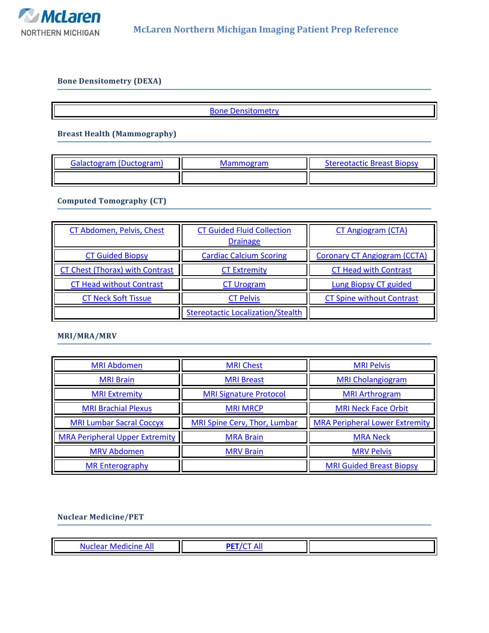

### <span id="page-0-0"></span>**Bone Densitometry (DEXA)**

**[Bone Densitometry](#page-2-0)** 

**Breast Health (Mammography)**

| Galactogram (Ductogram) | <b>Mammogram</b> | <b>Stereotactic Breast Biopsy</b> |
|-------------------------|------------------|-----------------------------------|
|                         |                  |                                   |

**Computed Tomography (CT)**

| CT Abdomen, Pelvis, Chest              | <b>CT Guided Fluid Collection</b><br><b>Drainage</b> | <b>CT Angiogram (CTA)</b>           |
|----------------------------------------|------------------------------------------------------|-------------------------------------|
| <b>CT Guided Biopsy</b>                | <b>Cardiac Calcium Scoring</b>                       | <b>Coronary CT Angiogram (CCTA)</b> |
| <b>CT Chest (Thorax) with Contrast</b> | <b>CT Extremity</b>                                  | <b>CT Head with Contrast</b>        |
| <b>CT Head without Contrast</b>        | <b>CT Urogram</b>                                    | <b>Lung Biopsy CT guided</b>        |
| <b>CT Neck Soft Tissue</b>             | <b>CT Pelvis</b>                                     | <b>CT Spine without Contrast</b>    |
|                                        | <b>Stereotactic Localization/Stealth</b>             |                                     |

**MRI/MRA/MRV**

| <b>MRI Abdomen</b>                    | <b>MRI Chest</b>              | <b>MRI Pelvis</b>                     |
|---------------------------------------|-------------------------------|---------------------------------------|
| <b>MRI Brain</b>                      | <b>MRI Breast</b>             | <b>MRI Cholangiogram</b>              |
| <b>MRI Extremity</b>                  | <b>MRI Signature Protocol</b> | <b>MRI Arthrogram</b>                 |
| <b>MRI Brachial Plexus</b>            | <b>MRI MRCP</b>               | <b>MRI Neck Face Orbit</b>            |
| <b>MRI Lumbar Sacral Coccyx</b>       | MRI Spine Cerv, Thor, Lumbar  | <b>MRA Peripheral Lower Extremity</b> |
| <b>MRA Peripheral Upper Extremity</b> | <b>MRA Brain</b>              | <b>MRA Neck</b>                       |
| <b>MRV Abdomen</b>                    | <b>MRV Brain</b>              | <b>MRV Pelvis</b>                     |
| <b>MR Enterography</b>                |                               | <b>MRI Guided Breast Biopsy</b>       |

### **Nuclear Medicine/PET**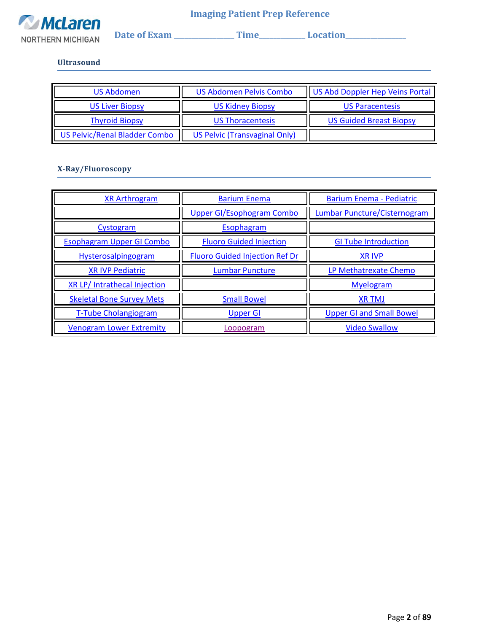

 **Date of Exam \_\_\_\_\_\_\_\_\_\_\_\_\_\_\_\_\_ Time\_\_\_\_\_\_\_\_\_\_\_\_\_ Location\_\_\_\_\_\_\_\_\_\_\_\_\_\_\_\_\_** 

### **Ultrasound**

| US Abdomen                           | <b>US Abdomen Pelvis Combo</b> | US Abd Doppler Hep Veins Portal |  |  |
|--------------------------------------|--------------------------------|---------------------------------|--|--|
| <b>US Liver Biopsy</b>               | <b>US Kidney Biopsy</b>        | <b>US Paracentesis</b>          |  |  |
| <b>Thyroid Biopsy</b>                | <b>US Thoracentesis</b>        | <b>US Guided Breast Biopsy</b>  |  |  |
| <b>US Pelvic/Renal Bladder Combo</b> | US Pelvic (Transvaginal Only)  |                                 |  |  |

### **X-Ray/Fluoroscopy**

| <b>XR Arthrogram</b>               | <b>Barium Enema</b>                   | <b>Barium Enema - Pediatric</b>     |
|------------------------------------|---------------------------------------|-------------------------------------|
|                                    | <b>Upper GI/Esophogram Combo</b>      | <b>Lumbar Puncture/Cisternogram</b> |
| Cystogram                          | Esophagram                            |                                     |
| <b>Esophagram Upper GI Combo</b>   | <b>Fluoro Guided Injection</b>        | <b>GI Tube Introduction</b>         |
| Hysterosalpingogram                | <b>Fluoro Guided Injection Ref Dr</b> | <b>XR IVP</b>                       |
| <b>XR IVP Pediatric</b>            | <b>Lumbar Puncture</b>                | LP Methatrexate Chemo               |
| <b>XR LP/Intrathecal Injection</b> |                                       | <b>Myelogram</b>                    |
| <b>Skeletal Bone Survey Mets</b>   | <b>Small Bowel</b>                    | <b>XR TMJ</b>                       |
| <b>T-Tube Cholangiogram</b>        | <b>Upper GI</b>                       | <b>Upper GI and Small Bowel</b>     |
| <b>Venogram Lower Extremity</b>    | Loopogram                             | <b>Video Swallow</b>                |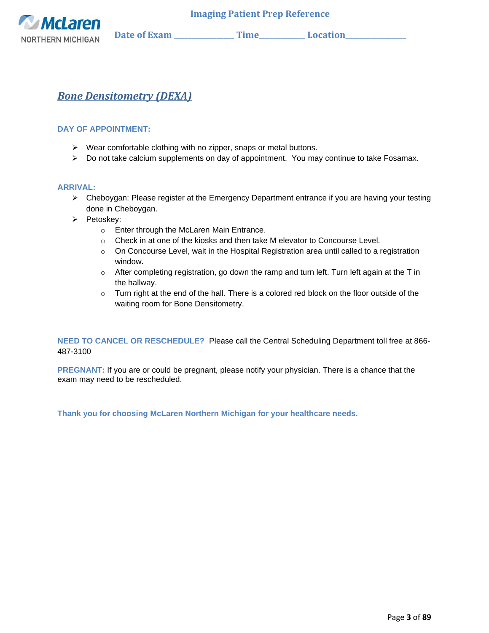

## <span id="page-2-0"></span>*Bone Densitometry (DEXA)*

### **DAY OF APPOINTMENT:**

- ➢ Wear comfortable clothing with no zipper, snaps or metal buttons.
- ➢ Do not take calcium supplements on day of appointment. You may continue to take Fosamax.

### **ARRIVAL:**

- ➢ Cheboygan: Please register at the Emergency Department entrance if you are having your testing done in Cheboygan.
- ➢ Petoskey:
	- o Enter through the McLaren Main Entrance.
	- $\circ$  Check in at one of the kiosks and then take M elevator to Concourse Level.
	- $\circ$  On Concourse Level, wait in the Hospital Registration area until called to a registration window.
	- o After completing registration, go down the ramp and turn left. Turn left again at the T in the hallway.
	- $\circ$  Turn right at the end of the hall. There is a colored red block on the floor outside of the waiting room for Bone Densitometry.

**NEED TO CANCEL OR RESCHEDULE?** Please call the Central Scheduling Department toll free at 866- 487-3100

**PREGNANT:** If you are or could be pregnant, please notify your physician. There is a chance that the exam may need to be rescheduled.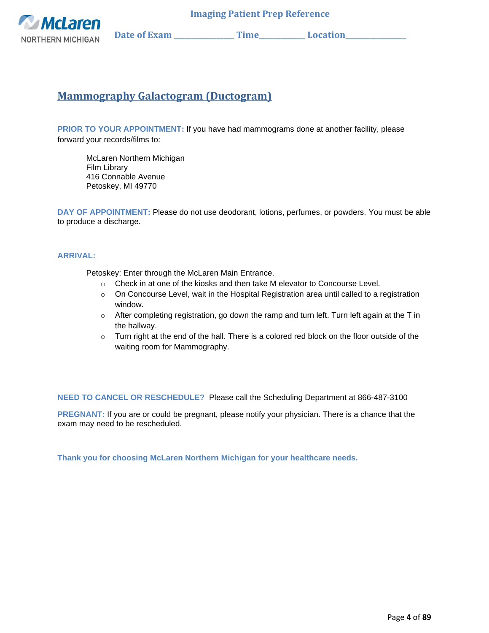

# <span id="page-3-0"></span>**Mammography Galactogram (Ductogram)**

**PRIOR TO YOUR APPOINTMENT:** If you have had mammograms done at another facility, please forward your records/films to:

McLaren Northern Michigan Film Library 416 Connable Avenue Petoskey, MI 49770

**DAY OF APPOINTMENT:** Please do not use deodorant, lotions, perfumes, or powders. You must be able to produce a discharge.

#### **ARRIVAL:**

Petoskey: Enter through the McLaren Main Entrance.

- $\circ$  Check in at one of the kiosks and then take M elevator to Concourse Level.
- $\circ$  On Concourse Level, wait in the Hospital Registration area until called to a registration window.
- $\circ$  After completing registration, go down the ramp and turn left. Turn left again at the T in the hallway.
- $\circ$  Turn right at the end of the hall. There is a colored red block on the floor outside of the waiting room for Mammography.

**NEED TO CANCEL OR RESCHEDULE?** Please call the Scheduling Department at 866-487-3100

**PREGNANT:** If you are or could be pregnant, please notify your physician. There is a chance that the exam may need to be rescheduled.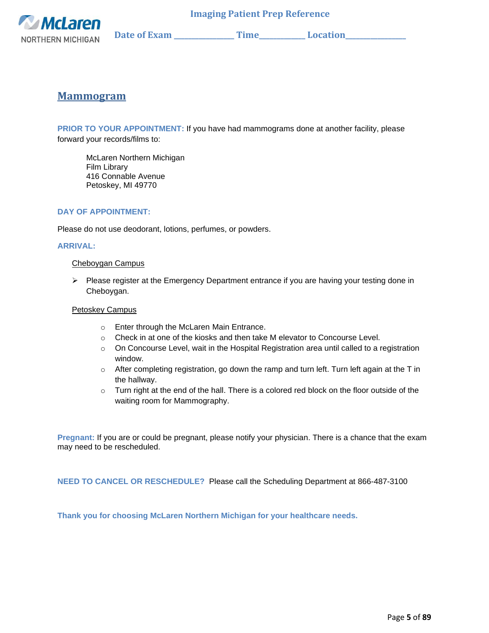

### <span id="page-4-0"></span>**Mammogram**

**PRIOR TO YOUR APPOINTMENT:** If you have had mammograms done at another facility, please forward your records/films to:

McLaren Northern Michigan Film Library 416 Connable Avenue Petoskey, MI 49770

### **DAY OF APPOINTMENT:**

Please do not use deodorant, lotions, perfumes, or powders.

#### **ARRIVAL:**

#### Cheboygan Campus

➢ Please register at the Emergency Department entrance if you are having your testing done in Cheboygan.

#### Petoskey Campus

- o Enter through the McLaren Main Entrance.
- $\circ$  Check in at one of the kiosks and then take M elevator to Concourse Level.
- $\circ$  On Concourse Level, wait in the Hospital Registration area until called to a registration window.
- $\circ$  After completing registration, go down the ramp and turn left. Turn left again at the T in the hallway.
- $\circ$  Turn right at the end of the hall. There is a colored red block on the floor outside of the waiting room for Mammography.

**Pregnant:** If you are or could be pregnant, please notify your physician. There is a chance that the exam may need to be rescheduled.

**NEED TO CANCEL OR RESCHEDULE?** Please call the Scheduling Department at 866-487-3100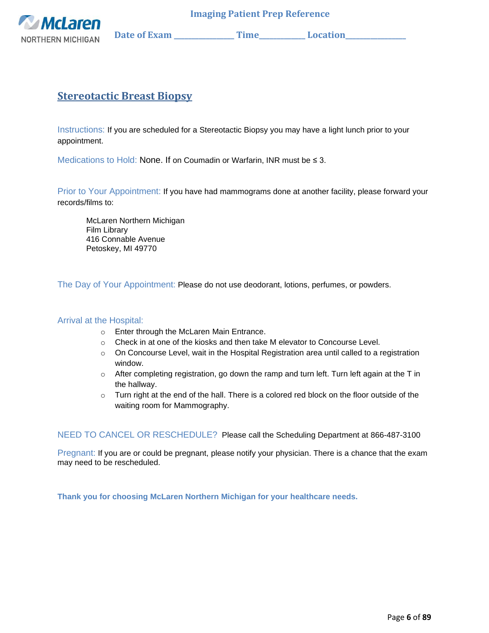

## <span id="page-5-0"></span>**Stereotactic Breast Biopsy**

Instructions: If you are scheduled for a Stereotactic Biopsy you may have a light lunch prior to your appointment.

Medications to Hold: None. If on Coumadin or Warfarin, INR must be ≤ 3.

Prior to Your Appointment: If you have had mammograms done at another facility, please forward your records/films to:

McLaren Northern Michigan Film Library 416 Connable Avenue Petoskey, MI 49770

The Day of Your Appointment: Please do not use deodorant, lotions, perfumes, or powders.

### Arrival at the Hospital:

- o Enter through the McLaren Main Entrance.
- $\circ$  Check in at one of the kiosks and then take M elevator to Concourse Level.
- $\circ$  On Concourse Level, wait in the Hospital Registration area until called to a registration window.
- $\circ$  After completing registration, go down the ramp and turn left. Turn left again at the T in the hallway.
- o Turn right at the end of the hall. There is a colored red block on the floor outside of the waiting room for Mammography.

NEED TO CANCEL OR RESCHEDULE? Please call the Scheduling Department at 866-487-3100

Pregnant: If you are or could be pregnant, please notify your physician. There is a chance that the exam may need to be rescheduled.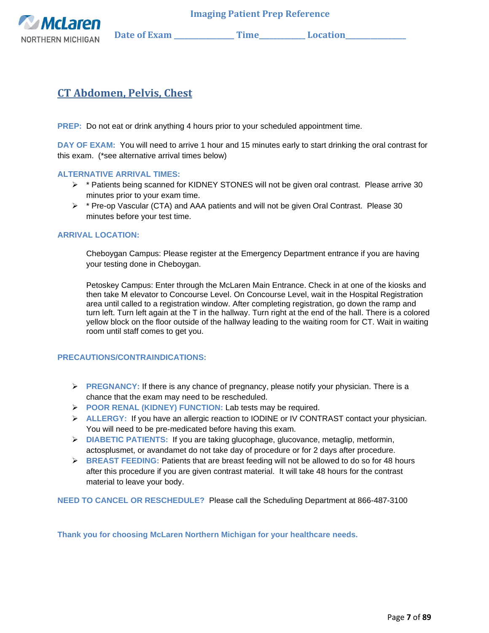

## <span id="page-6-0"></span>**CT Abdomen, Pelvis, Chest**

**PREP:** Do not eat or drink anything 4 hours prior to your scheduled appointment time.

**DAY OF EXAM:** You will need to arrive 1 hour and 15 minutes early to start drinking the oral contrast for this exam. (\*see alternative arrival times below)

### **ALTERNATIVE ARRIVAL TIMES:**

- ➢ \* Patients being scanned for KIDNEY STONES will not be given oral contrast. Please arrive 30 minutes prior to your exam time.
- $\triangleright$  \* Pre-op Vascular (CTA) and AAA patients and will not be given Oral Contrast. Please 30 minutes before your test time.

### **ARRIVAL LOCATION:**

Cheboygan Campus: Please register at the Emergency Department entrance if you are having your testing done in Cheboygan.

Petoskey Campus: Enter through the McLaren Main Entrance. Check in at one of the kiosks and then take M elevator to Concourse Level. On Concourse Level, wait in the Hospital Registration area until called to a registration window. After completing registration, go down the ramp and turn left. Turn left again at the T in the hallway. Turn right at the end of the hall. There is a colored yellow block on the floor outside of the hallway leading to the waiting room for CT. Wait in waiting room until staff comes to get you.

#### **PRECAUTIONS/CONTRAINDICATIONS:**

- ➢ **PREGNANCY:** If there is any chance of pregnancy, please notify your physician. There is a chance that the exam may need to be rescheduled.
- ➢ **POOR RENAL (KIDNEY) FUNCTION:** Lab tests may be required.
- ➢ **ALLERGY:** If you have an allergic reaction to IODINE or IV CONTRAST contact your physician. You will need to be pre-medicated before having this exam.
- ➢ **DIABETIC PATIENTS:** If you are taking glucophage, glucovance, metaglip, metformin, actosplusmet, or avandamet do not take day of procedure or for 2 days after procedure.
- ➢ **BREAST FEEDING:** Patients that are breast feeding will not be allowed to do so for 48 hours after this procedure if you are given contrast material. It will take 48 hours for the contrast material to leave your body.

**NEED TO CANCEL OR RESCHEDULE?** Please call the Scheduling Department at 866-487-3100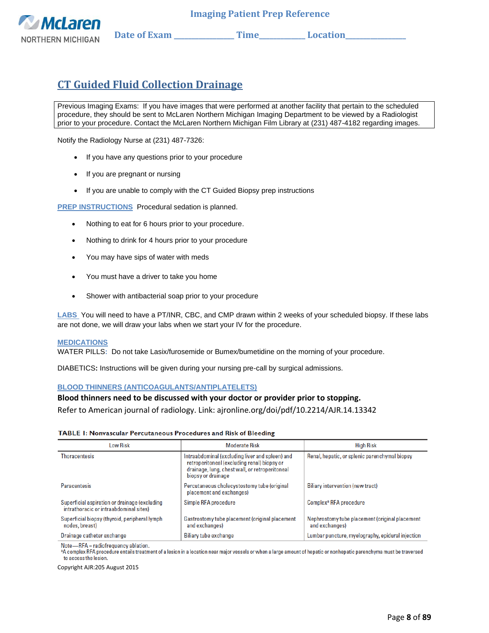

# <span id="page-7-0"></span>**CT Guided Fluid Collection Drainage**

Previous Imaging Exams: If you have images that were performed at another facility that pertain to the scheduled procedure, they should be sent to McLaren Northern Michigan Imaging Department to be viewed by a Radiologist prior to your procedure. Contact the McLaren Northern Michigan Film Library at (231) 487-4182 regarding images.

Notify the Radiology Nurse at (231) 487-7326:

- If you have any questions prior to your procedure
- If you are pregnant or nursing
- If you are unable to comply with the CT Guided Biopsy prep instructions

**PREP INSTRUCTIONS**Procedural sedation is planned.

- Nothing to eat for 6 hours prior to your procedure.
- Nothing to drink for 4 hours prior to your procedure
- You may have sips of water with meds
- You must have a driver to take you home
- Shower with antibacterial soap prior to your procedure

**LABS** You will need to have a PT/INR, CBC, and CMP drawn within 2 weeks of your scheduled biopsy. If these labs are not done, we will draw your labs when we start your IV for the procedure.

#### **MEDICATIONS**

WATER PILLS**:** Do not take Lasix/furosemide or Bumex/bumetidine on the morning of your procedure.

DIABETICS**:** Instructions will be given during your nursing pre-call by surgical admissions.

#### **BLOOD THINNERS (ANTICOAGULANTS/ANTIPLATELETS)**

#### **Blood thinners need to be discussed with your doctor or provider prior to stopping.**

Refer to American journal of radiology. Link: ajronline.org/doi/pdf/10.2214/AJR.14.13342

#### **TABLE 1: Nonvascular Percutaneous Procedures and Risk of Bleeding**

| Low Risk                                                                                | <b>Moderate Risk</b>                                                                                                                                                   | <b>High Risk</b>                                                 |  |  |
|-----------------------------------------------------------------------------------------|------------------------------------------------------------------------------------------------------------------------------------------------------------------------|------------------------------------------------------------------|--|--|
| <b>Thoracentesis</b>                                                                    | Intraabdominal (excluding liver and spleen) and<br>retroperitoneal (excluding renal) biopsy or<br>drainage, lung, chest wall, or retroperitoneal<br>biopsy or drainage | Renal, hepatic, or splenic parenchymal biopsy                    |  |  |
| <b>Paracentesis</b>                                                                     | Percutaneous cholecystostomy tube (original<br>placement and exchanges)                                                                                                | Biliary intervention (new tract)                                 |  |  |
| Superficial aspiration or drainage (excluding<br>intrathoracic or intraabdominal sites) | Simple RFA procedure                                                                                                                                                   | Complex <sup>ª</sup> RFA procedure                               |  |  |
| Superficial biopsy (thyroid, peripheral lymph<br>nodes, breast)                         | Gastrostomy tube placement (original placement<br>and exchanges)                                                                                                       | Nephrostomy tube placement (original placement<br>and exchanges) |  |  |
| Drainage catheter exchange                                                              | <b>Biliary tube exchange</b>                                                                                                                                           | Lumbar puncture, myelography, epidural injection                 |  |  |

Note-RFA = radiofrequency ablation.

<sup>a</sup>A complex RFA procedure entails treatment of a lesion in a location near maior vessels or when a large amount of hepatic or nonhepatic parenchyma must be traversed to access the lesion.

Copyright AJR:205 August 2015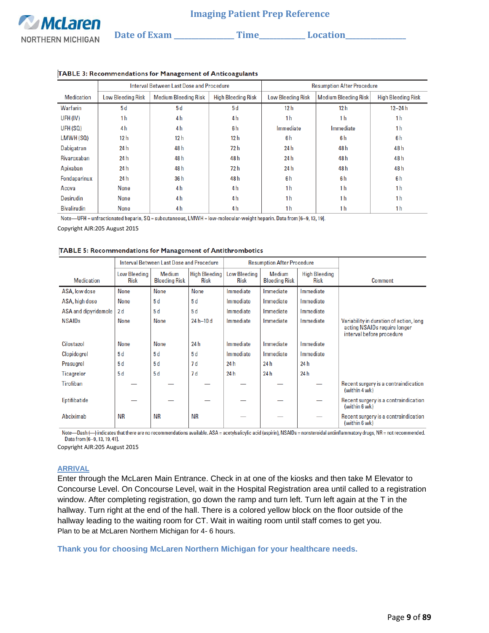|                    |                          | Interval Between Last Dose and Procedure |                           | <b>Resumption After Procedure</b> |                             |                           |  |
|--------------------|--------------------------|------------------------------------------|---------------------------|-----------------------------------|-----------------------------|---------------------------|--|
| <b>Medication</b>  | <b>Low Bleeding Risk</b> | <b>Medium Bleeding Risk</b>              | <b>High Bleeding Risk</b> | <b>Low Bleeding Risk</b>          | <b>Medium Bleeding Risk</b> | <b>High Bleeding Risk</b> |  |
| Warfarin           | 5d                       | 5d                                       | 5d                        | 12 <sub>h</sub>                   | 12 <sub>h</sub>             | $12 - 24 h$               |  |
| UFH (IV)           | 1 <sub>h</sub>           | 4 <sub>h</sub>                           | 4 <sub>h</sub>            | 1 <sub>h</sub>                    | 1 <sub>h</sub>              | 1 <sub>h</sub>            |  |
| UFH (SQ)           | 4 <sub>h</sub>           | 4 <sub>h</sub>                           | 6h                        | Immediate                         | Immediate                   | 1 <sub>h</sub>            |  |
| LMWH(SQ)           | 12 h                     | 12 h                                     | 12 h                      | 6h                                | 6h                          | 6h                        |  |
| Dabigatran         | 24 h                     | 48h                                      | 72 h                      | 24h                               | 48 h                        | 48h                       |  |
| <b>Rivaroxaban</b> | 24 h                     | 48 h                                     | 48 h                      | 24h                               | 48 h                        | 48 h                      |  |
| Apixaban           | 24 h                     | 48 h                                     | 72 h                      | 24 h                              | 48h                         | 48h                       |  |
| Fondaparinux       | 24 h                     | 36 h                                     | 48 h                      | 6h                                | 6h                          | 6h                        |  |
| Acova              | None                     | 4 h                                      | 4 <sub>h</sub>            | 1 <sub>h</sub>                    | 1 <sub>h</sub>              | 1 <sub>h</sub>            |  |
| <b>Desirudin</b>   | None                     | 4 <sub>h</sub>                           | 4 <sub>h</sub>            | 1 <sub>h</sub>                    | 1 <sub>h</sub>              | 1 <sub>h</sub>            |  |
| <b>Bivalirudin</b> | None                     | 4 h                                      | 4 h                       | 1 <sub>h</sub>                    | 1 h                         | 1 <sub>h</sub>            |  |

#### TABLE 3: Recommendations for Management of Anticoagulants

Note—UFH = unfractionated heparin,  $SQ =$  subcutaneous, LMWH = low-molecular-weight heparin. Data from [6-9, 13, 19].

Copyright AJR:205 August 2015

#### TABLE 5: Recommendations for Management of Antithrombotics

|                      | Interval Between Last Dose and Procedure |                                |                                     | <b>Resumption After Procedure</b>  |                                |                                     |                                                                                                      |
|----------------------|------------------------------------------|--------------------------------|-------------------------------------|------------------------------------|--------------------------------|-------------------------------------|------------------------------------------------------------------------------------------------------|
| <b>Medication</b>    | <b>Low Bleeding</b><br><b>Risk</b>       | Medium<br><b>Bleeding Risk</b> | <b>High Bleeding</b><br><b>Risk</b> | <b>Low Bleeding</b><br><b>Risk</b> | Medium<br><b>Bleeding Risk</b> | <b>High Bleeding</b><br><b>Risk</b> | Comment                                                                                              |
| ASA, low dose        | <b>None</b>                              | <b>None</b>                    | <b>None</b>                         | Immediate                          | Immediate                      | Immediate                           |                                                                                                      |
| ASA, high dose       | None                                     | 5 d                            | 5d                                  | Immediate                          | Immediate                      | Immediate                           |                                                                                                      |
| ASA and dipyridamole | 2d                                       | 5d                             | 5d                                  | Immediate                          | Immediate                      | Immediate                           |                                                                                                      |
| <b>NSAIDs</b>        | <b>None</b>                              | <b>None</b>                    | $24 h - 10 d$                       | Immediate                          | Immediate                      | Immediate                           | Variability in duration of action, long<br>acting NSAIDs require longer<br>interval before procedure |
| Cilostazol           | <b>None</b>                              | <b>None</b>                    | 24 h                                | Immediate                          | Immediate                      | Immediate                           |                                                                                                      |
| <b>Clopidogrel</b>   | 5d                                       | 5d                             | 5d                                  | Immediate                          | Immediate                      | Immediate                           |                                                                                                      |
| Prasugrel            | 5d                                       | 5d                             | 7d                                  | 24 h                               | 24 h                           | 24 h                                |                                                                                                      |
| Ticagrelor           | 5d                                       | 5d                             | 7d                                  | 24 h                               | 24 h                           | 24h                                 |                                                                                                      |
| Tirofiban            |                                          |                                |                                     |                                    |                                |                                     | Recent surgery is a contraindication<br>(within 4 wk)                                                |
| Eptifibatide         |                                          |                                |                                     |                                    |                                |                                     | Recent surgery is a contraindication<br>(within 6 wk)                                                |
| Abciximab            | ΝR                                       | <b>NR</b>                      | ΝR                                  |                                    |                                |                                     | Recent surgery is a contraindication<br>(within 6 wk)                                                |

Note-Dash (-) indicates that there are no recommendations available. ASA = acetylsalicylic acid (aspirin), NSAIDs = nonsteroidal antiinflammatory drugs, NR = not recommended. Data from [6-9, 13, 19, 41].

Copyright AJR:205 August 2015

#### **ARRIVAL**

Enter through the McLaren Main Entrance. Check in at one of the kiosks and then take M Elevator to Concourse Level. On Concourse Level, wait in the Hospital Registration area until called to a registration window. After completing registration, go down the ramp and turn left. Turn left again at the T in the hallway. Turn right at the end of the hall. There is a colored yellow block on the floor outside of the hallway leading to the waiting room for CT. Wait in waiting room until staff comes to get you. Plan to be at McLaren Northern Michigan for 4- 6 hours.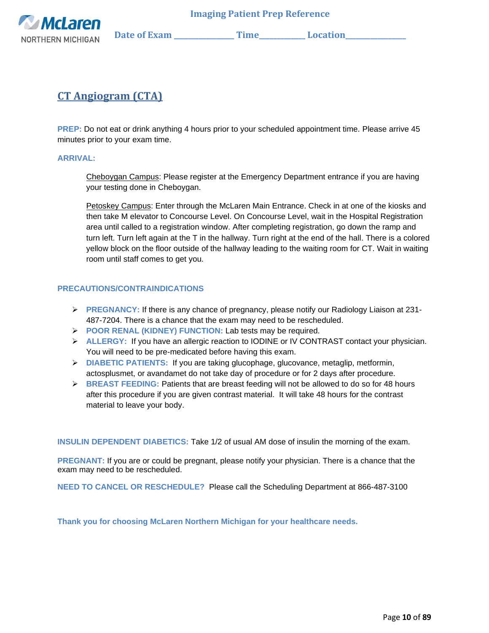

# <span id="page-9-0"></span>**CT Angiogram (CTA)**

**PREP:** Do not eat or drink anything 4 hours prior to your scheduled appointment time. Please arrive 45 minutes prior to your exam time.

### **ARRIVAL:**

Cheboygan Campus: Please register at the Emergency Department entrance if you are having your testing done in Cheboygan.

Petoskey Campus: Enter through the McLaren Main Entrance. Check in at one of the kiosks and then take M elevator to Concourse Level. On Concourse Level, wait in the Hospital Registration area until called to a registration window. After completing registration, go down the ramp and turn left. Turn left again at the T in the hallway. Turn right at the end of the hall. There is a colored yellow block on the floor outside of the hallway leading to the waiting room for CT. Wait in waiting room until staff comes to get you.

### **PRECAUTIONS/CONTRAINDICATIONS**

- ➢ **PREGNANCY:** If there is any chance of pregnancy, please notify our Radiology Liaison at 231- 487-7204. There is a chance that the exam may need to be rescheduled.
- ➢ **POOR RENAL (KIDNEY) FUNCTION:** Lab tests may be required.
- ➢ **ALLERGY:** If you have an allergic reaction to IODINE or IV CONTRAST contact your physician. You will need to be pre-medicated before having this exam.
- ➢ **DIABETIC PATIENTS:** If you are taking glucophage, glucovance, metaglip, metformin, actosplusmet, or avandamet do not take day of procedure or for 2 days after procedure.
- ➢ **BREAST FEEDING:** Patients that are breast feeding will not be allowed to do so for 48 hours after this procedure if you are given contrast material. It will take 48 hours for the contrast material to leave your body.

**INSULIN DEPENDENT DIABETICS:** Take 1/2 of usual AM dose of insulin the morning of the exam.

**PREGNANT:** If you are or could be pregnant, please notify your physician. There is a chance that the exam may need to be rescheduled.

**NEED TO CANCEL OR RESCHEDULE?** Please call the Scheduling Department at 866-487-3100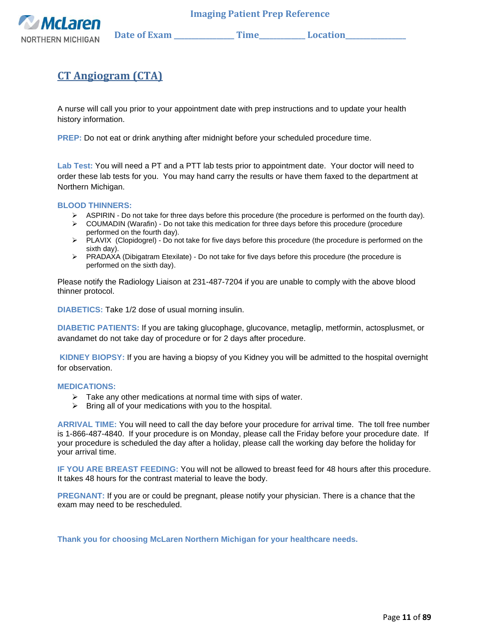

# **CT Angiogram (CTA)**

A nurse will call you prior to your appointment date with prep instructions and to update your health history information.

**PREP:** Do not eat or drink anything after midnight before your scheduled procedure time.

**Lab Test:** You will need a PT and a PTT lab tests prior to appointment date. Your doctor will need to order these lab tests for you. You may hand carry the results or have them faxed to the department at Northern Michigan.

### **BLOOD THINNERS:**

- ➢ ASPIRIN Do not take for three days before this procedure (the procedure is performed on the fourth day).
- ➢ COUMADIN (Warafin) Do not take this medication for three days before this procedure (procedure performed on the fourth day).
- ➢ PLAVIX (Clopidogrel) Do not take for five days before this procedure (the procedure is performed on the sixth day).
- ➢ PRADAXA (Dibigatram Etexilate) Do not take for five days before this procedure (the procedure is performed on the sixth day).

Please notify the Radiology Liaison at 231-487-7204 if you are unable to comply with the above blood thinner protocol.

**DIABETICS:** Take 1/2 dose of usual morning insulin.

**DIABETIC PATIENTS:** If you are taking glucophage, glucovance, metaglip, metformin, actosplusmet, or avandamet do not take day of procedure or for 2 days after procedure.

**KIDNEY BIOPSY:** If you are having a biopsy of you Kidney you will be admitted to the hospital overnight for observation.

#### **MEDICATIONS:**

- $\triangleright$  Take any other medications at normal time with sips of water.
- $\triangleright$  Bring all of your medications with you to the hospital.

**ARRIVAL TIME:** You will need to call the day before your procedure for arrival time. The toll free number is 1-866-487-4840. If your procedure is on Monday, please call the Friday before your procedure date. If your procedure is scheduled the day after a holiday, please call the working day before the holiday for your arrival time.

**IF YOU ARE BREAST FEEDING:** You will not be allowed to breast feed for 48 hours after this procedure. It takes 48 hours for the contrast material to leave the body.

**PREGNANT:** If you are or could be pregnant, please notify your physician. There is a chance that the exam may need to be rescheduled.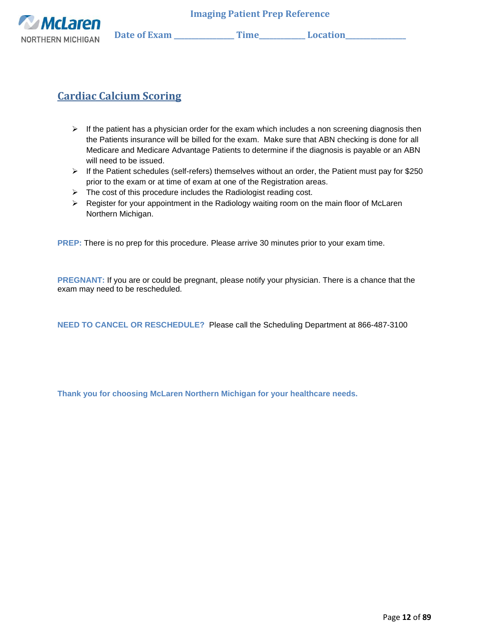

# <span id="page-11-0"></span>**Cardiac Calcium Scoring**

- $\triangleright$  If the patient has a physician order for the exam which includes a non screening diagnosis then the Patients insurance will be billed for the exam. Make sure that ABN checking is done for all Medicare and Medicare Advantage Patients to determine if the diagnosis is payable or an ABN will need to be issued.
- ➢ If the Patient schedules (self-refers) themselves without an order, the Patient must pay for \$250 prior to the exam or at time of exam at one of the Registration areas.
- ➢ The cost of this procedure includes the Radiologist reading cost.
- $\triangleright$  Register for your appointment in the Radiology waiting room on the main floor of McLaren Northern Michigan.

**PREP:** There is no prep for this procedure. Please arrive 30 minutes prior to your exam time.

**PREGNANT:** If you are or could be pregnant, please notify your physician. There is a chance that the exam may need to be rescheduled.

**NEED TO CANCEL OR RESCHEDULE?** Please call the Scheduling Department at 866-487-3100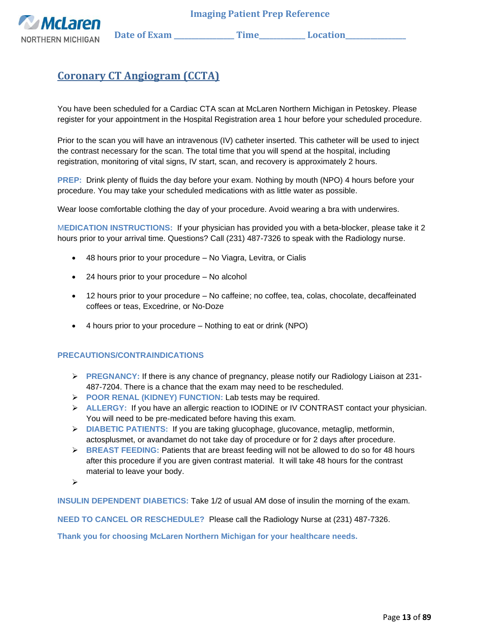

# <span id="page-12-0"></span>**Coronary CT Angiogram (CCTA)**

You have been scheduled for a Cardiac CTA scan at McLaren Northern Michigan in Petoskey. Please register for your appointment in the Hospital Registration area 1 hour before your scheduled procedure.

Prior to the scan you will have an intravenous (IV) catheter inserted. This catheter will be used to inject the contrast necessary for the scan. The total time that you will spend at the hospital, including registration, monitoring of vital signs, IV start, scan, and recovery is approximately 2 hours.

**PREP:** Drink plenty of fluids the day before your exam. Nothing by mouth (NPO) 4 hours before your procedure. You may take your scheduled medications with as little water as possible.

Wear loose comfortable clothing the day of your procedure. Avoid wearing a bra with underwires.

M**EDICATION INSTRUCTIONS:** If your physician has provided you with a beta-blocker, please take it 2 hours prior to your arrival time. Questions? Call (231) 487-7326 to speak with the Radiology nurse.

- 48 hours prior to your procedure No Viagra, Levitra, or Cialis
- 24 hours prior to your procedure No alcohol
- 12 hours prior to your procedure No caffeine; no coffee, tea, colas, chocolate, decaffeinated coffees or teas, Excedrine, or No-Doze
- 4 hours prior to your procedure Nothing to eat or drink (NPO)

#### **PRECAUTIONS/CONTRAINDICATIONS**

- ➢ **PREGNANCY:** If there is any chance of pregnancy, please notify our Radiology Liaison at 231- 487-7204. There is a chance that the exam may need to be rescheduled.
- ➢ **POOR RENAL (KIDNEY) FUNCTION:** Lab tests may be required.
- ➢ **ALLERGY:** If you have an allergic reaction to IODINE or IV CONTRAST contact your physician. You will need to be pre-medicated before having this exam.
- ➢ **DIABETIC PATIENTS:** If you are taking glucophage, glucovance, metaglip, metformin, actosplusmet, or avandamet do not take day of procedure or for 2 days after procedure.
- ➢ **BREAST FEEDING:** Patients that are breast feeding will not be allowed to do so for 48 hours after this procedure if you are given contrast material. It will take 48 hours for the contrast material to leave your body.

➢

**INSULIN DEPENDENT DIABETICS:** Take 1/2 of usual AM dose of insulin the morning of the exam.

**NEED TO CANCEL OR RESCHEDULE?** Please call the Radiology Nurse at (231) 487-7326.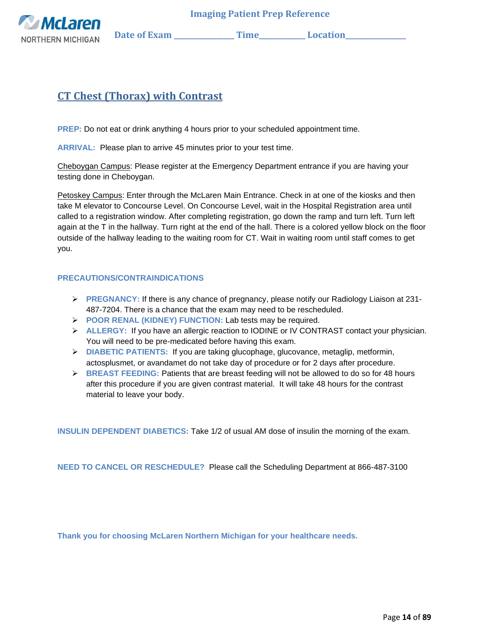**McLaren** NORTHERN MICHIGAN Date of Exam \_\_\_\_\_\_\_\_\_\_\_\_\_\_\_\_Time\_\_\_\_\_\_\_\_\_\_\_\_\_Location\_\_\_\_\_\_\_\_

# <span id="page-13-0"></span>**CT Chest (Thorax) with Contrast**

**PREP:** Do not eat or drink anything 4 hours prior to your scheduled appointment time.

**ARRIVAL:** Please plan to arrive 45 minutes prior to your test time.

Cheboygan Campus: Please register at the Emergency Department entrance if you are having your testing done in Cheboygan.

Petoskey Campus: Enter through the McLaren Main Entrance. Check in at one of the kiosks and then take M elevator to Concourse Level. On Concourse Level, wait in the Hospital Registration area until called to a registration window. After completing registration, go down the ramp and turn left. Turn left again at the T in the hallway. Turn right at the end of the hall. There is a colored yellow block on the floor outside of the hallway leading to the waiting room for CT. Wait in waiting room until staff comes to get you.

### **PRECAUTIONS/CONTRAINDICATIONS**

- ➢ **PREGNANCY:** If there is any chance of pregnancy, please notify our Radiology Liaison at 231- 487-7204. There is a chance that the exam may need to be rescheduled.
- ➢ **POOR RENAL (KIDNEY) FUNCTION:** Lab tests may be required.
- ➢ **ALLERGY:** If you have an allergic reaction to IODINE or IV CONTRAST contact your physician. You will need to be pre-medicated before having this exam.
- ➢ **DIABETIC PATIENTS:** If you are taking glucophage, glucovance, metaglip, metformin, actosplusmet, or avandamet do not take day of procedure or for 2 days after procedure.
- ➢ **BREAST FEEDING:** Patients that are breast feeding will not be allowed to do so for 48 hours after this procedure if you are given contrast material. It will take 48 hours for the contrast material to leave your body.

**INSULIN DEPENDENT DIABETICS:** Take 1/2 of usual AM dose of insulin the morning of the exam.

**NEED TO CANCEL OR RESCHEDULE?** Please call the Scheduling Department at 866-487-3100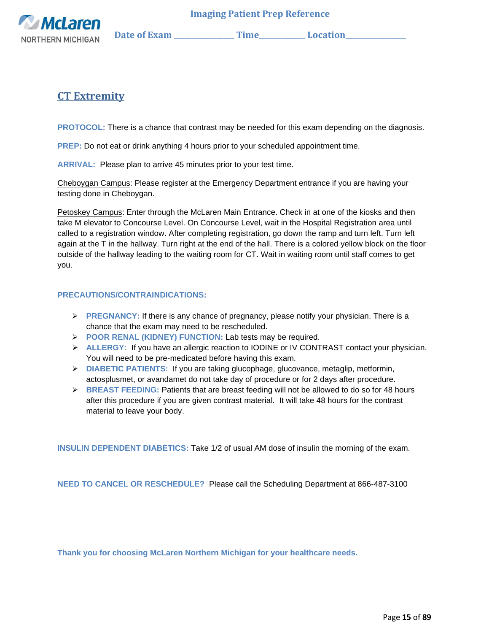

## <span id="page-14-0"></span>**CT Extremity**

**PROTOCOL:** There is a chance that contrast may be needed for this exam depending on the diagnosis.

**PREP:** Do not eat or drink anything 4 hours prior to your scheduled appointment time.

**ARRIVAL:** Please plan to arrive 45 minutes prior to your test time.

Cheboygan Campus: Please register at the Emergency Department entrance if you are having your testing done in Cheboygan.

Petoskey Campus: Enter through the McLaren Main Entrance. Check in at one of the kiosks and then take M elevator to Concourse Level. On Concourse Level, wait in the Hospital Registration area until called to a registration window. After completing registration, go down the ramp and turn left. Turn left again at the T in the hallway. Turn right at the end of the hall. There is a colored yellow block on the floor outside of the hallway leading to the waiting room for CT. Wait in waiting room until staff comes to get you.

### **PRECAUTIONS/CONTRAINDICATIONS:**

- ➢ **PREGNANCY:** If there is any chance of pregnancy, please notify your physician. There is a chance that the exam may need to be rescheduled.
- ➢ **POOR RENAL (KIDNEY) FUNCTION:** Lab tests may be required.
- ➢ **ALLERGY:** If you have an allergic reaction to IODINE or IV CONTRAST contact your physician. You will need to be pre-medicated before having this exam.
- ➢ **DIABETIC PATIENTS:** If you are taking glucophage, glucovance, metaglip, metformin, actosplusmet, or avandamet do not take day of procedure or for 2 days after procedure.
- ➢ **BREAST FEEDING:** Patients that are breast feeding will not be allowed to do so for 48 hours after this procedure if you are given contrast material. It will take 48 hours for the contrast material to leave your body.

**INSULIN DEPENDENT DIABETICS:** Take 1/2 of usual AM dose of insulin the morning of the exam.

**NEED TO CANCEL OR RESCHEDULE?** Please call the Scheduling Department at 866-487-3100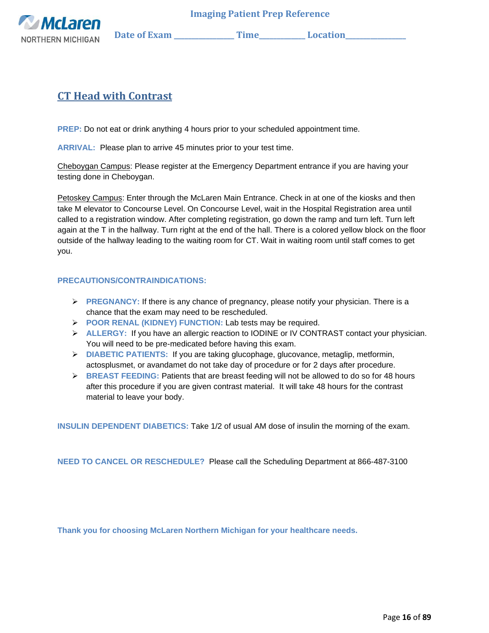

# <span id="page-15-0"></span>**CT Head with Contrast**

**PREP:** Do not eat or drink anything 4 hours prior to your scheduled appointment time.

**ARRIVAL:** Please plan to arrive 45 minutes prior to your test time.

Cheboygan Campus: Please register at the Emergency Department entrance if you are having your testing done in Cheboygan.

Petoskey Campus: Enter through the McLaren Main Entrance. Check in at one of the kiosks and then take M elevator to Concourse Level. On Concourse Level, wait in the Hospital Registration area until called to a registration window. After completing registration, go down the ramp and turn left. Turn left again at the T in the hallway. Turn right at the end of the hall. There is a colored yellow block on the floor outside of the hallway leading to the waiting room for CT. Wait in waiting room until staff comes to get you.

### **PRECAUTIONS/CONTRAINDICATIONS:**

- ➢ **PREGNANCY:** If there is any chance of pregnancy, please notify your physician. There is a chance that the exam may need to be rescheduled.
- ➢ **POOR RENAL (KIDNEY) FUNCTION:** Lab tests may be required.
- ➢ **ALLERGY:** If you have an allergic reaction to IODINE or IV CONTRAST contact your physician. You will need to be pre-medicated before having this exam.
- ➢ **DIABETIC PATIENTS:** If you are taking glucophage, glucovance, metaglip, metformin, actosplusmet, or avandamet do not take day of procedure or for 2 days after procedure.
- ➢ **BREAST FEEDING:** Patients that are breast feeding will not be allowed to do so for 48 hours after this procedure if you are given contrast material. It will take 48 hours for the contrast material to leave your body.

**INSULIN DEPENDENT DIABETICS:** Take 1/2 of usual AM dose of insulin the morning of the exam.

**NEED TO CANCEL OR RESCHEDULE?** Please call the Scheduling Department at 866-487-3100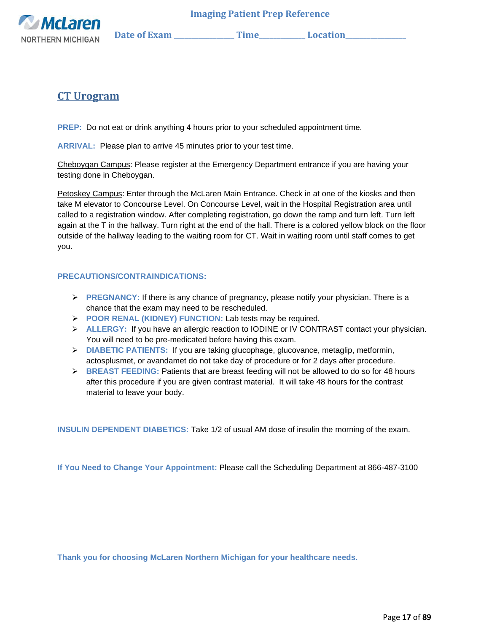

### <span id="page-16-0"></span>**CT Urogram**

**PREP:** Do not eat or drink anything 4 hours prior to your scheduled appointment time.

**ARRIVAL:** Please plan to arrive 45 minutes prior to your test time.

Cheboygan Campus: Please register at the Emergency Department entrance if you are having your testing done in Cheboygan.

Petoskey Campus: Enter through the McLaren Main Entrance. Check in at one of the kiosks and then take M elevator to Concourse Level. On Concourse Level, wait in the Hospital Registration area until called to a registration window. After completing registration, go down the ramp and turn left. Turn left again at the T in the hallway. Turn right at the end of the hall. There is a colored yellow block on the floor outside of the hallway leading to the waiting room for CT. Wait in waiting room until staff comes to get you.

### **PRECAUTIONS/CONTRAINDICATIONS:**

- ➢ **PREGNANCY:** If there is any chance of pregnancy, please notify your physician. There is a chance that the exam may need to be rescheduled.
- ➢ **POOR RENAL (KIDNEY) FUNCTION:** Lab tests may be required.
- ➢ **ALLERGY:** If you have an allergic reaction to IODINE or IV CONTRAST contact your physician. You will need to be pre-medicated before having this exam.
- ➢ **DIABETIC PATIENTS:** If you are taking glucophage, glucovance, metaglip, metformin, actosplusmet, or avandamet do not take day of procedure or for 2 days after procedure.
- ➢ **BREAST FEEDING:** Patients that are breast feeding will not be allowed to do so for 48 hours after this procedure if you are given contrast material. It will take 48 hours for the contrast material to leave your body.

**INSULIN DEPENDENT DIABETICS:** Take 1/2 of usual AM dose of insulin the morning of the exam.

**If You Need to Change Your Appointment:** Please call the Scheduling Department at 866-487-3100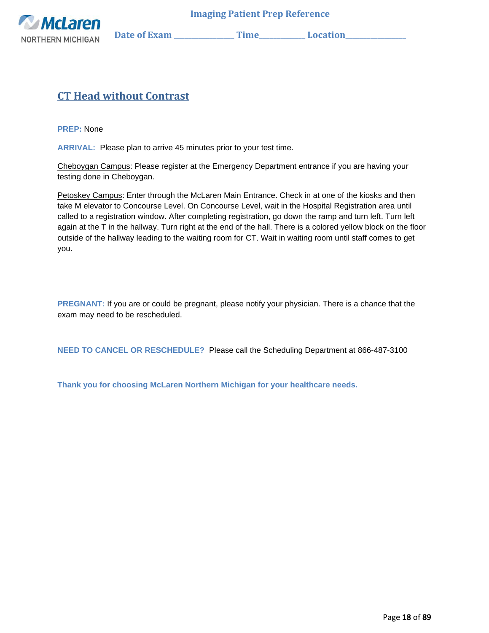

# <span id="page-17-0"></span>**CT Head without Contrast**

**PREP:** None

**ARRIVAL:** Please plan to arrive 45 minutes prior to your test time.

Cheboygan Campus: Please register at the Emergency Department entrance if you are having your testing done in Cheboygan.

Petoskey Campus: Enter through the McLaren Main Entrance. Check in at one of the kiosks and then take M elevator to Concourse Level. On Concourse Level, wait in the Hospital Registration area until called to a registration window. After completing registration, go down the ramp and turn left. Turn left again at the T in the hallway. Turn right at the end of the hall. There is a colored yellow block on the floor outside of the hallway leading to the waiting room for CT. Wait in waiting room until staff comes to get you.

**PREGNANT:** If you are or could be pregnant, please notify your physician. There is a chance that the exam may need to be rescheduled.

**NEED TO CANCEL OR RESCHEDULE?** Please call the Scheduling Department at 866-487-3100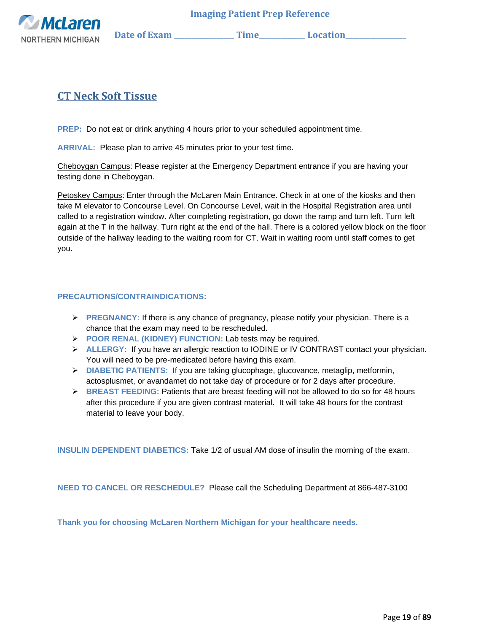

# <span id="page-18-0"></span>**CT Neck Soft Tissue**

**PREP:** Do not eat or drink anything 4 hours prior to your scheduled appointment time.

**ARRIVAL:** Please plan to arrive 45 minutes prior to your test time.

Cheboygan Campus: Please register at the Emergency Department entrance if you are having your testing done in Cheboygan.

Petoskey Campus: Enter through the McLaren Main Entrance. Check in at one of the kiosks and then take M elevator to Concourse Level. On Concourse Level, wait in the Hospital Registration area until called to a registration window. After completing registration, go down the ramp and turn left. Turn left again at the T in the hallway. Turn right at the end of the hall. There is a colored yellow block on the floor outside of the hallway leading to the waiting room for CT. Wait in waiting room until staff comes to get you.

### **PRECAUTIONS/CONTRAINDICATIONS:**

- ➢ **PREGNANCY:** If there is any chance of pregnancy, please notify your physician. There is a chance that the exam may need to be rescheduled.
- ➢ **POOR RENAL (KIDNEY) FUNCTION:** Lab tests may be required.
- ➢ **ALLERGY:** If you have an allergic reaction to IODINE or IV CONTRAST contact your physician. You will need to be pre-medicated before having this exam.
- ➢ **DIABETIC PATIENTS:** If you are taking glucophage, glucovance, metaglip, metformin, actosplusmet, or avandamet do not take day of procedure or for 2 days after procedure.
- ➢ **BREAST FEEDING:** Patients that are breast feeding will not be allowed to do so for 48 hours after this procedure if you are given contrast material. It will take 48 hours for the contrast material to leave your body.

**INSULIN DEPENDENT DIABETICS:** Take 1/2 of usual AM dose of insulin the morning of the exam.

**NEED TO CANCEL OR RESCHEDULE?** Please call the Scheduling Department at 866-487-3100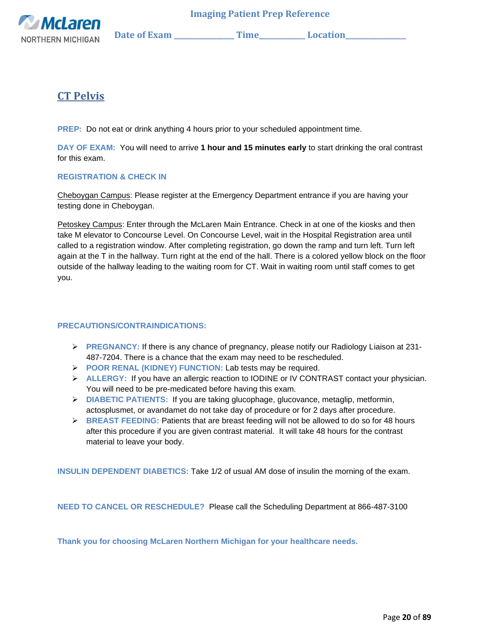

## <span id="page-19-0"></span>**CT Pelvis**

**PREP:** Do not eat or drink anything 4 hours prior to your scheduled appointment time.

**DAY OF EXAM:** You will need to arrive **1 hour and 15 minutes early** to start drinking the oral contrast for this exam.

### **REGISTRATION & CHECK IN**

Cheboygan Campus: Please register at the Emergency Department entrance if you are having your testing done in Cheboygan.

Petoskey Campus: Enter through the McLaren Main Entrance. Check in at one of the kiosks and then take M elevator to Concourse Level. On Concourse Level, wait in the Hospital Registration area until called to a registration window. After completing registration, go down the ramp and turn left. Turn left again at the T in the hallway. Turn right at the end of the hall. There is a colored yellow block on the floor outside of the hallway leading to the waiting room for CT. Wait in waiting room until staff comes to get you.

### **PRECAUTIONS/CONTRAINDICATIONS:**

- ➢ **PREGNANCY:** If there is any chance of pregnancy, please notify our Radiology Liaison at 231- 487-7204. There is a chance that the exam may need to be rescheduled.
- ➢ **POOR RENAL (KIDNEY) FUNCTION:** Lab tests may be required.
- ➢ **ALLERGY:** If you have an allergic reaction to IODINE or IV CONTRAST contact your physician. You will need to be pre-medicated before having this exam.
- ➢ **DIABETIC PATIENTS:** If you are taking glucophage, glucovance, metaglip, metformin, actosplusmet, or avandamet do not take day of procedure or for 2 days after procedure.
- ➢ **BREAST FEEDING:** Patients that are breast feeding will not be allowed to do so for 48 hours after this procedure if you are given contrast material. It will take 48 hours for the contrast material to leave your body.

**INSULIN DEPENDENT DIABETICS:** Take 1/2 of usual AM dose of insulin the morning of the exam.

**NEED TO CANCEL OR RESCHEDULE?** Please call the Scheduling Department at 866-487-3100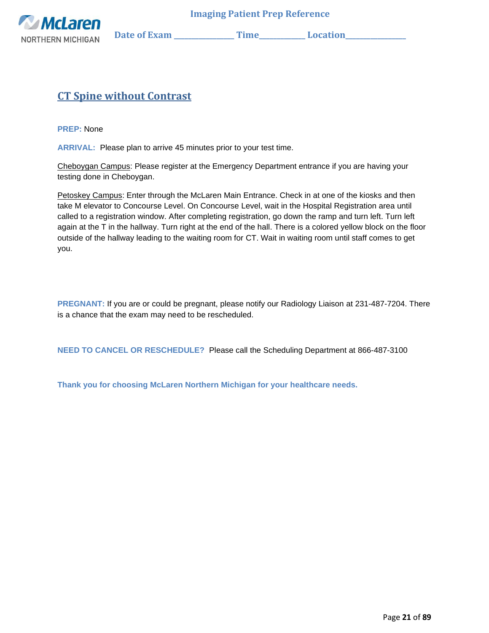

## <span id="page-20-0"></span>**CT Spine without Contrast**

**PREP:** None

**ARRIVAL:** Please plan to arrive 45 minutes prior to your test time.

Cheboygan Campus: Please register at the Emergency Department entrance if you are having your testing done in Cheboygan.

Petoskey Campus: Enter through the McLaren Main Entrance. Check in at one of the kiosks and then take M elevator to Concourse Level. On Concourse Level, wait in the Hospital Registration area until called to a registration window. After completing registration, go down the ramp and turn left. Turn left again at the T in the hallway. Turn right at the end of the hall. There is a colored yellow block on the floor outside of the hallway leading to the waiting room for CT. Wait in waiting room until staff comes to get you.

**PREGNANT:** If you are or could be pregnant, please notify our Radiology Liaison at 231-487-7204. There is a chance that the exam may need to be rescheduled.

**NEED TO CANCEL OR RESCHEDULE?** Please call the Scheduling Department at 866-487-3100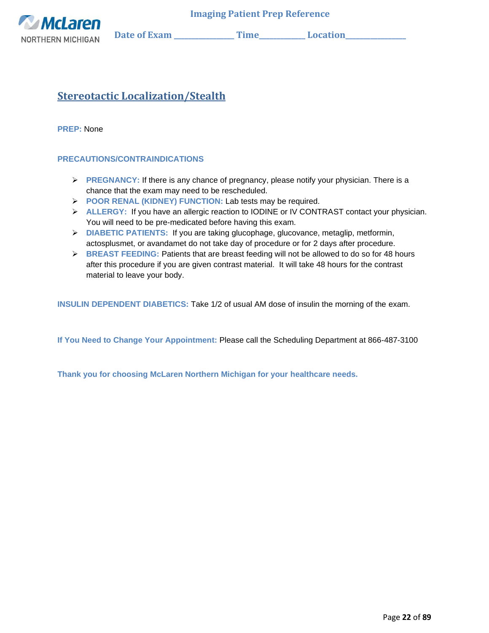

# <span id="page-21-0"></span>**Stereotactic Localization/Stealth**

**PREP:** None

### **PRECAUTIONS/CONTRAINDICATIONS**

- ➢ **PREGNANCY:** If there is any chance of pregnancy, please notify your physician. There is a chance that the exam may need to be rescheduled.
- ➢ **POOR RENAL (KIDNEY) FUNCTION:** Lab tests may be required.
- ➢ **ALLERGY:** If you have an allergic reaction to IODINE or IV CONTRAST contact your physician. You will need to be pre-medicated before having this exam.
- ➢ **DIABETIC PATIENTS:** If you are taking glucophage, glucovance, metaglip, metformin, actosplusmet, or avandamet do not take day of procedure or for 2 days after procedure.
- ➢ **BREAST FEEDING:** Patients that are breast feeding will not be allowed to do so for 48 hours after this procedure if you are given contrast material. It will take 48 hours for the contrast material to leave your body.

**INSULIN DEPENDENT DIABETICS:** Take 1/2 of usual AM dose of insulin the morning of the exam.

**If You Need to Change Your Appointment:** Please call the Scheduling Department at 866-487-3100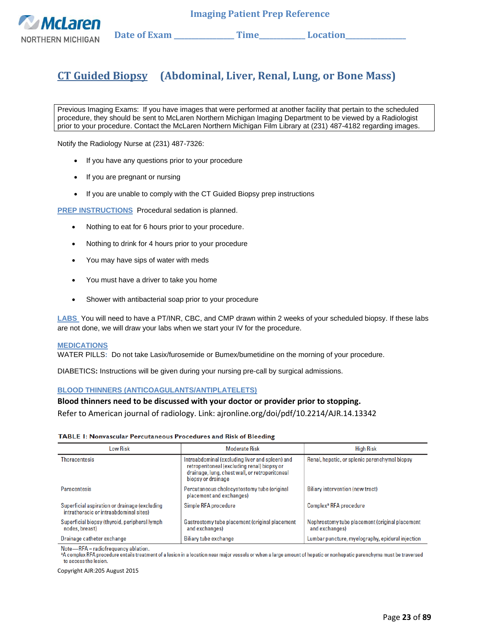

# <span id="page-22-0"></span>**CT Guided Biopsy (Abdominal, Liver, Renal, Lung, or Bone Mass)**

<span id="page-22-1"></span>Previous Imaging Exams: If you have images that were performed at another facility that pertain to the scheduled procedure, they should be sent to McLaren Northern Michigan Imaging Department to be viewed by a Radiologist prior to your procedure. Contact the McLaren Northern Michigan Film Library at (231) 487-4182 regarding images.

Notify the Radiology Nurse at (231) 487-7326:

- If you have any questions prior to your procedure
- If you are pregnant or nursing
- If you are unable to comply with the CT Guided Biopsy prep instructions

**PREP INSTRUCTIONS**Procedural sedation is planned.

- Nothing to eat for 6 hours prior to your procedure.
- Nothing to drink for 4 hours prior to your procedure
- You may have sips of water with meds
- You must have a driver to take you home
- Shower with antibacterial soap prior to your procedure

**LABS** You will need to have a PT/INR, CBC, and CMP drawn within 2 weeks of your scheduled biopsy. If these labs are not done, we will draw your labs when we start your IV for the procedure.

#### **MEDICATIONS**

WATER PILLS**:** Do not take Lasix/furosemide or Bumex/bumetidine on the morning of your procedure.

DIABETICS**:** Instructions will be given during your nursing pre-call by surgical admissions.

#### **BLOOD THINNERS (ANTICOAGULANTS/ANTIPLATELETS)**

#### **Blood thinners need to be discussed with your doctor or provider prior to stopping.**

Refer to American journal of radiology. Link: ajronline.org/doi/pdf/10.2214/AJR.14.13342

#### TABLE 1: Nonvascular Percutaneous Procedures and Risk of Bleeding

| Low Risk                                                                                | <b>Moderate Risk</b>                                                                                                                                                   | <b>High Risk</b>                                                 |
|-----------------------------------------------------------------------------------------|------------------------------------------------------------------------------------------------------------------------------------------------------------------------|------------------------------------------------------------------|
| <b>Thoracentesis</b>                                                                    | Intraabdominal (excluding liver and spleen) and<br>retroperitoneal (excluding renal) biopsy or<br>drainage, lung, chest wall, or retroperitoneal<br>biopsy or drainage | Renal, hepatic, or splenic parenchymal biopsy                    |
| <b>Paracentesis</b>                                                                     | Percutaneous cholecystostomy tube (original<br>placement and exchanges)                                                                                                | Biliary intervention (new tract)                                 |
| Superficial aspiration or drainage (excluding<br>intrathoracic or intraabdominal sites) | Simple RFA procedure                                                                                                                                                   | Complex <sup>ª</sup> RFA procedure                               |
| Superficial biopsy (thyroid, peripheral lymph<br>nodes, breast)                         | Gastrostomy tube placement (original placement<br>and exchanges)                                                                                                       | Nephrostomy tube placement (original placement<br>and exchanges) |
| Drainage catheter exchange                                                              | Biliary tube exchange                                                                                                                                                  | Lumbar puncture, myelography, epidural injection                 |

Note-RFA = radiofrequency ablation.

<sup>a</sup>A complex RFA procedure entails treatment of a lesion in a location near major vessels or when a large amount of hepatic or nonhepatic parenchyma must be traversed to access the lesion

Copyright AJR:205 August 2015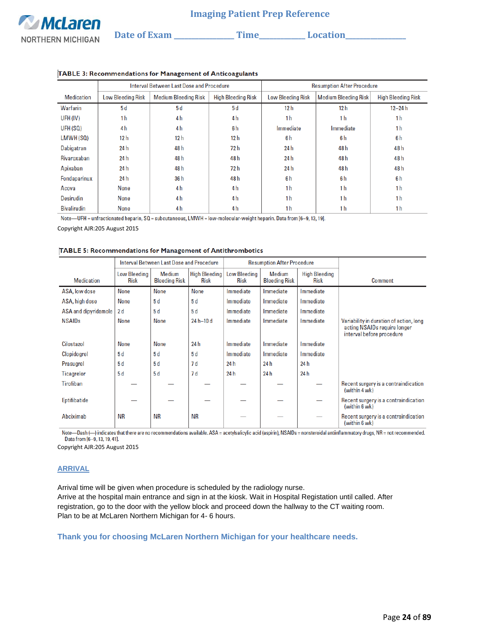|                    |                          | Interval Between Last Dose and Procedure |                           | <b>Resumption After Procedure</b> |                             |                           |  |
|--------------------|--------------------------|------------------------------------------|---------------------------|-----------------------------------|-----------------------------|---------------------------|--|
| <b>Medication</b>  | <b>Low Bleeding Risk</b> | <b>Medium Bleeding Risk</b>              | <b>High Bleeding Risk</b> | <b>Low Bleeding Risk</b>          | <b>Medium Bleeding Risk</b> | <b>High Bleeding Risk</b> |  |
| Warfarin           | 5d                       | 5d                                       | 5d                        | 12 <sub>h</sub>                   | 12 <sub>h</sub>             | $12 - 24 h$               |  |
| UFH (IV)           | 1 <sub>h</sub>           | 4 <sub>h</sub>                           | 4 <sub>h</sub>            | 1 <sub>h</sub>                    | 1 <sub>h</sub>              | 1 <sub>h</sub>            |  |
| UFH (SQ)           | 4 <sub>h</sub>           | 4 <sub>h</sub>                           | 6 <sub>h</sub>            | Immediate                         | Immediate                   | 1 <sub>h</sub>            |  |
| LMWH(SQ)           | 12 <sub>h</sub>          | 12h                                      | 12 h                      | 6h                                | 6h                          | 6h                        |  |
| Dabigatran         | 24 h                     | 48h                                      | 72 h                      | 24 h                              | 48 h                        | 48h                       |  |
| <b>Rivaroxaban</b> | 24 h                     | 48 h                                     | 48 h                      | 24 h                              | 48 h                        | 48 h                      |  |
| Apixaban           | 24 h                     | 48 h                                     | 72 h                      | 24 h                              | 48 h                        | 48h                       |  |
| Fondaparinux       | 24 h                     | 36h                                      | 48 h                      | 6h                                | 6h                          | 6 <sub>h</sub>            |  |
| Acova              | None                     | 4 <sub>h</sub>                           | 4h                        | 1 <sub>h</sub>                    | 1 <sub>h</sub>              | 1 <sub>h</sub>            |  |
| <b>Desirudin</b>   | None                     | 4 h                                      | 4 <sub>h</sub>            | 1 <sub>h</sub>                    | 1 <sub>h</sub>              | 1 <sub>h</sub>            |  |
| <b>Bivalirudin</b> | None                     | 4 h                                      | 4 h                       | 1 <sub>h</sub>                    | 1 <sub>h</sub>              | 1 <sub>h</sub>            |  |

#### TABLE 3: Recommendations for Management of Anticoagulants

Note—UFH = unfractionated heparin,  $SQ =$  subcutaneous, LMWH = low-molecular-weight heparin. Data from [6-9, 13, 19].

Copyright AJR:205 August 2015

#### TABLE 5: Recommendations for Management of Antithrombotics

|                      | Interval Between Last Dose and Procedure |                                |                                     | <b>Resumption After Procedure</b>  |                                |                                     |                                                                                                      |
|----------------------|------------------------------------------|--------------------------------|-------------------------------------|------------------------------------|--------------------------------|-------------------------------------|------------------------------------------------------------------------------------------------------|
| <b>Medication</b>    | <b>Low Bleeding</b><br><b>Risk</b>       | Medium<br><b>Bleeding Risk</b> | <b>High Bleeding</b><br><b>Risk</b> | <b>Low Bleeding</b><br><b>Risk</b> | Medium<br><b>Bleeding Risk</b> | <b>High Bleeding</b><br><b>Risk</b> | Comment                                                                                              |
| ASA, low dose        | <b>None</b>                              | None                           | <b>None</b>                         | Immediate                          | Immediate                      | Immediate                           |                                                                                                      |
| ASA, high dose       | None                                     | 5 d                            | 5d                                  | Immediate                          | Immediate                      | Immediate                           |                                                                                                      |
| ASA and dipyridamole | 2d                                       | 5d                             | 5d                                  | Immediate                          | Immediate                      | Immediate                           |                                                                                                      |
| <b>NSAIDs</b>        | <b>None</b>                              | <b>None</b>                    | $24 h - 10 d$                       | Immediate                          | Immediate                      | Immediate                           | Variability in duration of action, long<br>acting NSAIDs require longer<br>interval before procedure |
| Cilostazol           | <b>None</b>                              | <b>None</b>                    | 24 h                                | Immediate                          | Immediate                      | Immediate                           |                                                                                                      |
| <b>Clopidogrel</b>   | 5d                                       | 5d                             | 5d                                  | Immediate                          | Immediate                      | Immediate                           |                                                                                                      |
| Prasugrel            | 5d                                       | 5d                             | 7d                                  | 24 h                               | 24 h                           | 24 h                                |                                                                                                      |
| Ticagrelor           | 5d                                       | 5d                             | 7d                                  | 24 h                               | 24 h                           | 24h                                 |                                                                                                      |
| Tirofiban            |                                          |                                |                                     |                                    |                                |                                     | Recent surgery is a contraindication<br>(within 4 wk)                                                |
| Eptifibatide         |                                          |                                |                                     |                                    |                                |                                     | Recent surgery is a contraindication<br>(within 6 wk)                                                |
| Abciximab            | ΝR                                       | <b>NR</b>                      | ΝR                                  |                                    |                                |                                     | Recent surgery is a contraindication<br>(within 6 wk)                                                |

Note-Dash (-) indicates that there are no recommendations available. ASA = acetylsalicylic acid (aspirin), NSAIDs = nonsteroidal antiinflammatory drugs, NR = not recommended. Data from [6-9, 13, 19, 41].

Copyright AJR:205 August 2015

#### **ARRIVAL**

Arrival time will be given when procedure is scheduled by the radiology nurse. Arrive at the hospital main entrance and sign in at the kiosk. Wait in Hospital Registation until called. After registration, go to the door with the yellow block and proceed down the hallway to the CT waiting room. Plan to be at McLaren Northern Michigan for 4- 6 hours.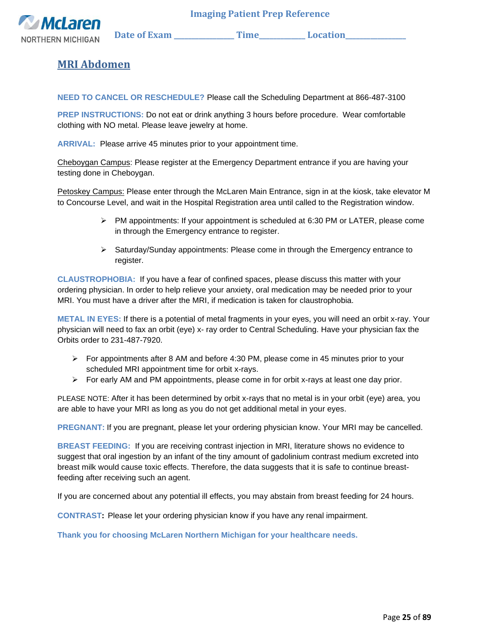

### **MRI Abdomen**

<span id="page-24-0"></span>**NEED TO CANCEL OR RESCHEDULE?** Please call the Scheduling Department at 866-487-3100

**PREP INSTRUCTIONS:** Do not eat or drink anything 3 hours before procedure. Wear comfortable clothing with NO metal. Please leave jewelry at home.

**ARRIVAL:** Please arrive 45 minutes prior to your appointment time.

Cheboygan Campus: Please register at the Emergency Department entrance if you are having your testing done in Cheboygan.

Petoskey Campus: Please enter through the McLaren Main Entrance, sign in at the kiosk, take elevator M to Concourse Level, and wait in the Hospital Registration area until called to the Registration window.

- $\triangleright$  PM appointments: If your appointment is scheduled at 6:30 PM or LATER, please come in through the Emergency entrance to register.
- ➢ Saturday/Sunday appointments: Please come in through the Emergency entrance to register.

**CLAUSTROPHOBIA:** If you have a fear of confined spaces, please discuss this matter with your ordering physician. In order to help relieve your anxiety, oral medication may be needed prior to your MRI. You must have a driver after the MRI, if medication is taken for claustrophobia.

**METAL IN EYES:** If there is a potential of metal fragments in your eyes, you will need an orbit x-ray. Your physician will need to fax an orbit (eye) x- ray order to Central Scheduling. Have your physician fax the Orbits order to 231-487-7920.

- $\triangleright$  For appointments after 8 AM and before 4:30 PM, please come in 45 minutes prior to your scheduled MRI appointment time for orbit x-rays.
- $\triangleright$  For early AM and PM appointments, please come in for orbit x-rays at least one day prior.

PLEASE NOTE: After it has been determined by orbit x-rays that no metal is in your orbit (eye) area, you are able to have your MRI as long as you do not get additional metal in your eyes.

**PREGNANT:** If you are pregnant, please let your ordering physician know. Your MRI may be cancelled.

**BREAST FEEDING:** If you are receiving contrast injection in MRI, literature shows no evidence to suggest that oral ingestion by an infant of the tiny amount of gadolinium contrast medium excreted into breast milk would cause toxic effects. Therefore, the data suggests that it is safe to continue breastfeeding after receiving such an agent.

If you are concerned about any potential ill effects, you may abstain from breast feeding for 24 hours.

**CONTRAST:** Please let your ordering physician know if you have any renal impairment.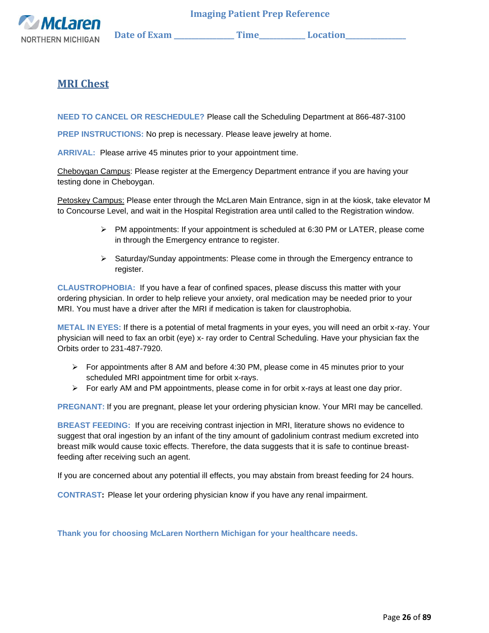

### **MRI Chest**

<span id="page-25-0"></span>**NEED TO CANCEL OR RESCHEDULE?** Please call the Scheduling Department at 866-487-3100

**PREP INSTRUCTIONS:** No prep is necessary. Please leave jewelry at home.

**ARRIVAL:** Please arrive 45 minutes prior to your appointment time.

Cheboygan Campus: Please register at the Emergency Department entrance if you are having your testing done in Cheboygan.

Petoskey Campus: Please enter through the McLaren Main Entrance, sign in at the kiosk, take elevator M to Concourse Level, and wait in the Hospital Registration area until called to the Registration window.

- $\triangleright$  PM appointments: If your appointment is scheduled at 6:30 PM or LATER, please come in through the Emergency entrance to register.
- ➢ Saturday/Sunday appointments: Please come in through the Emergency entrance to register.

**CLAUSTROPHOBIA:** If you have a fear of confined spaces, please discuss this matter with your ordering physician. In order to help relieve your anxiety, oral medication may be needed prior to your MRI. You must have a driver after the MRI if medication is taken for claustrophobia.

**METAL IN EYES:** If there is a potential of metal fragments in your eyes, you will need an orbit x-ray. Your physician will need to fax an orbit (eye) x- ray order to Central Scheduling. Have your physician fax the Orbits order to 231-487-7920.

- ➢ For appointments after 8 AM and before 4:30 PM, please come in 45 minutes prior to your scheduled MRI appointment time for orbit x-rays.
- $\triangleright$  For early AM and PM appointments, please come in for orbit x-rays at least one day prior.

**PREGNANT:** If you are pregnant, please let your ordering physician know. Your MRI may be cancelled.

**BREAST FEEDING:** If you are receiving contrast injection in MRI, literature shows no evidence to suggest that oral ingestion by an infant of the tiny amount of gadolinium contrast medium excreted into breast milk would cause toxic effects. Therefore, the data suggests that it is safe to continue breastfeeding after receiving such an agent.

If you are concerned about any potential ill effects, you may abstain from breast feeding for 24 hours.

**CONTRAST:** Please let your ordering physician know if you have any renal impairment.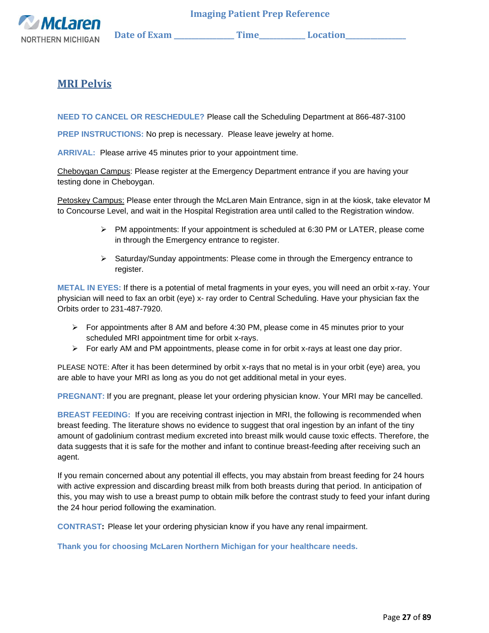

### **MRI Pelvis**

<span id="page-26-0"></span>**NEED TO CANCEL OR RESCHEDULE?** Please call the Scheduling Department at 866-487-3100

**PREP INSTRUCTIONS:** No prep is necessary. Please leave jewelry at home.

**ARRIVAL:** Please arrive 45 minutes prior to your appointment time.

Cheboygan Campus: Please register at the Emergency Department entrance if you are having your testing done in Cheboygan.

Petoskey Campus: Please enter through the McLaren Main Entrance, sign in at the kiosk, take elevator M to Concourse Level, and wait in the Hospital Registration area until called to the Registration window.

- $\triangleright$  PM appointments: If your appointment is scheduled at 6:30 PM or LATER, please come in through the Emergency entrance to register.
- ➢ Saturday/Sunday appointments: Please come in through the Emergency entrance to register.

**METAL IN EYES:** If there is a potential of metal fragments in your eyes, you will need an orbit x-ray. Your physician will need to fax an orbit (eye) x- ray order to Central Scheduling. Have your physician fax the Orbits order to 231-487-7920.

- $\triangleright$  For appointments after 8 AM and before 4:30 PM, please come in 45 minutes prior to your scheduled MRI appointment time for orbit x-rays.
- $\triangleright$  For early AM and PM appointments, please come in for orbit x-rays at least one day prior.

PLEASE NOTE: After it has been determined by orbit x-rays that no metal is in your orbit (eye) area, you are able to have your MRI as long as you do not get additional metal in your eyes.

**PREGNANT:** If you are pregnant, please let your ordering physician know. Your MRI may be cancelled.

**BREAST FEEDING:** If you are receiving contrast injection in MRI, the following is recommended when breast feeding. The literature shows no evidence to suggest that oral ingestion by an infant of the tiny amount of gadolinium contrast medium excreted into breast milk would cause toxic effects. Therefore, the data suggests that it is safe for the mother and infant to continue breast-feeding after receiving such an agent.

If you remain concerned about any potential ill effects, you may abstain from breast feeding for 24 hours with active expression and discarding breast milk from both breasts during that period. In anticipation of this, you may wish to use a breast pump to obtain milk before the contrast study to feed your infant during the 24 hour period following the examination.

**CONTRAST:** Please let your ordering physician know if you have any renal impairment.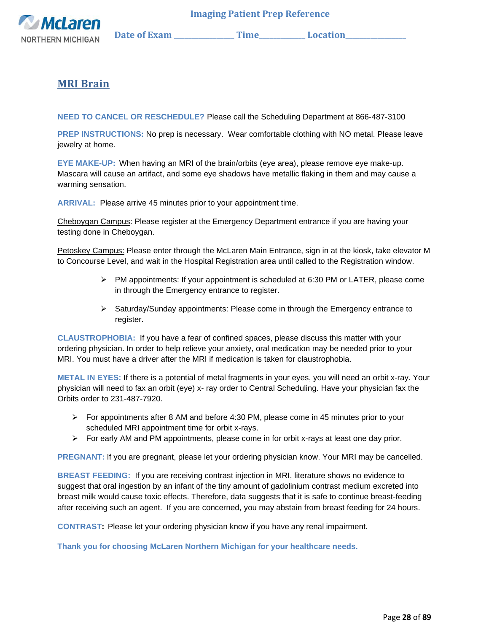

### **MRI Brain**

<span id="page-27-0"></span>**NEED TO CANCEL OR RESCHEDULE?** Please call the Scheduling Department at 866-487-3100

**PREP INSTRUCTIONS:** No prep is necessary. Wear comfortable clothing with NO metal. Please leave jewelry at home.

**EYE MAKE-UP:** When having an MRI of the brain/orbits (eye area), please remove eye make-up. Mascara will cause an artifact, and some eye shadows have metallic flaking in them and may cause a warming sensation.

**ARRIVAL:** Please arrive 45 minutes prior to your appointment time.

Cheboygan Campus: Please register at the Emergency Department entrance if you are having your testing done in Cheboygan.

Petoskey Campus: Please enter through the McLaren Main Entrance, sign in at the kiosk, take elevator M to Concourse Level, and wait in the Hospital Registration area until called to the Registration window.

- $\triangleright$  PM appointments: If your appointment is scheduled at 6:30 PM or LATER, please come in through the Emergency entrance to register.
- $\triangleright$  Saturday/Sunday appointments: Please come in through the Emergency entrance to register.

**CLAUSTROPHOBIA:** If you have a fear of confined spaces, please discuss this matter with your ordering physician. In order to help relieve your anxiety, oral medication may be needed prior to your MRI. You must have a driver after the MRI if medication is taken for claustrophobia.

**METAL IN EYES:** If there is a potential of metal fragments in your eyes, you will need an orbit x-ray. Your physician will need to fax an orbit (eye) x- ray order to Central Scheduling. Have your physician fax the Orbits order to 231-487-7920.

- $\triangleright$  For appointments after 8 AM and before 4:30 PM, please come in 45 minutes prior to your scheduled MRI appointment time for orbit x-rays.
- $\triangleright$  For early AM and PM appointments, please come in for orbit x-rays at least one day prior.

**PREGNANT:** If you are pregnant, please let your ordering physician know. Your MRI may be cancelled.

**BREAST FEEDING:** If you are receiving contrast injection in MRI, literature shows no evidence to suggest that oral ingestion by an infant of the tiny amount of gadolinium contrast medium excreted into breast milk would cause toxic effects. Therefore, data suggests that it is safe to continue breast-feeding after receiving such an agent. If you are concerned, you may abstain from breast feeding for 24 hours.

**CONTRAST:** Please let your ordering physician know if you have any renal impairment.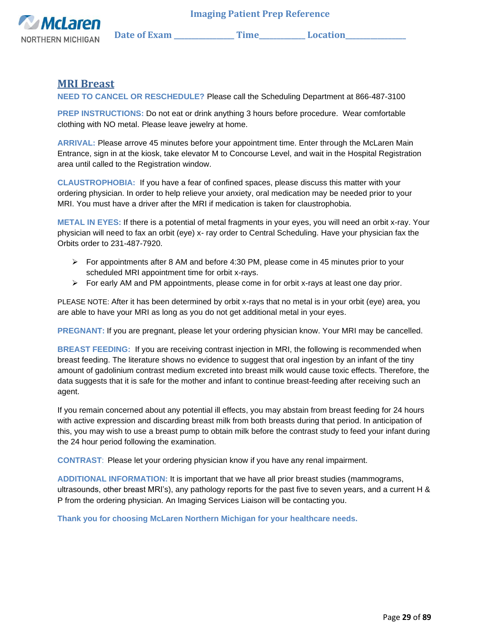

### **MRI Breast**

<span id="page-28-0"></span>**NEED TO CANCEL OR RESCHEDULE?** Please call the Scheduling Department at 866-487-3100

**PREP INSTRUCTIONS:** Do not eat or drink anything 3 hours before procedure. Wear comfortable clothing with NO metal. Please leave jewelry at home.

**ARRIVAL:** Please arrove 45 minutes before your appointment time. Enter through the McLaren Main Entrance, sign in at the kiosk, take elevator M to Concourse Level, and wait in the Hospital Registration area until called to the Registration window.

**CLAUSTROPHOBIA:** If you have a fear of confined spaces, please discuss this matter with your ordering physician. In order to help relieve your anxiety, oral medication may be needed prior to your MRI. You must have a driver after the MRI if medication is taken for claustrophobia.

**METAL IN EYES:** If there is a potential of metal fragments in your eyes, you will need an orbit x-ray. Your physician will need to fax an orbit (eye) x- ray order to Central Scheduling. Have your physician fax the Orbits order to 231-487-7920.

- $\triangleright$  For appointments after 8 AM and before 4:30 PM, please come in 45 minutes prior to your scheduled MRI appointment time for orbit x-rays.
- $\triangleright$  For early AM and PM appointments, please come in for orbit x-rays at least one day prior.

PLEASE NOTE: After it has been determined by orbit x-rays that no metal is in your orbit (eye) area, you are able to have your MRI as long as you do not get additional metal in your eyes.

**PREGNANT:** If you are pregnant, please let your ordering physician know. Your MRI may be cancelled.

**BREAST FEEDING:** If you are receiving contrast injection in MRI, the following is recommended when breast feeding. The literature shows no evidence to suggest that oral ingestion by an infant of the tiny amount of gadolinium contrast medium excreted into breast milk would cause toxic effects. Therefore, the data suggests that it is safe for the mother and infant to continue breast-feeding after receiving such an agent.

If you remain concerned about any potential ill effects, you may abstain from breast feeding for 24 hours with active expression and discarding breast milk from both breasts during that period. In anticipation of this, you may wish to use a breast pump to obtain milk before the contrast study to feed your infant during the 24 hour period following the examination.

**CONTRAST**: Please let your ordering physician know if you have any renal impairment.

**ADDITIONAL INFORMATION:** It is important that we have all prior breast studies (mammograms, ultrasounds, other breast MRI's), any pathology reports for the past five to seven years, and a current H & P from the ordering physician. An Imaging Services Liaison will be contacting you.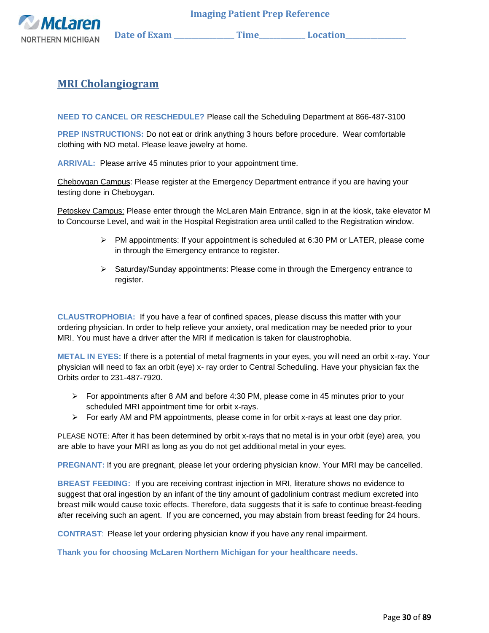

### <span id="page-29-0"></span>**MRI Cholangiogram**

**NEED TO CANCEL OR RESCHEDULE?** Please call the Scheduling Department at 866-487-3100

**PREP INSTRUCTIONS:** Do not eat or drink anything 3 hours before procedure. Wear comfortable clothing with NO metal. Please leave jewelry at home.

**ARRIVAL:** Please arrive 45 minutes prior to your appointment time.

Cheboygan Campus: Please register at the Emergency Department entrance if you are having your testing done in Cheboygan.

Petoskey Campus: Please enter through the McLaren Main Entrance, sign in at the kiosk, take elevator M to Concourse Level, and wait in the Hospital Registration area until called to the Registration window.

- $\triangleright$  PM appointments: If your appointment is scheduled at 6:30 PM or LATER, please come in through the Emergency entrance to register.
- ➢ Saturday/Sunday appointments: Please come in through the Emergency entrance to register.

**CLAUSTROPHOBIA:** If you have a fear of confined spaces, please discuss this matter with your ordering physician. In order to help relieve your anxiety, oral medication may be needed prior to your MRI. You must have a driver after the MRI if medication is taken for claustrophobia.

**METAL IN EYES:** If there is a potential of metal fragments in your eyes, you will need an orbit x-ray. Your physician will need to fax an orbit (eye) x- ray order to Central Scheduling. Have your physician fax the Orbits order to 231-487-7920.

- $\triangleright$  For appointments after 8 AM and before 4:30 PM, please come in 45 minutes prior to your scheduled MRI appointment time for orbit x-rays.
- ➢ For early AM and PM appointments, please come in for orbit x-rays at least one day prior.

PLEASE NOTE: After it has been determined by orbit x-rays that no metal is in your orbit (eye) area, you are able to have your MRI as long as you do not get additional metal in your eyes.

**PREGNANT:** If you are pregnant, please let your ordering physician know. Your MRI may be cancelled.

**BREAST FEEDING:** If you are receiving contrast injection in MRI, literature shows no evidence to suggest that oral ingestion by an infant of the tiny amount of gadolinium contrast medium excreted into breast milk would cause toxic effects. Therefore, data suggests that it is safe to continue breast-feeding after receiving such an agent. If you are concerned, you may abstain from breast feeding for 24 hours.

**CONTRAST**: Please let your ordering physician know if you have any renal impairment.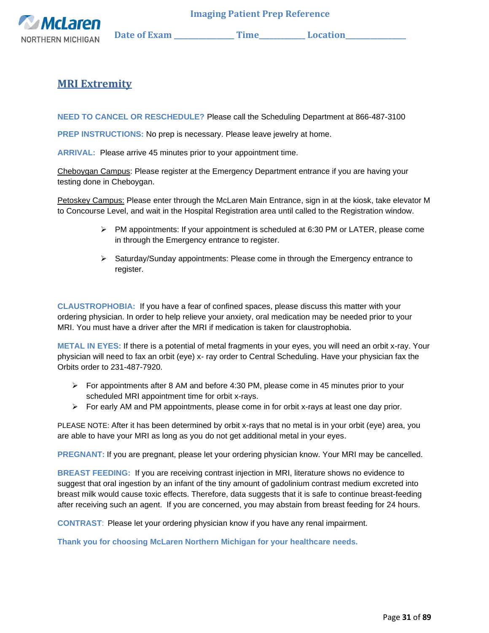

### <span id="page-30-0"></span>**MRI Extremity**

**NEED TO CANCEL OR RESCHEDULE?** Please call the Scheduling Department at 866-487-3100

**PREP INSTRUCTIONS:** No prep is necessary. Please leave jewelry at home.

**ARRIVAL:** Please arrive 45 minutes prior to your appointment time.

Cheboygan Campus: Please register at the Emergency Department entrance if you are having your testing done in Cheboygan.

Petoskey Campus: Please enter through the McLaren Main Entrance, sign in at the kiosk, take elevator M to Concourse Level, and wait in the Hospital Registration area until called to the Registration window.

- $\triangleright$  PM appointments: If your appointment is scheduled at 6:30 PM or LATER, please come in through the Emergency entrance to register.
- ➢ Saturday/Sunday appointments: Please come in through the Emergency entrance to register.

**CLAUSTROPHOBIA:** If you have a fear of confined spaces, please discuss this matter with your ordering physician. In order to help relieve your anxiety, oral medication may be needed prior to your MRI. You must have a driver after the MRI if medication is taken for claustrophobia.

**METAL IN EYES:** If there is a potential of metal fragments in your eyes, you will need an orbit x-ray. Your physician will need to fax an orbit (eye) x- ray order to Central Scheduling. Have your physician fax the Orbits order to 231-487-7920.

- $\triangleright$  For appointments after 8 AM and before 4:30 PM, please come in 45 minutes prior to your scheduled MRI appointment time for orbit x-rays.
- $\triangleright$  For early AM and PM appointments, please come in for orbit x-rays at least one day prior.

PLEASE NOTE: After it has been determined by orbit x-rays that no metal is in your orbit (eye) area, you are able to have your MRI as long as you do not get additional metal in your eyes.

**PREGNANT:** If you are pregnant, please let your ordering physician know. Your MRI may be cancelled.

**BREAST FEEDING:** If you are receiving contrast injection in MRI, literature shows no evidence to suggest that oral ingestion by an infant of the tiny amount of gadolinium contrast medium excreted into breast milk would cause toxic effects. Therefore, data suggests that it is safe to continue breast-feeding after receiving such an agent. If you are concerned, you may abstain from breast feeding for 24 hours.

**CONTRAST**: Please let your ordering physician know if you have any renal impairment.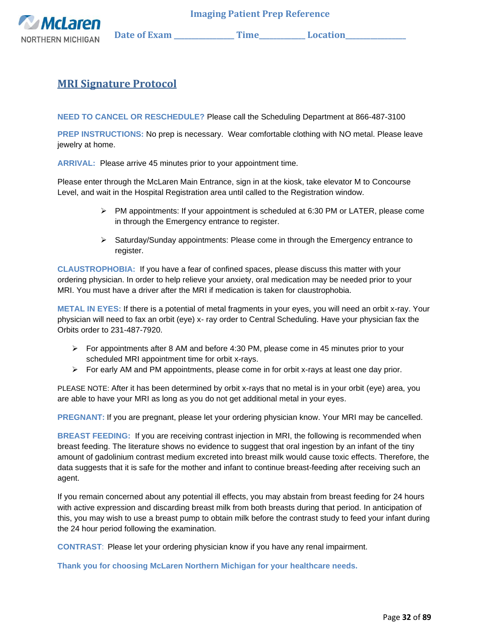

## <span id="page-31-0"></span>**MRI Signature Protocol**

**NEED TO CANCEL OR RESCHEDULE?** Please call the Scheduling Department at 866-487-3100

**PREP INSTRUCTIONS:** No prep is necessary. Wear comfortable clothing with NO metal. Please leave jewelry at home.

**ARRIVAL:** Please arrive 45 minutes prior to your appointment time.

Please enter through the McLaren Main Entrance, sign in at the kiosk, take elevator M to Concourse Level, and wait in the Hospital Registration area until called to the Registration window.

- $\triangleright$  PM appointments: If your appointment is scheduled at 6:30 PM or LATER, please come in through the Emergency entrance to register.
- ➢ Saturday/Sunday appointments: Please come in through the Emergency entrance to register.

**CLAUSTROPHOBIA:** If you have a fear of confined spaces, please discuss this matter with your ordering physician. In order to help relieve your anxiety, oral medication may be needed prior to your MRI. You must have a driver after the MRI if medication is taken for claustrophobia.

**METAL IN EYES:** If there is a potential of metal fragments in your eyes, you will need an orbit x-ray. Your physician will need to fax an orbit (eye) x- ray order to Central Scheduling. Have your physician fax the Orbits order to 231-487-7920.

- $\triangleright$  For appointments after 8 AM and before 4:30 PM, please come in 45 minutes prior to your scheduled MRI appointment time for orbit x-rays.
- $\triangleright$  For early AM and PM appointments, please come in for orbit x-rays at least one day prior.

PLEASE NOTE: After it has been determined by orbit x-rays that no metal is in your orbit (eye) area, you are able to have your MRI as long as you do not get additional metal in your eyes.

**PREGNANT:** If you are pregnant, please let your ordering physician know. Your MRI may be cancelled.

**BREAST FEEDING:** If you are receiving contrast injection in MRI, the following is recommended when breast feeding. The literature shows no evidence to suggest that oral ingestion by an infant of the tiny amount of gadolinium contrast medium excreted into breast milk would cause toxic effects. Therefore, the data suggests that it is safe for the mother and infant to continue breast-feeding after receiving such an agent.

If you remain concerned about any potential ill effects, you may abstain from breast feeding for 24 hours with active expression and discarding breast milk from both breasts during that period. In anticipation of this, you may wish to use a breast pump to obtain milk before the contrast study to feed your infant during the 24 hour period following the examination.

**CONTRAST**: Please let your ordering physician know if you have any renal impairment.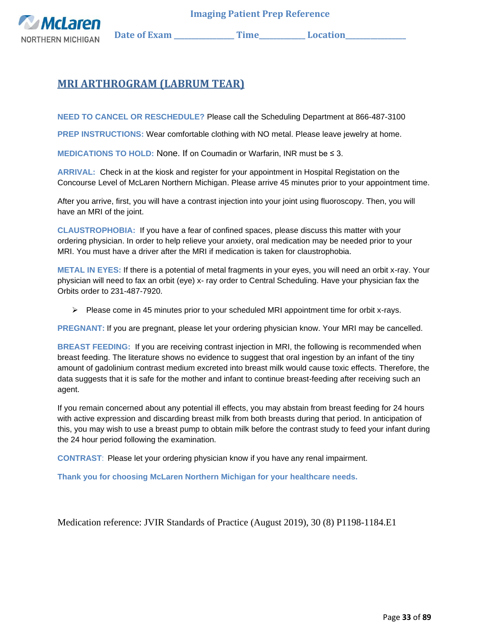

## <span id="page-32-0"></span>**MRI ARTHROGRAM (LABRUM TEAR)**

**NEED TO CANCEL OR RESCHEDULE?** Please call the Scheduling Department at 866-487-3100

**PREP INSTRUCTIONS:** Wear comfortable clothing with NO metal. Please leave jewelry at home.

**MEDICATIONS TO HOLD:** None. If on Coumadin or Warfarin, INR must be ≤ 3.

**ARRIVAL:** Check in at the kiosk and register for your appointment in Hospital Registation on the Concourse Level of McLaren Northern Michigan. Please arrive 45 minutes prior to your appointment time.

After you arrive, first, you will have a contrast injection into your joint using fluoroscopy. Then, you will have an MRI of the joint.

**CLAUSTROPHOBIA:** If you have a fear of confined spaces, please discuss this matter with your ordering physician. In order to help relieve your anxiety, oral medication may be needed prior to your MRI. You must have a driver after the MRI if medication is taken for claustrophobia.

**METAL IN EYES:** If there is a potential of metal fragments in your eyes, you will need an orbit x-ray. Your physician will need to fax an orbit (eye) x- ray order to Central Scheduling. Have your physician fax the Orbits order to 231-487-7920.

 $\triangleright$  Please come in 45 minutes prior to your scheduled MRI appointment time for orbit x-rays.

**PREGNANT:** If you are pregnant, please let your ordering physician know. Your MRI may be cancelled.

**BREAST FEEDING:** If you are receiving contrast injection in MRI, the following is recommended when breast feeding. The literature shows no evidence to suggest that oral ingestion by an infant of the tiny amount of gadolinium contrast medium excreted into breast milk would cause toxic effects. Therefore, the data suggests that it is safe for the mother and infant to continue breast-feeding after receiving such an agent.

If you remain concerned about any potential ill effects, you may abstain from breast feeding for 24 hours with active expression and discarding breast milk from both breasts during that period. In anticipation of this, you may wish to use a breast pump to obtain milk before the contrast study to feed your infant during the 24 hour period following the examination.

**CONTRAST**: Please let your ordering physician know if you have any renal impairment.

**Thank you for choosing McLaren Northern Michigan for your healthcare needs.**

Medication reference: JVIR Standards of Practice (August 2019), 30 (8) P1198-1184.E1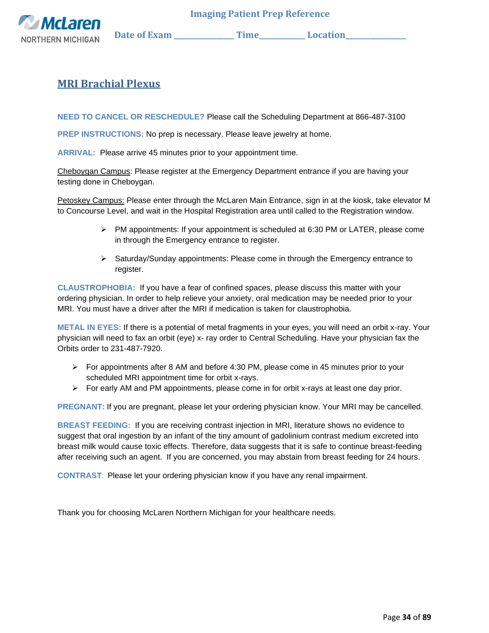

## <span id="page-33-0"></span>**MRI Brachial Plexus**

**NEED TO CANCEL OR RESCHEDULE?** Please call the Scheduling Department at 866-487-3100

**PREP INSTRUCTIONS:** No prep is necessary. Please leave jewelry at home.

**ARRIVAL:** Please arrive 45 minutes prior to your appointment time.

Cheboygan Campus: Please register at the Emergency Department entrance if you are having your testing done in Cheboygan.

Petoskey Campus: Please enter through the McLaren Main Entrance, sign in at the kiosk, take elevator M to Concourse Level, and wait in the Hospital Registration area until called to the Registration window.

- $\triangleright$  PM appointments: If your appointment is scheduled at 6:30 PM or LATER, please come in through the Emergency entrance to register.
- ➢ Saturday/Sunday appointments: Please come in through the Emergency entrance to register.

**CLAUSTROPHOBIA:** If you have a fear of confined spaces, please discuss this matter with your ordering physician. In order to help relieve your anxiety, oral medication may be needed prior to your MRI. You must have a driver after the MRI if medication is taken for claustrophobia.

**METAL IN EYES:** If there is a potential of metal fragments in your eyes, you will need an orbit x-ray. Your physician will need to fax an orbit (eye) x- ray order to Central Scheduling. Have your physician fax the Orbits order to 231-487-7920.

- ➢ For appointments after 8 AM and before 4:30 PM, please come in 45 minutes prior to your scheduled MRI appointment time for orbit x-rays.
- $\triangleright$  For early AM and PM appointments, please come in for orbit x-rays at least one day prior.

**PREGNANT:** If you are pregnant, please let your ordering physician know. Your MRI may be cancelled.

**BREAST FEEDING:** If you are receiving contrast injection in MRI, literature shows no evidence to suggest that oral ingestion by an infant of the tiny amount of gadolinium contrast medium excreted into breast milk would cause toxic effects. Therefore, data suggests that it is safe to continue breast-feeding after receiving such an agent. If you are concerned, you may abstain from breast feeding for 24 hours.

**CONTRAST**: Please let your ordering physician know if you have any renal impairment.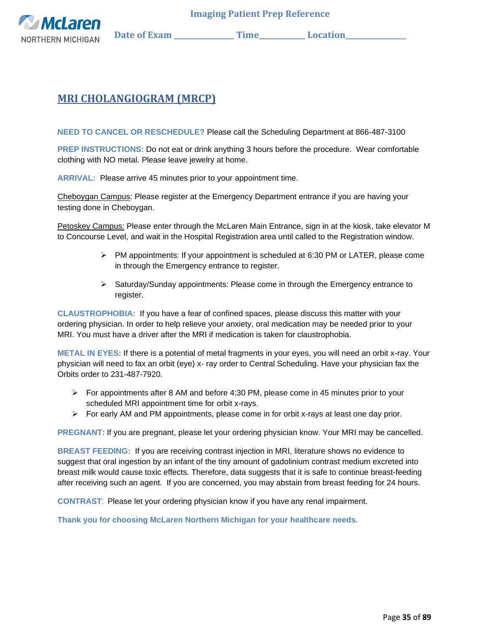

# <span id="page-34-0"></span>**MRI CHOLANGIOGRAM (MRCP)**

**NEED TO CANCEL OR RESCHEDULE?** Please call the Scheduling Department at 866-487-3100

**PREP INSTRUCTIONS:** Do not eat or drink anything 3 hours before the procedure. Wear comfortable clothing with NO metal. Please leave jewelry at home.

**ARRIVAL:** Please arrive 45 minutes prior to your appointment time.

Cheboygan Campus: Please register at the Emergency Department entrance if you are having your testing done in Cheboygan.

Petoskey Campus: Please enter through the McLaren Main Entrance, sign in at the kiosk, take elevator M to Concourse Level, and wait in the Hospital Registration area until called to the Registration window.

- ➢ PM appointments: If your appointment is scheduled at 6:30 PM or LATER, please come in through the Emergency entrance to register.
- $\triangleright$  Saturday/Sunday appointments: Please come in through the Emergency entrance to register.

**CLAUSTROPHOBIA:** If you have a fear of confined spaces, please discuss this matter with your ordering physician. In order to help relieve your anxiety, oral medication may be needed prior to your MRI. You must have a driver after the MRI if medication is taken for claustrophobia.

**METAL IN EYES:** If there is a potential of metal fragments in your eyes, you will need an orbit x-ray. Your physician will need to fax an orbit (eye) x- ray order to Central Scheduling. Have your physician fax the Orbits order to 231-487-7920.

- $\triangleright$  For appointments after 8 AM and before 4:30 PM, please come in 45 minutes prior to your scheduled MRI appointment time for orbit x-rays.
- $\triangleright$  For early AM and PM appointments, please come in for orbit x-rays at least one day prior.

**PREGNANT:** If you are pregnant, please let your ordering physician know. Your MRI may be cancelled.

**BREAST FEEDING:** If you are receiving contrast injection in MRI, literature shows no evidence to suggest that oral ingestion by an infant of the tiny amount of gadolinium contrast medium excreted into breast milk would cause toxic effects. Therefore, data suggests that it is safe to continue breast-feeding after receiving such an agent. If you are concerned, you may abstain from breast feeding for 24 hours.

**CONTRAST**: Please let your ordering physician know if you have any renal impairment.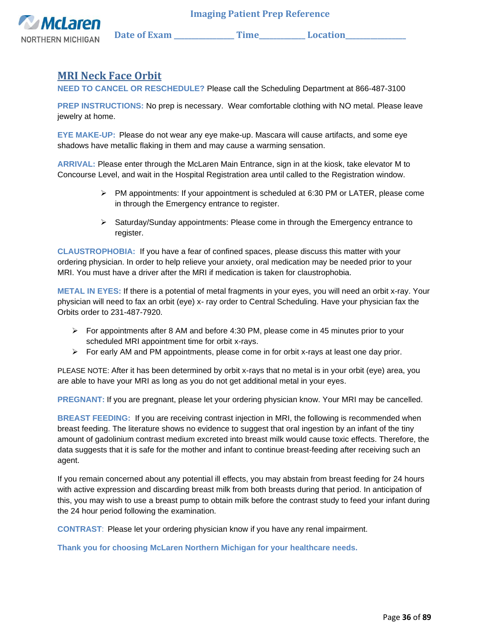

### <span id="page-35-0"></span>**MRI Neck Face Orbit**

**NEED TO CANCEL OR RESCHEDULE?** Please call the Scheduling Department at 866-487-3100

**PREP INSTRUCTIONS:** No prep is necessary. Wear comfortable clothing with NO metal. Please leave jewelry at home.

**EYE MAKE-UP:** Please do not wear any eye make-up. Mascara will cause artifacts, and some eye shadows have metallic flaking in them and may cause a warming sensation.

**ARRIVAL:** Please enter through the McLaren Main Entrance, sign in at the kiosk, take elevator M to Concourse Level, and wait in the Hospital Registration area until called to the Registration window.

- ➢ PM appointments: If your appointment is scheduled at 6:30 PM or LATER, please come in through the Emergency entrance to register.
- $\triangleright$  Saturday/Sunday appointments: Please come in through the Emergency entrance to register.

**CLAUSTROPHOBIA:** If you have a fear of confined spaces, please discuss this matter with your ordering physician. In order to help relieve your anxiety, oral medication may be needed prior to your MRI. You must have a driver after the MRI if medication is taken for claustrophobia.

**METAL IN EYES:** If there is a potential of metal fragments in your eyes, you will need an orbit x-ray. Your physician will need to fax an orbit (eye) x- ray order to Central Scheduling. Have your physician fax the Orbits order to 231-487-7920.

- ➢ For appointments after 8 AM and before 4:30 PM, please come in 45 minutes prior to your scheduled MRI appointment time for orbit x-rays.
- ➢ For early AM and PM appointments, please come in for orbit x-rays at least one day prior.

PLEASE NOTE: After it has been determined by orbit x-rays that no metal is in your orbit (eye) area, you are able to have your MRI as long as you do not get additional metal in your eyes.

**PREGNANT:** If you are pregnant, please let your ordering physician know. Your MRI may be cancelled.

**BREAST FEEDING:** If you are receiving contrast injection in MRI, the following is recommended when breast feeding. The literature shows no evidence to suggest that oral ingestion by an infant of the tiny amount of gadolinium contrast medium excreted into breast milk would cause toxic effects. Therefore, the data suggests that it is safe for the mother and infant to continue breast-feeding after receiving such an agent.

If you remain concerned about any potential ill effects, you may abstain from breast feeding for 24 hours with active expression and discarding breast milk from both breasts during that period. In anticipation of this, you may wish to use a breast pump to obtain milk before the contrast study to feed your infant during the 24 hour period following the examination.

**CONTRAST**: Please let your ordering physician know if you have any renal impairment.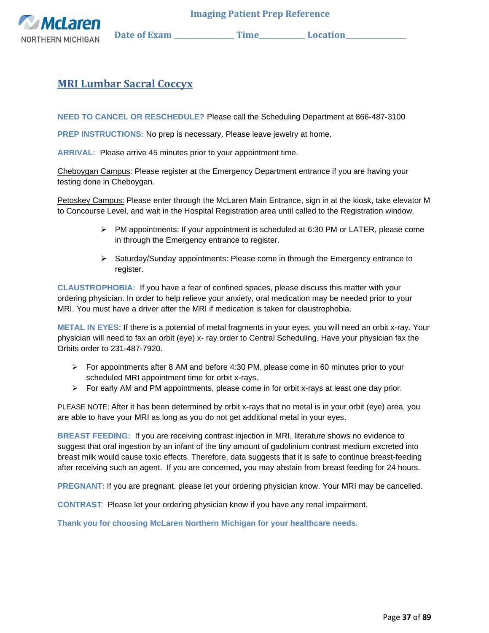

## **MRI Lumbar Sacral Coccyx**

**NEED TO CANCEL OR RESCHEDULE?** Please call the Scheduling Department at 866-487-3100

**PREP INSTRUCTIONS:** No prep is necessary. Please leave jewelry at home.

**ARRIVAL:** Please arrive 45 minutes prior to your appointment time.

Cheboygan Campus: Please register at the Emergency Department entrance if you are having your testing done in Cheboygan.

Petoskey Campus: Please enter through the McLaren Main Entrance, sign in at the kiosk, take elevator M to Concourse Level, and wait in the Hospital Registration area until called to the Registration window.

- $\triangleright$  PM appointments: If your appointment is scheduled at 6:30 PM or LATER, please come in through the Emergency entrance to register.
- ➢ Saturday/Sunday appointments: Please come in through the Emergency entrance to register.

**CLAUSTROPHOBIA:** If you have a fear of confined spaces, please discuss this matter with your ordering physician. In order to help relieve your anxiety, oral medication may be needed prior to your MRI. You must have a driver after the MRI if medication is taken for claustrophobia.

**METAL IN EYES:** If there is a potential of metal fragments in your eyes, you will need an orbit x-ray. Your physician will need to fax an orbit (eye) x- ray order to Central Scheduling. Have your physician fax the Orbits order to 231-487-7920.

- $\triangleright$  For appointments after 8 AM and before 4:30 PM, please come in 60 minutes prior to your scheduled MRI appointment time for orbit x-rays.
- $\triangleright$  For early AM and PM appointments, please come in for orbit x-rays at least one day prior.

PLEASE NOTE: After it has been determined by orbit x-rays that no metal is in your orbit (eye) area, you are able to have your MRI as long as you do not get additional metal in your eyes.

**BREAST FEEDING:** If you are receiving contrast injection in MRI, literature shows no evidence to suggest that oral ingestion by an infant of the tiny amount of gadolinium contrast medium excreted into breast milk would cause toxic effects. Therefore, data suggests that it is safe to continue breast-feeding after receiving such an agent. If you are concerned, you may abstain from breast feeding for 24 hours.

**PREGNANT:** If you are pregnant, please let your ordering physician know. Your MRI may be cancelled.

**CONTRAST**: Please let your ordering physician know if you have any renal impairment.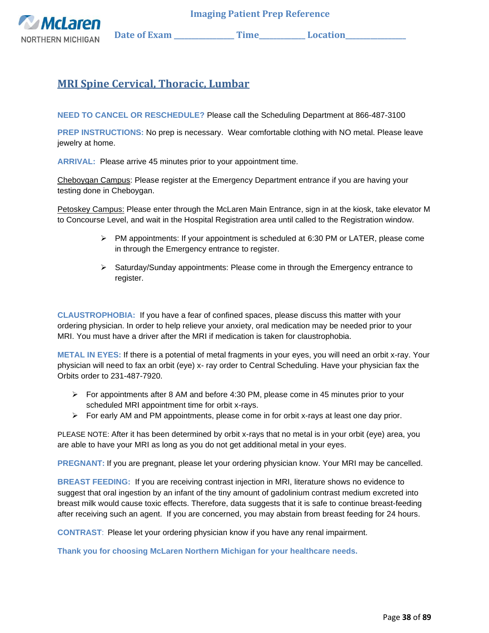**McLarer** 

**NORTHERN MICHIGAN** Date of Exam \_\_\_\_\_\_\_\_\_\_\_\_\_\_\_Time\_\_\_\_\_\_\_\_\_\_\_\_\_Location\_\_\_\_\_\_\_\_\_

# **MRI Spine Cervical, Thoracic, Lumbar**

**NEED TO CANCEL OR RESCHEDULE?** Please call the Scheduling Department at 866-487-3100

**PREP INSTRUCTIONS:** No prep is necessary. Wear comfortable clothing with NO metal. Please leave jewelry at home.

**ARRIVAL:** Please arrive 45 minutes prior to your appointment time.

Cheboygan Campus: Please register at the Emergency Department entrance if you are having your testing done in Cheboygan.

Petoskey Campus: Please enter through the McLaren Main Entrance, sign in at the kiosk, take elevator M to Concourse Level, and wait in the Hospital Registration area until called to the Registration window.

- $\triangleright$  PM appointments: If your appointment is scheduled at 6:30 PM or LATER, please come in through the Emergency entrance to register.
- $\triangleright$  Saturday/Sunday appointments: Please come in through the Emergency entrance to register.

**CLAUSTROPHOBIA:** If you have a fear of confined spaces, please discuss this matter with your ordering physician. In order to help relieve your anxiety, oral medication may be needed prior to your MRI. You must have a driver after the MRI if medication is taken for claustrophobia.

**METAL IN EYES:** If there is a potential of metal fragments in your eyes, you will need an orbit x-ray. Your physician will need to fax an orbit (eye) x- ray order to Central Scheduling. Have your physician fax the Orbits order to 231-487-7920.

- $\triangleright$  For appointments after 8 AM and before 4:30 PM, please come in 45 minutes prior to your scheduled MRI appointment time for orbit x-rays.
- $\triangleright$  For early AM and PM appointments, please come in for orbit x-rays at least one day prior.

PLEASE NOTE: After it has been determined by orbit x-rays that no metal is in your orbit (eye) area, you are able to have your MRI as long as you do not get additional metal in your eyes.

**PREGNANT:** If you are pregnant, please let your ordering physician know. Your MRI may be cancelled.

**BREAST FEEDING:** If you are receiving contrast injection in MRI, literature shows no evidence to suggest that oral ingestion by an infant of the tiny amount of gadolinium contrast medium excreted into breast milk would cause toxic effects. Therefore, data suggests that it is safe to continue breast-feeding after receiving such an agent. If you are concerned, you may abstain from breast feeding for 24 hours.

**CONTRAST**: Please let your ordering physician know if you have any renal impairment.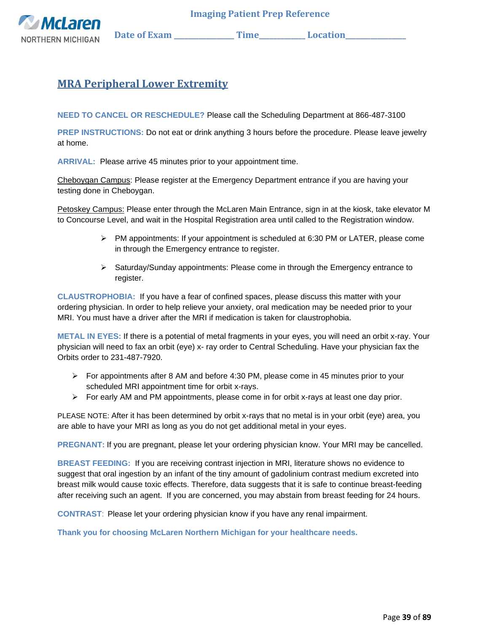

**McLarer NORTHERN MICHIGAN** Date of Exam \_\_\_\_\_\_\_\_\_\_\_\_\_\_\_Time\_\_\_\_\_\_\_\_\_\_\_\_\_Location\_\_\_\_\_\_\_\_\_

## **MRA Peripheral Lower Extremity**

**NEED TO CANCEL OR RESCHEDULE?** Please call the Scheduling Department at 866-487-3100

**PREP INSTRUCTIONS:** Do not eat or drink anything 3 hours before the procedure. Please leave jewelry at home.

**ARRIVAL:** Please arrive 45 minutes prior to your appointment time.

Cheboygan Campus: Please register at the Emergency Department entrance if you are having your testing done in Cheboygan.

Petoskey Campus: Please enter through the McLaren Main Entrance, sign in at the kiosk, take elevator M to Concourse Level, and wait in the Hospital Registration area until called to the Registration window.

- $\triangleright$  PM appointments: If your appointment is scheduled at 6:30 PM or LATER, please come in through the Emergency entrance to register.
- $\triangleright$  Saturday/Sunday appointments: Please come in through the Emergency entrance to register.

**CLAUSTROPHOBIA:** If you have a fear of confined spaces, please discuss this matter with your ordering physician. In order to help relieve your anxiety, oral medication may be needed prior to your MRI. You must have a driver after the MRI if medication is taken for claustrophobia.

**METAL IN EYES:** If there is a potential of metal fragments in your eyes, you will need an orbit x-ray. Your physician will need to fax an orbit (eye) x- ray order to Central Scheduling. Have your physician fax the Orbits order to 231-487-7920.

- $\triangleright$  For appointments after 8 AM and before 4:30 PM, please come in 45 minutes prior to your scheduled MRI appointment time for orbit x-rays.
- $\triangleright$  For early AM and PM appointments, please come in for orbit x-rays at least one day prior.

PLEASE NOTE: After it has been determined by orbit x-rays that no metal is in your orbit (eye) area, you are able to have your MRI as long as you do not get additional metal in your eyes.

**PREGNANT:** If you are pregnant, please let your ordering physician know. Your MRI may be cancelled.

**BREAST FEEDING:** If you are receiving contrast injection in MRI, literature shows no evidence to suggest that oral ingestion by an infant of the tiny amount of gadolinium contrast medium excreted into breast milk would cause toxic effects. Therefore, data suggests that it is safe to continue breast-feeding after receiving such an agent. If you are concerned, you may abstain from breast feeding for 24 hours.

**CONTRAST**: Please let your ordering physician know if you have any renal impairment.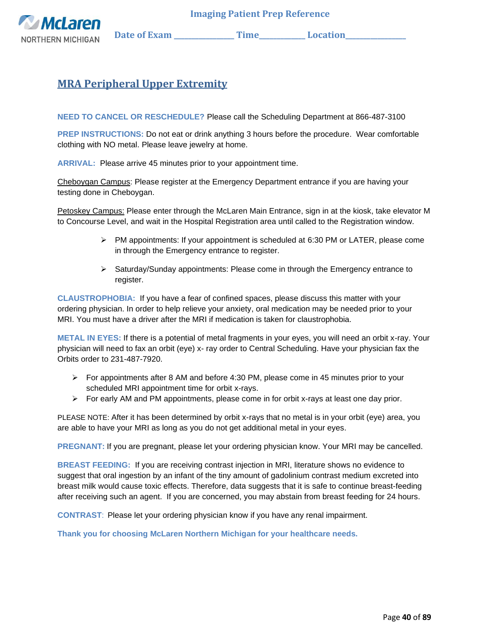

## **MRA Peripheral Upper Extremity**

**NEED TO CANCEL OR RESCHEDULE?** Please call the Scheduling Department at 866-487-3100

**PREP INSTRUCTIONS:** Do not eat or drink anything 3 hours before the procedure. Wear comfortable clothing with NO metal. Please leave jewelry at home.

**ARRIVAL:** Please arrive 45 minutes prior to your appointment time.

Cheboygan Campus: Please register at the Emergency Department entrance if you are having your testing done in Cheboygan.

Petoskey Campus: Please enter through the McLaren Main Entrance, sign in at the kiosk, take elevator M to Concourse Level, and wait in the Hospital Registration area until called to the Registration window.

- $\triangleright$  PM appointments: If your appointment is scheduled at 6:30 PM or LATER, please come in through the Emergency entrance to register.
- ➢ Saturday/Sunday appointments: Please come in through the Emergency entrance to register.

**CLAUSTROPHOBIA:** If you have a fear of confined spaces, please discuss this matter with your ordering physician. In order to help relieve your anxiety, oral medication may be needed prior to your MRI. You must have a driver after the MRI if medication is taken for claustrophobia.

**METAL IN EYES:** If there is a potential of metal fragments in your eyes, you will need an orbit x-ray. Your physician will need to fax an orbit (eye) x- ray order to Central Scheduling. Have your physician fax the Orbits order to 231-487-7920.

- $\triangleright$  For appointments after 8 AM and before 4:30 PM, please come in 45 minutes prior to your scheduled MRI appointment time for orbit x-rays.
- $\triangleright$  For early AM and PM appointments, please come in for orbit x-rays at least one day prior.

PLEASE NOTE: After it has been determined by orbit x-rays that no metal is in your orbit (eye) area, you are able to have your MRI as long as you do not get additional metal in your eyes.

**PREGNANT:** If you are pregnant, please let your ordering physician know. Your MRI may be cancelled.

**BREAST FEEDING:** If you are receiving contrast injection in MRI, literature shows no evidence to suggest that oral ingestion by an infant of the tiny amount of gadolinium contrast medium excreted into breast milk would cause toxic effects. Therefore, data suggests that it is safe to continue breast-feeding after receiving such an agent. If you are concerned, you may abstain from breast feeding for 24 hours.

**CONTRAST**: Please let your ordering physician know if you have any renal impairment.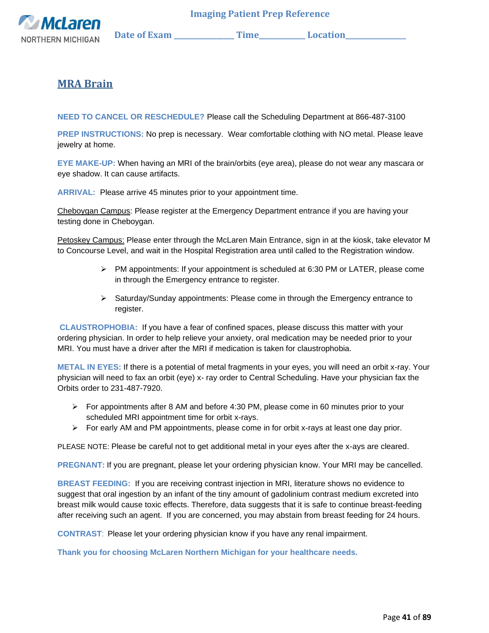

## **MRA Brain**

**NEED TO CANCEL OR RESCHEDULE?** Please call the Scheduling Department at 866-487-3100

**PREP INSTRUCTIONS:** No prep is necessary. Wear comfortable clothing with NO metal. Please leave jewelry at home.

**EYE MAKE-UP:** When having an MRI of the brain/orbits (eye area), please do not wear any mascara or eye shadow. It can cause artifacts.

**ARRIVAL:** Please arrive 45 minutes prior to your appointment time.

Cheboygan Campus: Please register at the Emergency Department entrance if you are having your testing done in Cheboygan.

Petoskey Campus: Please enter through the McLaren Main Entrance, sign in at the kiosk, take elevator M to Concourse Level, and wait in the Hospital Registration area until called to the Registration window.

- $\triangleright$  PM appointments: If your appointment is scheduled at 6:30 PM or LATER, please come in through the Emergency entrance to register.
- ➢ Saturday/Sunday appointments: Please come in through the Emergency entrance to register.

**CLAUSTROPHOBIA:** If you have a fear of confined spaces, please discuss this matter with your ordering physician. In order to help relieve your anxiety, oral medication may be needed prior to your MRI. You must have a driver after the MRI if medication is taken for claustrophobia.

**METAL IN EYES:** If there is a potential of metal fragments in your eyes, you will need an orbit x-ray. Your physician will need to fax an orbit (eye) x- ray order to Central Scheduling. Have your physician fax the Orbits order to 231-487-7920.

- $\triangleright$  For appointments after 8 AM and before 4:30 PM, please come in 60 minutes prior to your scheduled MRI appointment time for orbit x-rays.
- $\triangleright$  For early AM and PM appointments, please come in for orbit x-rays at least one day prior.

PLEASE NOTE: Please be careful not to get additional metal in your eyes after the x-ays are cleared.

**PREGNANT:** If you are pregnant, please let your ordering physician know. Your MRI may be cancelled.

**BREAST FEEDING:** If you are receiving contrast injection in MRI, literature shows no evidence to suggest that oral ingestion by an infant of the tiny amount of gadolinium contrast medium excreted into breast milk would cause toxic effects. Therefore, data suggests that it is safe to continue breast-feeding after receiving such an agent. If you are concerned, you may abstain from breast feeding for 24 hours.

**CONTRAST**: Please let your ordering physician know if you have any renal impairment.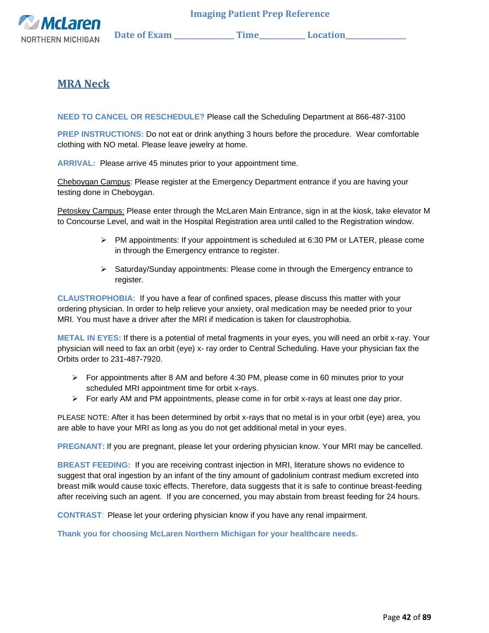

## **MRA Neck**

**NEED TO CANCEL OR RESCHEDULE?** Please call the Scheduling Department at 866-487-3100

**PREP INSTRUCTIONS:** Do not eat or drink anything 3 hours before the procedure. Wear comfortable clothing with NO metal. Please leave jewelry at home.

**ARRIVAL:** Please arrive 45 minutes prior to your appointment time.

Cheboygan Campus: Please register at the Emergency Department entrance if you are having your testing done in Cheboygan.

Petoskey Campus: Please enter through the McLaren Main Entrance, sign in at the kiosk, take elevator M to Concourse Level, and wait in the Hospital Registration area until called to the Registration window.

- $\triangleright$  PM appointments: If your appointment is scheduled at 6:30 PM or LATER, please come in through the Emergency entrance to register.
- ➢ Saturday/Sunday appointments: Please come in through the Emergency entrance to register.

**CLAUSTROPHOBIA:** If you have a fear of confined spaces, please discuss this matter with your ordering physician. In order to help relieve your anxiety, oral medication may be needed prior to your MRI. You must have a driver after the MRI if medication is taken for claustrophobia.

**METAL IN EYES:** If there is a potential of metal fragments in your eyes, you will need an orbit x-ray. Your physician will need to fax an orbit (eye) x- ray order to Central Scheduling. Have your physician fax the Orbits order to 231-487-7920.

- $\triangleright$  For appointments after 8 AM and before 4:30 PM, please come in 60 minutes prior to your scheduled MRI appointment time for orbit x-rays.
- $\triangleright$  For early AM and PM appointments, please come in for orbit x-rays at least one day prior.

PLEASE NOTE: After it has been determined by orbit x-rays that no metal is in your orbit (eye) area, you are able to have your MRI as long as you do not get additional metal in your eyes.

**PREGNANT:** If you are pregnant, please let your ordering physician know. Your MRI may be cancelled.

**BREAST FEEDING:** If you are receiving contrast injection in MRI, literature shows no evidence to suggest that oral ingestion by an infant of the tiny amount of gadolinium contrast medium excreted into breast milk would cause toxic effects. Therefore, data suggests that it is safe to continue breast-feeding after receiving such an agent. If you are concerned, you may abstain from breast feeding for 24 hours.

**CONTRAST**: Please let your ordering physician know if you have any renal impairment.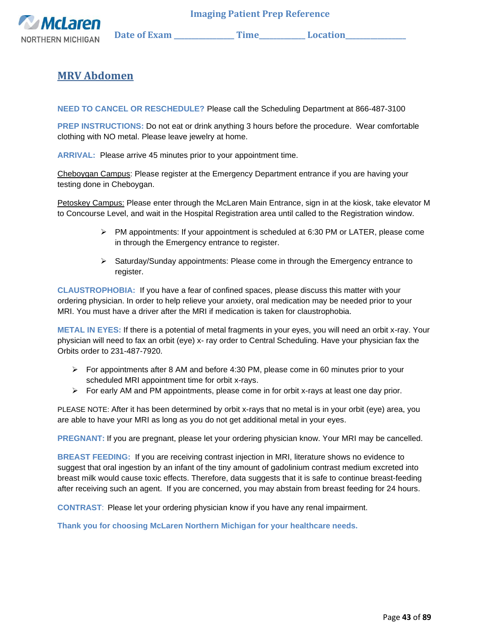

# **MRV Abdomen**

**NEED TO CANCEL OR RESCHEDULE?** Please call the Scheduling Department at 866-487-3100

**PREP INSTRUCTIONS:** Do not eat or drink anything 3 hours before the procedure. Wear comfortable clothing with NO metal. Please leave jewelry at home.

**ARRIVAL:** Please arrive 45 minutes prior to your appointment time.

Cheboygan Campus: Please register at the Emergency Department entrance if you are having your testing done in Cheboygan.

Petoskey Campus: Please enter through the McLaren Main Entrance, sign in at the kiosk, take elevator M to Concourse Level, and wait in the Hospital Registration area until called to the Registration window.

- $\triangleright$  PM appointments: If your appointment is scheduled at 6:30 PM or LATER, please come in through the Emergency entrance to register.
- $\triangleright$  Saturday/Sunday appointments: Please come in through the Emergency entrance to register.

**CLAUSTROPHOBIA:** If you have a fear of confined spaces, please discuss this matter with your ordering physician. In order to help relieve your anxiety, oral medication may be needed prior to your MRI. You must have a driver after the MRI if medication is taken for claustrophobia.

**METAL IN EYES:** If there is a potential of metal fragments in your eyes, you will need an orbit x-ray. Your physician will need to fax an orbit (eye) x- ray order to Central Scheduling. Have your physician fax the Orbits order to 231-487-7920.

- $\triangleright$  For appointments after 8 AM and before 4:30 PM, please come in 60 minutes prior to your scheduled MRI appointment time for orbit x-rays.
- ➢ For early AM and PM appointments, please come in for orbit x-rays at least one day prior.

PLEASE NOTE: After it has been determined by orbit x-rays that no metal is in your orbit (eye) area, you are able to have your MRI as long as you do not get additional metal in your eyes.

**PREGNANT:** If you are pregnant, please let your ordering physician know. Your MRI may be cancelled.

**BREAST FEEDING:** If you are receiving contrast injection in MRI, literature shows no evidence to suggest that oral ingestion by an infant of the tiny amount of gadolinium contrast medium excreted into breast milk would cause toxic effects. Therefore, data suggests that it is safe to continue breast-feeding after receiving such an agent. If you are concerned, you may abstain from breast feeding for 24 hours.

**CONTRAST**: Please let your ordering physician know if you have any renal impairment.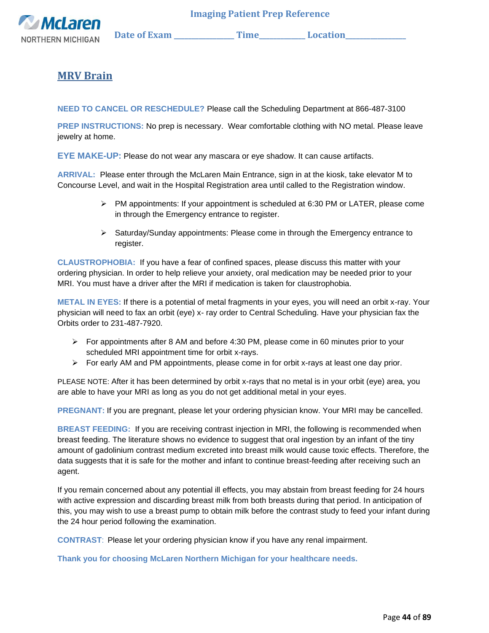

## **MRV Brain**

**NEED TO CANCEL OR RESCHEDULE?** Please call the Scheduling Department at 866-487-3100

**PREP INSTRUCTIONS:** No prep is necessary. Wear comfortable clothing with NO metal. Please leave jewelry at home.

**EYE MAKE-UP:** Please do not wear any mascara or eye shadow. It can cause artifacts.

**ARRIVAL:** Please enter through the McLaren Main Entrance, sign in at the kiosk, take elevator M to Concourse Level, and wait in the Hospital Registration area until called to the Registration window.

> $\triangleright$  PM appointments: If your appointment is scheduled at 6:30 PM or LATER, please come in through the Emergency entrance to register.

 **Imaging Patient Prep Reference** 

➢ Saturday/Sunday appointments: Please come in through the Emergency entrance to register.

**CLAUSTROPHOBIA:** If you have a fear of confined spaces, please discuss this matter with your ordering physician. In order to help relieve your anxiety, oral medication may be needed prior to your MRI. You must have a driver after the MRI if medication is taken for claustrophobia.

**METAL IN EYES:** If there is a potential of metal fragments in your eyes, you will need an orbit x-ray. Your physician will need to fax an orbit (eye) x- ray order to Central Scheduling. Have your physician fax the Orbits order to 231-487-7920.

- $\triangleright$  For appointments after 8 AM and before 4:30 PM, please come in 60 minutes prior to your scheduled MRI appointment time for orbit x-rays.
- $\triangleright$  For early AM and PM appointments, please come in for orbit x-rays at least one day prior.

PLEASE NOTE: After it has been determined by orbit x-rays that no metal is in your orbit (eye) area, you are able to have your MRI as long as you do not get additional metal in your eyes.

**PREGNANT:** If you are pregnant, please let your ordering physician know. Your MRI may be cancelled.

**BREAST FEEDING:** If you are receiving contrast injection in MRI, the following is recommended when breast feeding. The literature shows no evidence to suggest that oral ingestion by an infant of the tiny amount of gadolinium contrast medium excreted into breast milk would cause toxic effects. Therefore, the data suggests that it is safe for the mother and infant to continue breast-feeding after receiving such an agent.

If you remain concerned about any potential ill effects, you may abstain from breast feeding for 24 hours with active expression and discarding breast milk from both breasts during that period. In anticipation of this, you may wish to use a breast pump to obtain milk before the contrast study to feed your infant during the 24 hour period following the examination.

**CONTRAST**: Please let your ordering physician know if you have any renal impairment.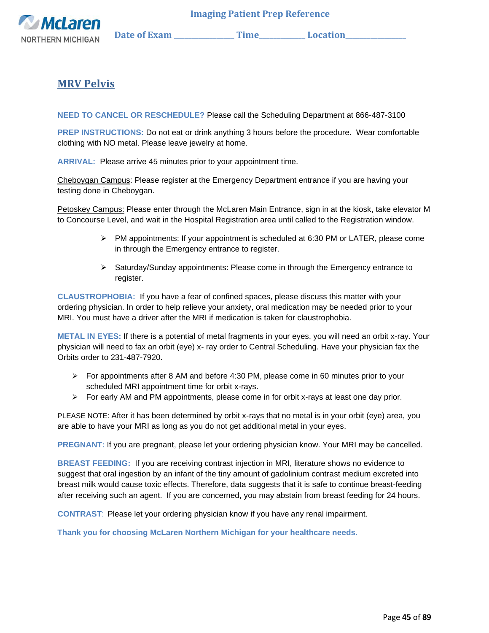

## **MRV Pelvis**

**NEED TO CANCEL OR RESCHEDULE?** Please call the Scheduling Department at 866-487-3100

**PREP INSTRUCTIONS:** Do not eat or drink anything 3 hours before the procedure. Wear comfortable clothing with NO metal. Please leave jewelry at home.

**ARRIVAL:** Please arrive 45 minutes prior to your appointment time.

Cheboygan Campus: Please register at the Emergency Department entrance if you are having your testing done in Cheboygan.

Petoskey Campus: Please enter through the McLaren Main Entrance, sign in at the kiosk, take elevator M to Concourse Level, and wait in the Hospital Registration area until called to the Registration window.

- $\triangleright$  PM appointments: If your appointment is scheduled at 6:30 PM or LATER, please come in through the Emergency entrance to register.
- $\triangleright$  Saturday/Sunday appointments: Please come in through the Emergency entrance to register.

**CLAUSTROPHOBIA:** If you have a fear of confined spaces, please discuss this matter with your ordering physician. In order to help relieve your anxiety, oral medication may be needed prior to your MRI. You must have a driver after the MRI if medication is taken for claustrophobia.

**METAL IN EYES:** If there is a potential of metal fragments in your eyes, you will need an orbit x-ray. Your physician will need to fax an orbit (eye) x- ray order to Central Scheduling. Have your physician fax the Orbits order to 231-487-7920.

- $\triangleright$  For appointments after 8 AM and before 4:30 PM, please come in 60 minutes prior to your scheduled MRI appointment time for orbit x-rays.
- $\triangleright$  For early AM and PM appointments, please come in for orbit x-rays at least one day prior.

PLEASE NOTE: After it has been determined by orbit x-rays that no metal is in your orbit (eye) area, you are able to have your MRI as long as you do not get additional metal in your eyes.

**PREGNANT:** If you are pregnant, please let your ordering physician know. Your MRI may be cancelled.

**BREAST FEEDING:** If you are receiving contrast injection in MRI, literature shows no evidence to suggest that oral ingestion by an infant of the tiny amount of gadolinium contrast medium excreted into breast milk would cause toxic effects. Therefore, data suggests that it is safe to continue breast-feeding after receiving such an agent. If you are concerned, you may abstain from breast feeding for 24 hours.

**CONTRAST**: Please let your ordering physician know if you have any renal impairment.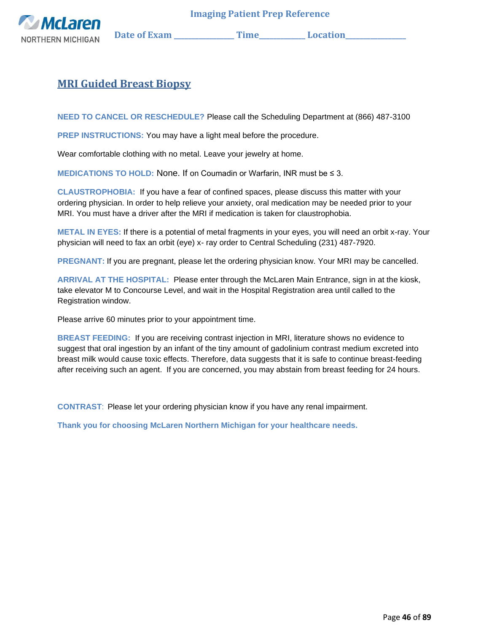

## **MRI Guided Breast Biopsy**

**NEED TO CANCEL OR RESCHEDULE?** Please call the Scheduling Department at (866) 487-3100

**PREP INSTRUCTIONS:** You may have a light meal before the procedure.

Wear comfortable clothing with no metal. Leave your jewelry at home.

**MEDICATIONS TO HOLD:** None. If on Coumadin or Warfarin, INR must be ≤ 3.

**CLAUSTROPHOBIA:** If you have a fear of confined spaces, please discuss this matter with your ordering physician. In order to help relieve your anxiety, oral medication may be needed prior to your MRI. You must have a driver after the MRI if medication is taken for claustrophobia.

**METAL IN EYES:** If there is a potential of metal fragments in your eyes, you will need an orbit x-ray. Your physician will need to fax an orbit (eye) x- ray order to Central Scheduling (231) 487-7920.

**PREGNANT:** If you are pregnant, please let the ordering physician know. Your MRI may be cancelled.

**ARRIVAL AT THE HOSPITAL:** Please enter through the McLaren Main Entrance, sign in at the kiosk, take elevator M to Concourse Level, and wait in the Hospital Registration area until called to the Registration window.

Please arrive 60 minutes prior to your appointment time.

**BREAST FEEDING:** If you are receiving contrast injection in MRI, literature shows no evidence to suggest that oral ingestion by an infant of the tiny amount of gadolinium contrast medium excreted into breast milk would cause toxic effects. Therefore, data suggests that it is safe to continue breast-feeding after receiving such an agent. If you are concerned, you may abstain from breast feeding for 24 hours.

**CONTRAST**:Please let your ordering physician know if you have any renal impairment.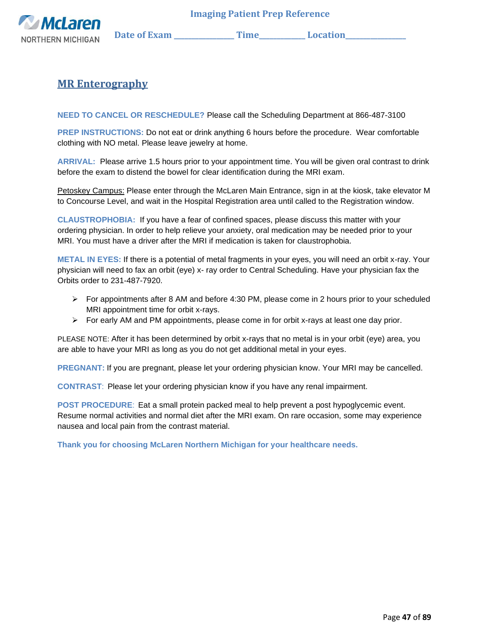

## **MR Enterography**

**NEED TO CANCEL OR RESCHEDULE?** Please call the Scheduling Department at 866-487-3100

**PREP INSTRUCTIONS:** Do not eat or drink anything 6 hours before the procedure. Wear comfortable clothing with NO metal. Please leave jewelry at home.

**ARRIVAL:** Please arrive 1.5 hours prior to your appointment time. You will be given oral contrast to drink before the exam to distend the bowel for clear identification during the MRI exam.

Petoskey Campus: Please enter through the McLaren Main Entrance, sign in at the kiosk, take elevator M to Concourse Level, and wait in the Hospital Registration area until called to the Registration window.

**CLAUSTROPHOBIA:** If you have a fear of confined spaces, please discuss this matter with your ordering physician. In order to help relieve your anxiety, oral medication may be needed prior to your MRI. You must have a driver after the MRI if medication is taken for claustrophobia.

**METAL IN EYES:** If there is a potential of metal fragments in your eyes, you will need an orbit x-ray. Your physician will need to fax an orbit (eye) x- ray order to Central Scheduling. Have your physician fax the Orbits order to 231-487-7920.

- ➢ For appointments after 8 AM and before 4:30 PM, please come in 2 hours prior to your scheduled MRI appointment time for orbit x-rays.
- $\triangleright$  For early AM and PM appointments, please come in for orbit x-rays at least one day prior.

PLEASE NOTE: After it has been determined by orbit x-rays that no metal is in your orbit (eye) area, you are able to have your MRI as long as you do not get additional metal in your eyes.

**PREGNANT:** If you are pregnant, please let your ordering physician know. Your MRI may be cancelled.

**CONTRAST**: Please let your ordering physician know if you have any renal impairment.

**POST PROCEDURE**: Eat a small protein packed meal to help prevent a post hypoglycemic event. Resume normal activities and normal diet after the MRI exam. On rare occasion, some may experience nausea and local pain from the contrast material.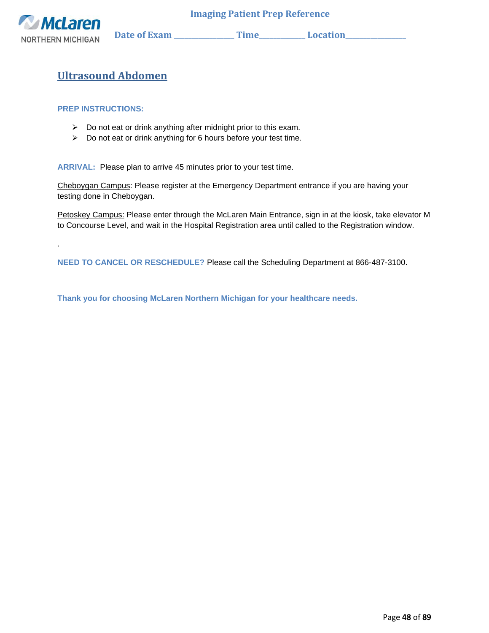

.

 **Imaging Patient Prep Reference** 

# **Ultrasound Abdomen**

#### **PREP INSTRUCTIONS:**

- ➢ Do not eat or drink anything after midnight prior to this exam.
- ➢ Do not eat or drink anything for 6 hours before your test time.

**ARRIVAL:** Please plan to arrive 45 minutes prior to your test time.

Cheboygan Campus: Please register at the Emergency Department entrance if you are having your testing done in Cheboygan.

Petoskey Campus: Please enter through the McLaren Main Entrance, sign in at the kiosk, take elevator M to Concourse Level, and wait in the Hospital Registration area until called to the Registration window.

**NEED TO CANCEL OR RESCHEDULE?** Please call the Scheduling Department at 866-487-3100.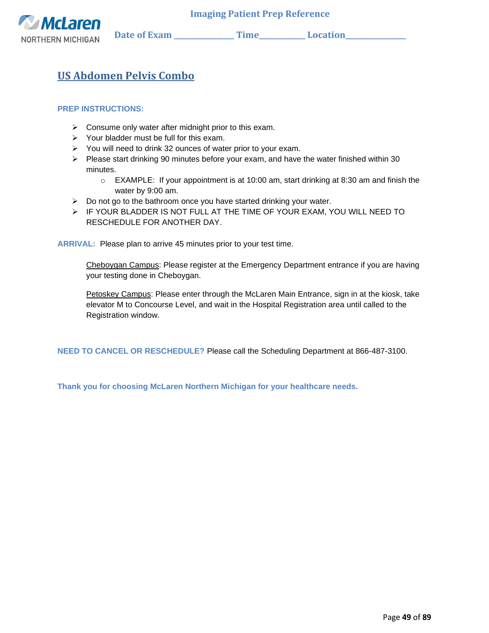

# **US Abdomen Pelvis Combo**

#### **PREP INSTRUCTIONS:**

- ➢ Consume only water after midnight prior to this exam.
- $\triangleright$  Your bladder must be full for this exam.
- ➢ You will need to drink 32 ounces of water prior to your exam.
- $\triangleright$  Please start drinking 90 minutes before your exam, and have the water finished within 30 minutes.
	- o EXAMPLE: If your appointment is at 10:00 am, start drinking at 8:30 am and finish the water by 9:00 am.
- $\triangleright$  Do not go to the bathroom once you have started drinking your water.
- ➢ IF YOUR BLADDER IS NOT FULL AT THE TIME OF YOUR EXAM, YOU WILL NEED TO RESCHEDULE FOR ANOTHER DAY.

**ARRIVAL:** Please plan to arrive 45 minutes prior to your test time.

Cheboygan Campus: Please register at the Emergency Department entrance if you are having your testing done in Cheboygan.

Petoskey Campus: Please enter through the McLaren Main Entrance, sign in at the kiosk, take elevator M to Concourse Level, and wait in the Hospital Registration area until called to the Registration window.

**NEED TO CANCEL OR RESCHEDULE?** Please call the Scheduling Department at 866-487-3100.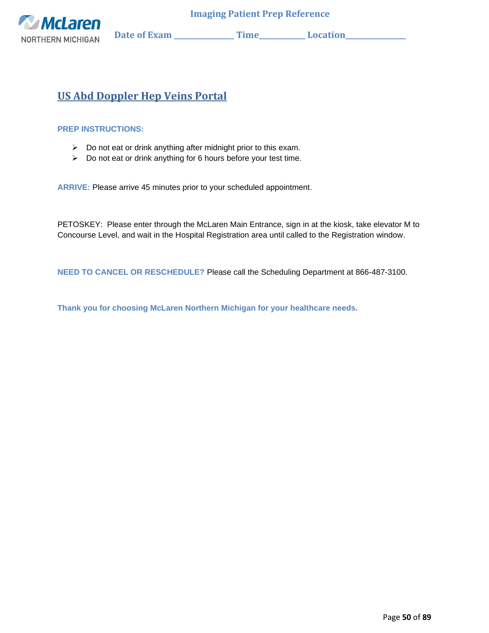

# **US Abd Doppler Hep Veins Portal**

#### **PREP INSTRUCTIONS:**

- ➢ Do not eat or drink anything after midnight prior to this exam.
- ➢ Do not eat or drink anything for 6 hours before your test time.

**ARRIVE:** Please arrive 45 minutes prior to your scheduled appointment.

PETOSKEY: Please enter through the McLaren Main Entrance, sign in at the kiosk, take elevator M to Concourse Level, and wait in the Hospital Registration area until called to the Registration window.

**NEED TO CANCEL OR RESCHEDULE?** Please call the Scheduling Department at 866-487-3100.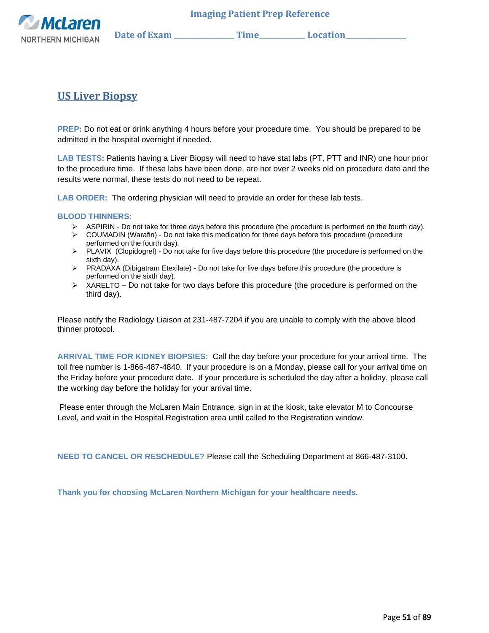

**US Liver Biopsy**

**PREP:** Do not eat or drink anything 4 hours before your procedure time. You should be prepared to be admitted in the hospital overnight if needed.

**LAB TESTS:** Patients having a Liver Biopsy will need to have stat labs (PT, PTT and INR) one hour prior to the procedure time. If these labs have been done, are not over 2 weeks old on procedure date and the results were normal, these tests do not need to be repeat.

**LAB ORDER:** The ordering physician will need to provide an order for these lab tests.

#### **BLOOD THINNERS:**

- ➢ ASPIRIN Do not take for three days before this procedure (the procedure is performed on the fourth day).
- $\triangleright$  COUMADIN (Warafin) Do not take this medication for three days before this procedure (procedure performed on the fourth day).
- ➢ PLAVIX (Clopidogrel) Do not take for five days before this procedure (the procedure is performed on the sixth day).
- ➢ PRADAXA (Dibigatram Etexilate) Do not take for five days before this procedure (the procedure is performed on the sixth day).
- $\triangleright$  XARELTO Do not take for two days before this procedure (the procedure is performed on the third day).

Please notify the Radiology Liaison at 231-487-7204 if you are unable to comply with the above blood thinner protocol.

**ARRIVAL TIME FOR KIDNEY BIOPSIES:** Call the day before your procedure for your arrival time. The toll free number is 1-866-487-4840. If your procedure is on a Monday, please call for your arrival time on the Friday before your procedure date. If your procedure is scheduled the day after a holiday, please call the working day before the holiday for your arrival time.

Please enter through the McLaren Main Entrance, sign in at the kiosk, take elevator M to Concourse Level, and wait in the Hospital Registration area until called to the Registration window.

**NEED TO CANCEL OR RESCHEDULE?** Please call the Scheduling Department at 866-487-3100.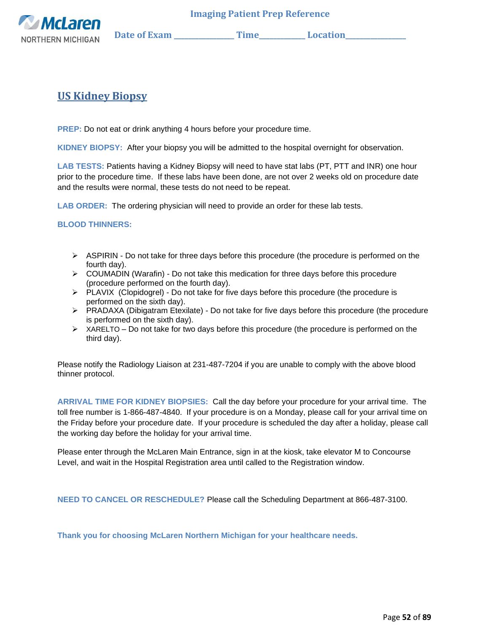

## **US Kidney Biopsy**

**PREP:** Do not eat or drink anything 4 hours before your procedure time.

**KIDNEY BIOPSY:** After your biopsy you will be admitted to the hospital overnight for observation.

**LAB TESTS:** Patients having a Kidney Biopsy will need to have stat labs (PT, PTT and INR) one hour prior to the procedure time. If these labs have been done, are not over 2 weeks old on procedure date and the results were normal, these tests do not need to be repeat.

**LAB ORDER:** The ordering physician will need to provide an order for these lab tests.

**BLOOD THINNERS:** 

- $\triangleright$  ASPIRIN Do not take for three days before this procedure (the procedure is performed on the fourth day).
- $\triangleright$  COUMADIN (Warafin) Do not take this medication for three days before this procedure (procedure performed on the fourth day).
- ➢ PLAVIX (Clopidogrel) Do not take for five days before this procedure (the procedure is performed on the sixth day).
- ➢ PRADAXA (Dibigatram Etexilate) Do not take for five days before this procedure (the procedure is performed on the sixth day).
- $\triangleright$  XARELTO Do not take for two days before this procedure (the procedure is performed on the third day).

Please notify the Radiology Liaison at 231-487-7204 if you are unable to comply with the above blood thinner protocol.

**ARRIVAL TIME FOR KIDNEY BIOPSIES:** Call the day before your procedure for your arrival time. The toll free number is 1-866-487-4840. If your procedure is on a Monday, please call for your arrival time on the Friday before your procedure date. If your procedure is scheduled the day after a holiday, please call the working day before the holiday for your arrival time.

Please enter through the McLaren Main Entrance, sign in at the kiosk, take elevator M to Concourse Level, and wait in the Hospital Registration area until called to the Registration window.

**NEED TO CANCEL OR RESCHEDULE?** Please call the Scheduling Department at 866-487-3100.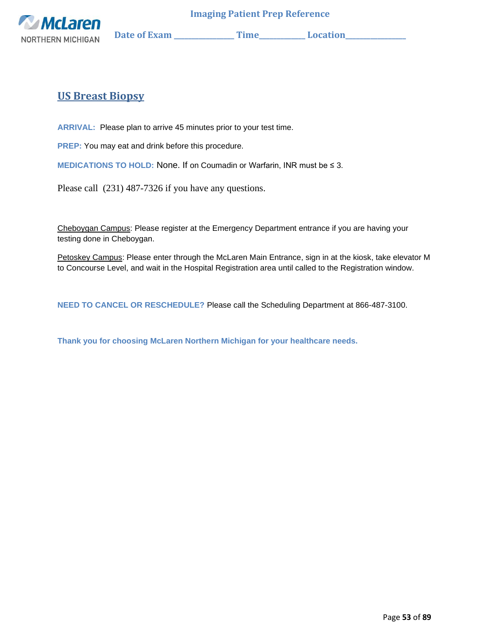

# **US Breast Biopsy**

**ARRIVAL:** Please plan to arrive 45 minutes prior to your test time.

**PREP:** You may eat and drink before this procedure.

**MEDICATIONS TO HOLD:** None. If on Coumadin or Warfarin, INR must be ≤ 3.

Please call (231) 487-7326 if you have any questions.

Cheboygan Campus: Please register at the Emergency Department entrance if you are having your testing done in Cheboygan.

Petoskey Campus: Please enter through the McLaren Main Entrance, sign in at the kiosk, take elevator M to Concourse Level, and wait in the Hospital Registration area until called to the Registration window.

**NEED TO CANCEL OR RESCHEDULE?** Please call the Scheduling Department at 866-487-3100.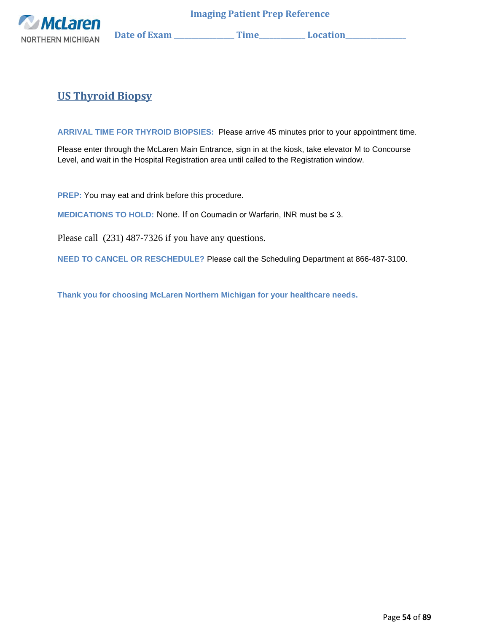

# **US Thyroid Biopsy**

**ARRIVAL TIME FOR THYROID BIOPSIES:** Please arrive 45 minutes prior to your appointment time.

Please enter through the McLaren Main Entrance, sign in at the kiosk, take elevator M to Concourse Level, and wait in the Hospital Registration area until called to the Registration window.

**PREP:** You may eat and drink before this procedure.

**MEDICATIONS TO HOLD:** None. If on Coumadin or Warfarin, INR must be ≤ 3.

Please call (231) 487-7326 if you have any questions.

**NEED TO CANCEL OR RESCHEDULE?** Please call the Scheduling Department at 866-487-3100.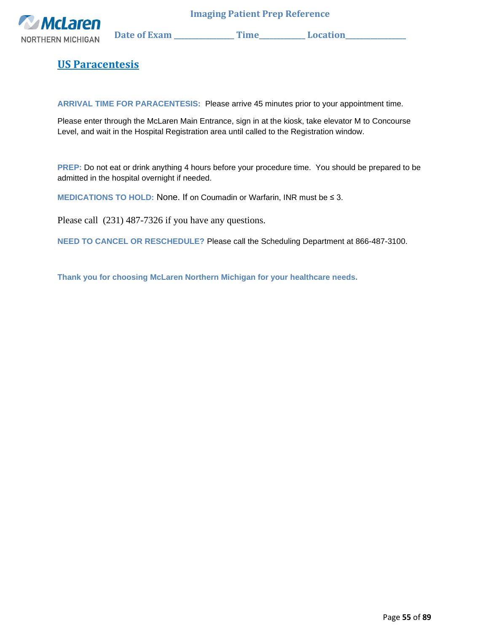

**US Paracentesis**

**ARRIVAL TIME FOR PARACENTESIS:** Please arrive 45 minutes prior to your appointment time.

Please enter through the McLaren Main Entrance, sign in at the kiosk, take elevator M to Concourse Level, and wait in the Hospital Registration area until called to the Registration window.

**PREP:** Do not eat or drink anything 4 hours before your procedure time. You should be prepared to be admitted in the hospital overnight if needed.

**MEDICATIONS TO HOLD:** None. If on Coumadin or Warfarin, INR must be ≤ 3.

Please call (231) 487-7326 if you have any questions.

**NEED TO CANCEL OR RESCHEDULE?** Please call the Scheduling Department at 866-487-3100.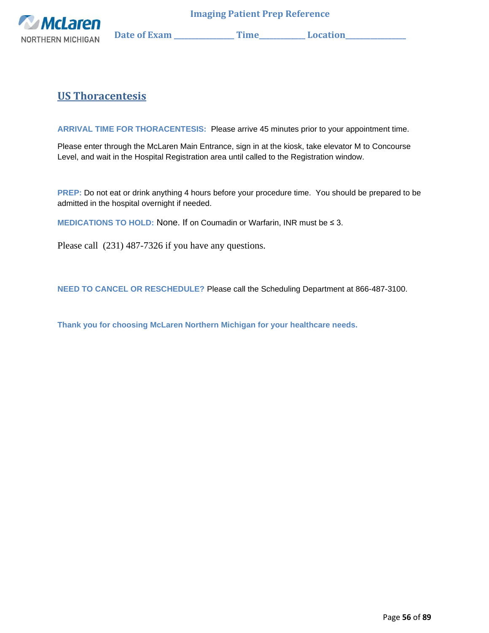

# **US Thoracentesis**

**ARRIVAL TIME FOR THORACENTESIS:** Please arrive 45 minutes prior to your appointment time.

Please enter through the McLaren Main Entrance, sign in at the kiosk, take elevator M to Concourse Level, and wait in the Hospital Registration area until called to the Registration window.

**PREP:** Do not eat or drink anything 4 hours before your procedure time. You should be prepared to be admitted in the hospital overnight if needed.

**MEDICATIONS TO HOLD:** None. If on Coumadin or Warfarin, INR must be ≤ 3.

Please call (231) 487-7326 if you have any questions.

**NEED TO CANCEL OR RESCHEDULE?** Please call the Scheduling Department at 866-487-3100.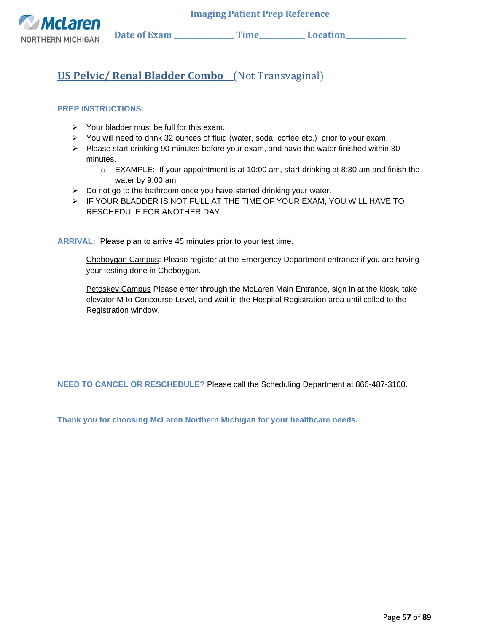

# **US Pelvic/ Renal Bladder Combo** (Not Transvaginal)

#### **PREP INSTRUCTIONS:**

- ➢ Your bladder must be full for this exam.
- ➢ You will need to drink 32 ounces of fluid (water, soda, coffee etc.) prior to your exam.
- ➢ Please start drinking 90 minutes before your exam, and have the water finished within 30 minutes.
	- $\circ$  EXAMPLE: If your appointment is at 10:00 am, start drinking at 8:30 am and finish the water by 9:00 am.
- $\triangleright$  Do not go to the bathroom once you have started drinking your water.
- ➢ IF YOUR BLADDER IS NOT FULL AT THE TIME OF YOUR EXAM, YOU WILL HAVE TO RESCHEDULE FOR ANOTHER DAY.

**ARRIVAL:** Please plan to arrive 45 minutes prior to your test time.

Cheboygan Campus: Please register at the Emergency Department entrance if you are having your testing done in Cheboygan.

Petoskey Campus Please enter through the McLaren Main Entrance, sign in at the kiosk, take elevator M to Concourse Level, and wait in the Hospital Registration area until called to the Registration window.

**NEED TO CANCEL OR RESCHEDULE?** Please call the Scheduling Department at 866-487-3100.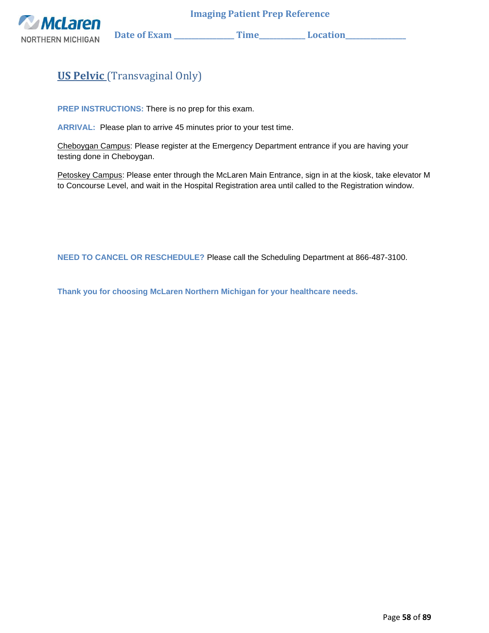

# **US Pelvic** (Transvaginal Only)

**PREP INSTRUCTIONS:** There is no prep for this exam.

**ARRIVAL:** Please plan to arrive 45 minutes prior to your test time.

Cheboygan Campus: Please register at the Emergency Department entrance if you are having your testing done in Cheboygan.

Petoskey Campus: Please enter through the McLaren Main Entrance, sign in at the kiosk, take elevator M to Concourse Level, and wait in the Hospital Registration area until called to the Registration window.

**NEED TO CANCEL OR RESCHEDULE?** Please call the Scheduling Department at 866-487-3100.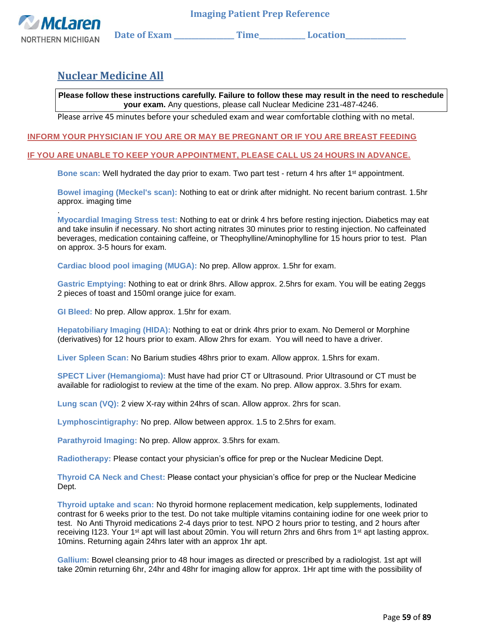

.

## **Nuclear Medicine All**

**Please follow these instructions carefully. Failure to follow these may result in the need to reschedule your exam.** Any questions, please call Nuclear Medicine 231-487-4246.

Please arrive 45 minutes before your scheduled exam and wear comfortable clothing with no metal.

#### **INFORM YOUR PHYSICIAN IF YOU ARE OR MAY BE PREGNANT OR IF YOU ARE BREAST FEEDING**

#### **IF YOU ARE UNABLE TO KEEP YOUR APPOINTMENT, PLEASE CALL US 24 HOURS IN ADVANCE.**

**Bone scan:** Well hydrated the day prior to exam. Two part test - return 4 hrs after 1st appointment.

**Bowel imaging (Meckel's scan):** Nothing to eat or drink after midnight. No recent barium contrast. 1.5hr approx. imaging time

**Myocardial Imaging Stress test:** Nothing to eat or drink 4 hrs before resting injection**.** Diabetics may eat and take insulin if necessary. No short acting nitrates 30 minutes prior to resting injection. No caffeinated beverages, medication containing caffeine, or Theophylline/Aminophylline for 15 hours prior to test. Plan on approx. 3-5 hours for exam.

**Cardiac blood pool imaging (MUGA):** No prep. Allow approx. 1.5hr for exam.

**Gastric Emptying:** Nothing to eat or drink 8hrs. Allow approx. 2.5hrs for exam. You will be eating 2eggs 2 pieces of toast and 150ml orange juice for exam.

**GI Bleed:** No prep. Allow approx. 1.5hr for exam.

**Hepatobiliary Imaging (HIDA):** Nothing to eat or drink 4hrs prior to exam. No Demerol or Morphine (derivatives) for 12 hours prior to exam. Allow 2hrs for exam. You will need to have a driver.

**Liver Spleen Scan:** No Barium studies 48hrs prior to exam. Allow approx. 1.5hrs for exam.

**SPECT Liver (Hemangioma):** Must have had prior CT or Ultrasound. Prior Ultrasound or CT must be available for radiologist to review at the time of the exam. No prep. Allow approx. 3.5hrs for exam.

**Lung scan (VQ):** 2 view X-ray within 24hrs of scan. Allow approx. 2hrs for scan.

**Lymphoscintigraphy:** No prep. Allow between approx. 1.5 to 2.5hrs for exam.

**Parathyroid Imaging:** No prep. Allow approx. 3.5hrs for exam.

**Radiotherapy:** Please contact your physician's office for prep or the Nuclear Medicine Dept.

**Thyroid CA Neck and Chest:** Please contact your physician's office for prep or the Nuclear Medicine Dept.

**Thyroid uptake and scan:** No thyroid hormone replacement medication, kelp supplements, Iodinated contrast for 6 weeks prior to the test. Do not take multiple vitamins containing iodine for one week prior to test. No Anti Thyroid medications 2-4 days prior to test. NPO 2 hours prior to testing, and 2 hours after receiving I123. Your 1<sup>st</sup> apt will last about 20min. You will return 2hrs and 6hrs from 1<sup>st</sup> apt lasting approx. 10mins. Returning again 24hrs later with an approx 1hr apt.

**Gallium:** Bowel cleansing prior to 48 hour images as directed or prescribed by a radiologist. 1st apt will take 20min returning 6hr, 24hr and 48hr for imaging allow for approx. 1Hr apt time with the possibility of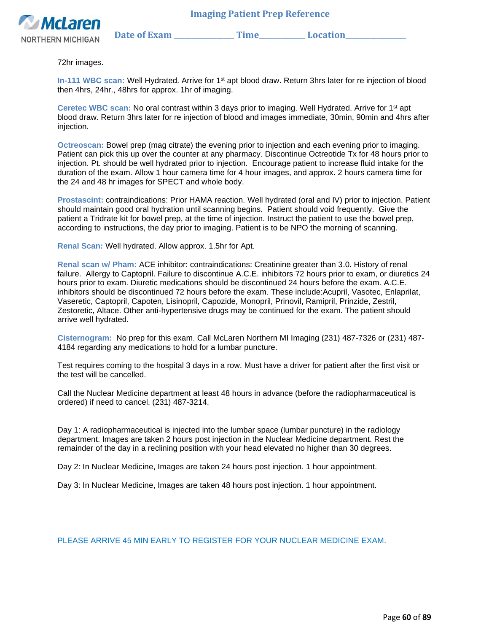



72hr images.

**In-111 WBC scan:** Well Hydrated. Arrive for 1st apt blood draw. Return 3hrs later for re injection of blood then 4hrs, 24hr., 48hrs for approx. 1hr of imaging.

**Ceretec WBC scan:** No oral contrast within 3 days prior to imaging. Well Hydrated. Arrive for 1st apt blood draw. Return 3hrs later for re injection of blood and images immediate, 30min, 90min and 4hrs after injection.

**Octreoscan:** Bowel prep (mag citrate) the evening prior to injection and each evening prior to imaging. Patient can pick this up over the counter at any pharmacy. Discontinue Octreotide Tx for 48 hours prior to injection. Pt. should be well hydrated prior to injection. Encourage patient to increase fluid intake for the duration of the exam. Allow 1 hour camera time for 4 hour images, and approx. 2 hours camera time for the 24 and 48 hr images for SPECT and whole body.

**Prostascint:** contraindications: Prior HAMA reaction. Well hydrated (oral and IV) prior to injection. Patient should maintain good oral hydration until scanning begins. Patient should void frequently. Give the patient a Tridrate kit for bowel prep, at the time of injection. Instruct the patient to use the bowel prep, according to instructions, the day prior to imaging. Patient is to be NPO the morning of scanning.

**Renal Scan:** Well hydrated. Allow approx. 1.5hr for Apt.

**Renal scan w/ Pham:** ACE inhibitor: contraindications: Creatinine greater than 3.0. History of renal failure. Allergy to Captopril. Failure to discontinue A.C.E. inhibitors 72 hours prior to exam, or diuretics 24 hours prior to exam. Diuretic medications should be discontinued 24 hours before the exam. A.C.E. inhibitors should be discontinued 72 hours before the exam. These include:Acupril, Vasotec, Enlaprilat, Vaseretic, Captopril, Capoten, Lisinopril, Capozide, Monopril, Prinovil, Ramipril, Prinzide, Zestril, Zestoretic, Altace. Other anti-hypertensive drugs may be continued for the exam. The patient should arrive well hydrated.

**Cisternogram:** No prep for this exam. Call McLaren Northern MI Imaging (231) 487-7326 or (231) 487- 4184 regarding any medications to hold for a lumbar puncture.

Test requires coming to the hospital 3 days in a row. Must have a driver for patient after the first visit or the test will be cancelled.

Call the Nuclear Medicine department at least 48 hours in advance (before the radiopharmaceutical is ordered) if need to cancel. (231) 487-3214.

Day 1: A radiopharmaceutical is injected into the lumbar space (lumbar puncture) in the radiology department. Images are taken 2 hours post injection in the Nuclear Medicine department. Rest the remainder of the day in a reclining position with your head elevated no higher than 30 degrees.

Day 2: In Nuclear Medicine, Images are taken 24 hours post injection. 1 hour appointment.

Day 3: In Nuclear Medicine, Images are taken 48 hours post injection. 1 hour appointment.

PLEASE ARRIVE 45 MIN EARLY TO REGISTER FOR YOUR NUCLEAR MEDICINE EXAM.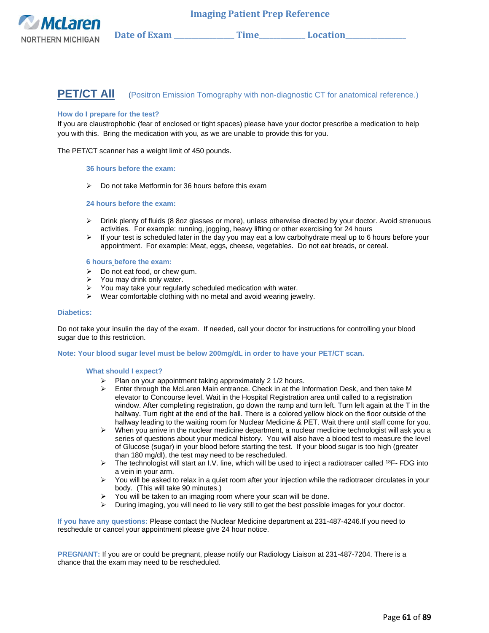

## **PET/CT AII** (Positron Emission Tomography with non-diagnostic CT for anatomical reference.)

#### **How do I prepare for the test?**

If you are claustrophobic (fear of enclosed or tight spaces) please have your doctor prescribe a medication to help you with this. Bring the medication with you, as we are unable to provide this for you.

The PET/CT scanner has a weight limit of 450 pounds.

#### **36 hours before the exam:**

➢ Do not take Metformin for 36 hours before this exam

#### **24 hours before the exam:**

- ➢ Drink plenty of fluids (8 8oz glasses or more), unless otherwise directed by your doctor. Avoid strenuous activities. For example: running, jogging, heavy lifting or other exercising for 24 hours
- $\triangleright$  If your test is scheduled later in the day you may eat a low carbohydrate meal up to 6 hours before your appointment. For example: Meat, eggs, cheese, vegetables. Do not eat breads, or cereal.

#### **6 hours before the exam:**

- $\triangleright$  Do not eat food, or chew gum.
- ➢ You may drink only water.
- ➢ You may take your regularly scheduled medication with water.
- ➢ Wear comfortable clothing with no metal and avoid wearing jewelry.

#### **Diabetics:**

Do not take your insulin the day of the exam. If needed, call your doctor for instructions for controlling your blood sugar due to this restriction.

#### **Note: Your blood sugar level must be below 200mg/dL in order to have your PET/CT scan.**

#### **What should I expect?**

- ➢ Plan on your appointment taking approximately 2 1/2 hours.
- $\triangleright$  Enter through the McLaren Main entrance. Check in at the Information Desk, and then take M elevator to Concourse level. Wait in the Hospital Registration area until called to a registration window. After completing registration, go down the ramp and turn left. Turn left again at the T in the hallway. Turn right at the end of the hall. There is a colored yellow block on the floor outside of the hallway leading to the waiting room for Nuclear Medicine & PET. Wait there until staff come for you.
- $\triangleright$  When you arrive in the nuclear medicine department, a nuclear medicine technologist will ask you a series of questions about your medical history. You will also have a blood test to measure the level of Glucose (sugar) in your blood before starting the test. If your blood sugar is too high (greater than 180 mg/dl), the test may need to be rescheduled.
- $\triangleright$  The technologist will start an I.V. line, which will be used to inject a radiotracer called <sup>18</sup>F- FDG into a vein in your arm.
- ➢ You will be asked to relax in a quiet room after your injection while the radiotracer circulates in your body. (This will take 90 minutes.)
- ➢ You will be taken to an imaging room where your scan will be done.
- $\triangleright$  During imaging, you will need to lie very still to get the best possible images for your doctor.

**If you have any questions:** Please contact the Nuclear Medicine department at 231-487-4246.If you need to reschedule or cancel your appointment please give 24 hour notice.

**PREGNANT:** If you are or could be pregnant, please notify our Radiology Liaison at 231-487-7204. There is a chance that the exam may need to be rescheduled.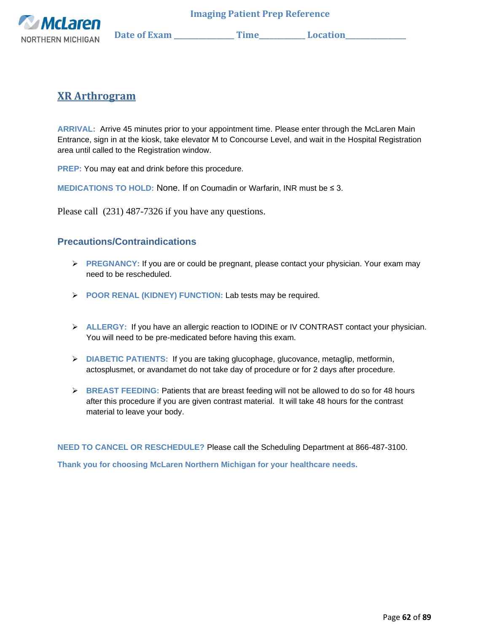

## **XR Arthrogram**

**ARRIVAL:** Arrive 45 minutes prior to your appointment time. Please enter through the McLaren Main Entrance, sign in at the kiosk, take elevator M to Concourse Level, and wait in the Hospital Registration area until called to the Registration window.

**PREP:** You may eat and drink before this procedure.

**MEDICATIONS TO HOLD:** None. If on Coumadin or Warfarin, INR must be ≤ 3.

Please call (231) 487-7326 if you have any questions.

## **Precautions/Contraindications**

- ➢ **PREGNANCY:** If you are or could be pregnant, please contact your physician. Your exam may need to be rescheduled.
- ➢ **POOR RENAL (KIDNEY) FUNCTION:** Lab tests may be required.
- ➢ **ALLERGY:** If you have an allergic reaction to IODINE or IV CONTRAST contact your physician. You will need to be pre-medicated before having this exam.
- ➢ **DIABETIC PATIENTS:** If you are taking glucophage, glucovance, metaglip, metformin, actosplusmet, or avandamet do not take day of procedure or for 2 days after procedure.
- ➢ **BREAST FEEDING:** Patients that are breast feeding will not be allowed to do so for 48 hours after this procedure if you are given contrast material. It will take 48 hours for the contrast material to leave your body.

**NEED TO CANCEL OR RESCHEDULE?** Please call the Scheduling Department at 866-487-3100.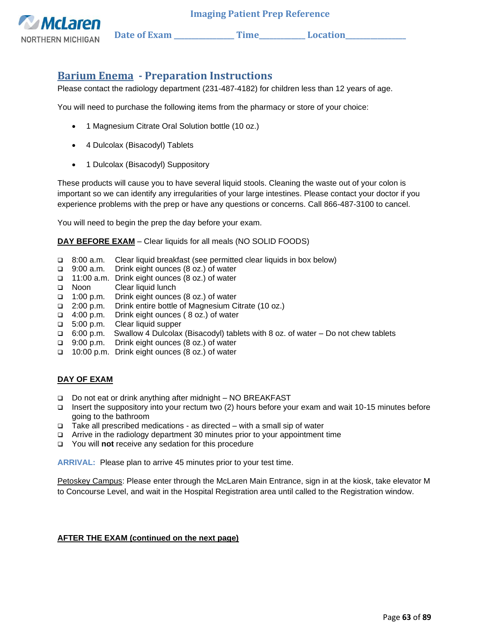

## **Barium Enema - Preparation Instructions**

Please contact the radiology department (231-487-4182) for children less than 12 years of age.

You will need to purchase the following items from the pharmacy or store of your choice:

- 1 Magnesium Citrate Oral Solution bottle (10 oz.)
- 4 Dulcolax (Bisacodyl) Tablets
- 1 Dulcolax (Bisacodyl) Suppository

These products will cause you to have several liquid stools. Cleaning the waste out of your colon is important so we can identify any irregularities of your large intestines. Please contact your doctor if you experience problems with the prep or have any questions or concerns. Call 866-487-3100 to cancel.

You will need to begin the prep the day before your exam.

**DAY BEFORE EXAM** – Clear liquids for all meals (NO SOLID FOODS)

- ❑ 8:00 a.m. Clear liquid breakfast (see permitted clear liquids in box below)
- ❑ 9:00 a.m. Drink eight ounces (8 oz.) of water
- ❑ 11:00 a.m. Drink eight ounces (8 oz.) of water
- ❑ Noon Clear liquid lunch
- ❑ 1:00 p.m. Drink eight ounces (8 oz.) of water
- ❑ 2:00 p.m. Drink entire bottle of Magnesium Citrate (10 oz.)
- ❑ 4:00 p.m. Drink eight ounces ( 8 oz.) of water
- ❑ 5:00 p.m. Clear liquid supper
- ❑ 6:00 p.m. Swallow 4 Dulcolax (Bisacodyl) tablets with 8 oz. of water Do not chew tablets
- ❑ 9:00 p.m. Drink eight ounces (8 oz.) of water
- ❑ 10:00 p.m. Drink eight ounces (8 oz.) of water

#### **DAY OF EXAM**

- ❑ Do not eat or drink anything after midnight NO BREAKFAST
- ❑ Insert the suppository into your rectum two (2) hours before your exam and wait 10-15 minutes before going to the bathroom
- ❑ Take all prescribed medications as directed with a small sip of water
- ❑ Arrive in the radiology department 30 minutes prior to your appointment time
- ❑ You will **not** receive any sedation for this procedure

**ARRIVAL:** Please plan to arrive 45 minutes prior to your test time.

Petoskey Campus: Please enter through the McLaren Main Entrance, sign in at the kiosk, take elevator M to Concourse Level, and wait in the Hospital Registration area until called to the Registration window.

### **AFTER THE EXAM (continued on the next page)**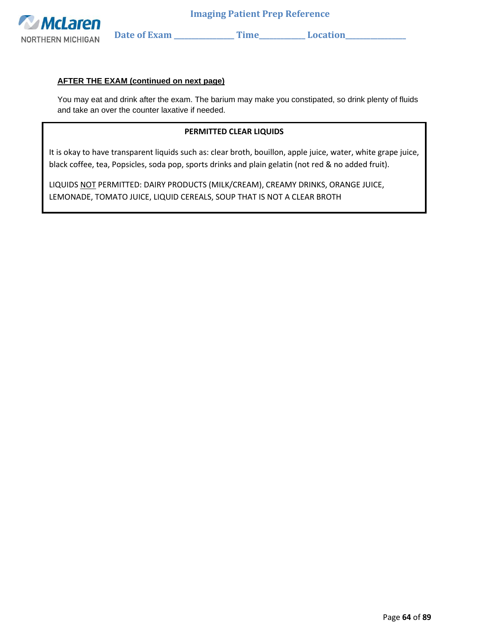

#### **AFTER THE EXAM (continued on next page)**

You may eat and drink after the exam. The barium may make you constipated, so drink plenty of fluids and take an over the counter laxative if needed.

#### **PERMITTED CLEAR LIQUIDS**

It is okay to have transparent liquids such as: clear broth, bouillon, apple juice, water, white grape juice, black coffee, tea, Popsicles, soda pop, sports drinks and plain gelatin (not red & no added fruit).

LIQUIDS NOT PERMITTED: DAIRY PRODUCTS (MILK/CREAM), CREAMY DRINKS, ORANGE JUICE, LEMONADE, TOMATO JUICE, LIQUID CEREALS, SOUP THAT IS NOT A CLEAR BROTH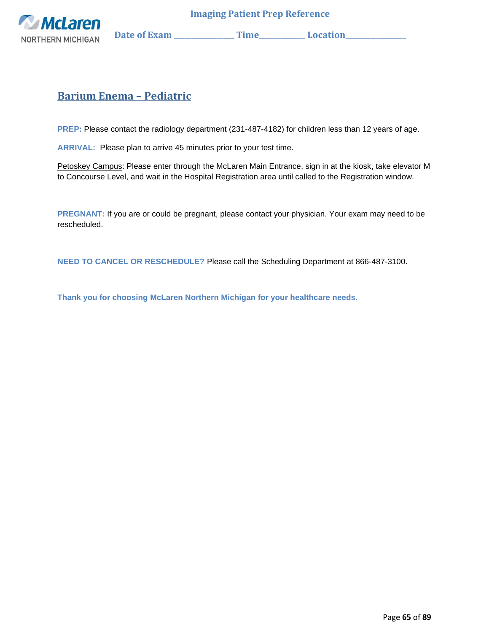

# **Barium Enema – Pediatric**

**PREP:** Please contact the radiology department (231-487-4182) for children less than 12 years of age.

**ARRIVAL:** Please plan to arrive 45 minutes prior to your test time.

Petoskey Campus: Please enter through the McLaren Main Entrance, sign in at the kiosk, take elevator M to Concourse Level, and wait in the Hospital Registration area until called to the Registration window.

**PREGNANT:** If you are or could be pregnant, please contact your physician. Your exam may need to be rescheduled.

**NEED TO CANCEL OR RESCHEDULE?** Please call the Scheduling Department at 866-487-3100.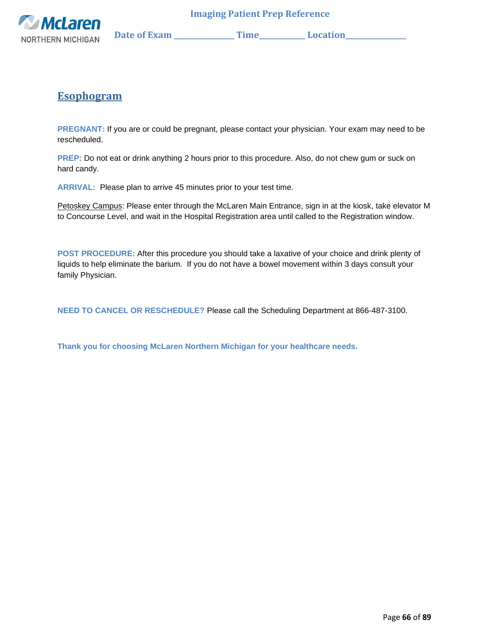

# **Esophogram**

**PREGNANT:** If you are or could be pregnant, please contact your physician. Your exam may need to be rescheduled.

**PREP:** Do not eat or drink anything 2 hours prior to this procedure. Also, do not chew gum or suck on hard candy.

**ARRIVAL:** Please plan to arrive 45 minutes prior to your test time.

Petoskey Campus: Please enter through the McLaren Main Entrance, sign in at the kiosk, take elevator M to Concourse Level, and wait in the Hospital Registration area until called to the Registration window.

**POST PROCEDURE:** After this procedure you should take a laxative of your choice and drink plenty of liquids to help eliminate the barium. If you do not have a bowel movement within 3 days consult your family Physician.

**NEED TO CANCEL OR RESCHEDULE?** Please call the Scheduling Department at 866-487-3100.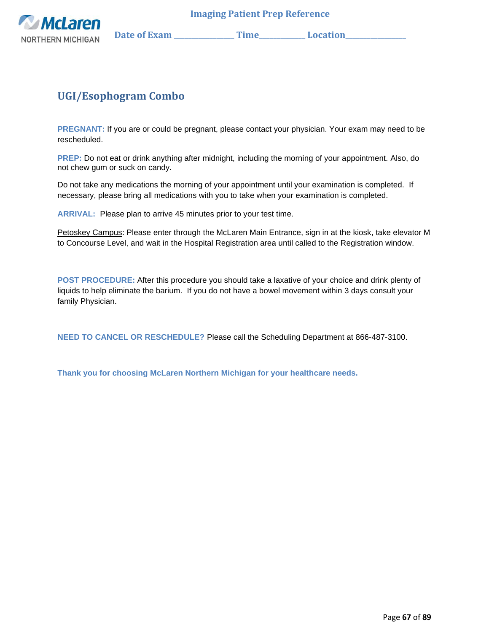

# **UGI/Esophogram Combo**

**PREGNANT:** If you are or could be pregnant, please contact your physician. Your exam may need to be rescheduled.

**PREP:** Do not eat or drink anything after midnight, including the morning of your appointment. Also, do not chew gum or suck on candy.

Do not take any medications the morning of your appointment until your examination is completed. If necessary, please bring all medications with you to take when your examination is completed.

**ARRIVAL:** Please plan to arrive 45 minutes prior to your test time.

Petoskey Campus: Please enter through the McLaren Main Entrance, sign in at the kiosk, take elevator M to Concourse Level, and wait in the Hospital Registration area until called to the Registration window.

**POST PROCEDURE:** After this procedure you should take a laxative of your choice and drink plenty of liquids to help eliminate the barium. If you do not have a bowel movement within 3 days consult your family Physician.

**NEED TO CANCEL OR RESCHEDULE?** Please call the Scheduling Department at 866-487-3100.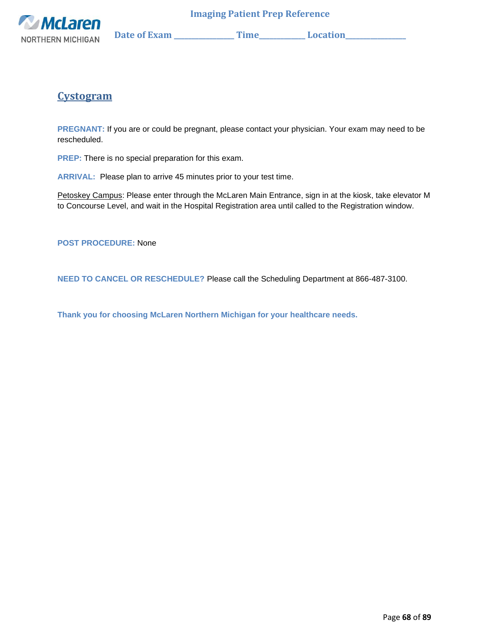

**Cystogram**

**PREGNANT:** If you are or could be pregnant, please contact your physician. Your exam may need to be rescheduled.

**PREP:** There is no special preparation for this exam.

**ARRIVAL:** Please plan to arrive 45 minutes prior to your test time.

Petoskey Campus: Please enter through the McLaren Main Entrance, sign in at the kiosk, take elevator M to Concourse Level, and wait in the Hospital Registration area until called to the Registration window.

**POST PROCEDURE:** None

**NEED TO CANCEL OR RESCHEDULE?** Please call the Scheduling Department at 866-487-3100.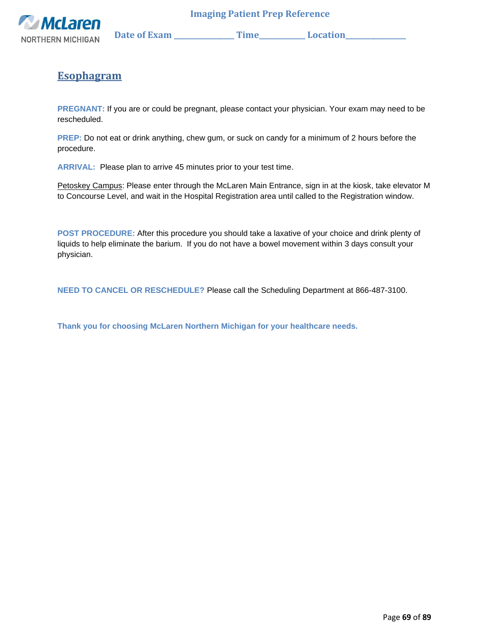

NORTHERN MICHIGAN Date of Exam \_\_\_\_\_\_\_\_\_\_\_\_\_\_\_\_ Time\_\_\_\_\_\_\_\_\_\_\_\_ Location\_\_\_\_\_\_\_\_\_

# **Esophagram**

**PREGNANT:** If you are or could be pregnant, please contact your physician. Your exam may need to be rescheduled.

**PREP:** Do not eat or drink anything, chew gum, or suck on candy for a minimum of 2 hours before the procedure.

**ARRIVAL:** Please plan to arrive 45 minutes prior to your test time.

Petoskey Campus: Please enter through the McLaren Main Entrance, sign in at the kiosk, take elevator M to Concourse Level, and wait in the Hospital Registration area until called to the Registration window.

**POST PROCEDURE:** After this procedure you should take a laxative of your choice and drink plenty of liquids to help eliminate the barium. If you do not have a bowel movement within 3 days consult your physician.

**NEED TO CANCEL OR RESCHEDULE?** Please call the Scheduling Department at 866-487-3100.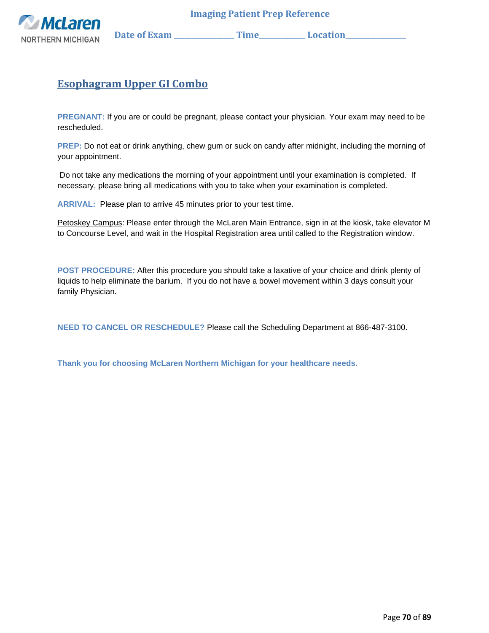

 **NORTHERN MICHIGAN** Date of Exam \_\_\_\_\_\_\_\_\_\_\_\_\_\_Time\_\_\_\_\_\_\_\_\_\_\_\_Location\_\_\_\_\_\_\_\_\_\_

## **Esophagram Upper GI Combo**

**PREGNANT:** If you are or could be pregnant, please contact your physician. Your exam may need to be rescheduled.

**PREP:** Do not eat or drink anything, chew gum or suck on candy after midnight, including the morning of your appointment.

Do not take any medications the morning of your appointment until your examination is completed. If necessary, please bring all medications with you to take when your examination is completed.

**ARRIVAL:** Please plan to arrive 45 minutes prior to your test time.

Petoskey Campus: Please enter through the McLaren Main Entrance, sign in at the kiosk, take elevator M to Concourse Level, and wait in the Hospital Registration area until called to the Registration window.

**POST PROCEDURE:** After this procedure you should take a laxative of your choice and drink plenty of liquids to help eliminate the barium. If you do not have a bowel movement within 3 days consult your family Physician.

**NEED TO CANCEL OR RESCHEDULE?** Please call the Scheduling Department at 866-487-3100.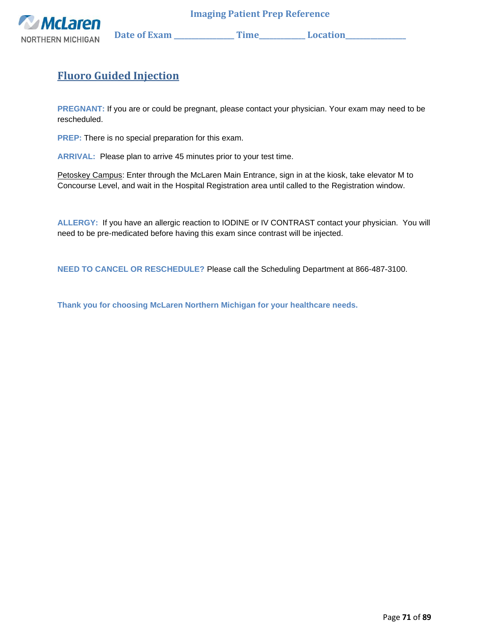

NORTHERN MICHIGAN Date of Exam \_\_\_\_\_\_\_\_\_\_\_\_\_\_\_Time\_\_\_\_\_\_\_\_\_\_\_Location\_\_\_\_\_\_\_\_\_\_\_

# **Fluoro Guided Injection**

**PREGNANT:** If you are or could be pregnant, please contact your physician. Your exam may need to be rescheduled.

**PREP:** There is no special preparation for this exam.

**ARRIVAL:** Please plan to arrive 45 minutes prior to your test time.

Petoskey Campus: Enter through the McLaren Main Entrance, sign in at the kiosk, take elevator M to Concourse Level, and wait in the Hospital Registration area until called to the Registration window.

**ALLERGY:** If you have an allergic reaction to IODINE or IV CONTRAST contact your physician. You will need to be pre-medicated before having this exam since contrast will be injected.

**NEED TO CANCEL OR RESCHEDULE?** Please call the Scheduling Department at 866-487-3100.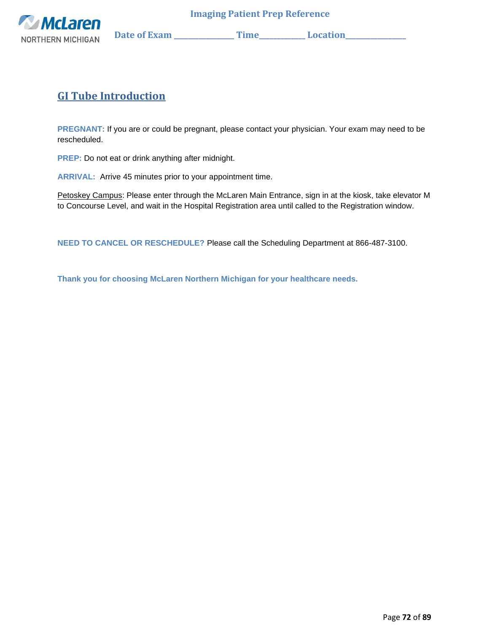

**GI Tube Introduction**

**PREGNANT:** If you are or could be pregnant, please contact your physician. Your exam may need to be rescheduled.

**PREP:** Do not eat or drink anything after midnight.

**ARRIVAL:** Arrive 45 minutes prior to your appointment time.

Petoskey Campus: Please enter through the McLaren Main Entrance, sign in at the kiosk, take elevator M to Concourse Level, and wait in the Hospital Registration area until called to the Registration window.

**NEED TO CANCEL OR RESCHEDULE?** Please call the Scheduling Department at 866-487-3100.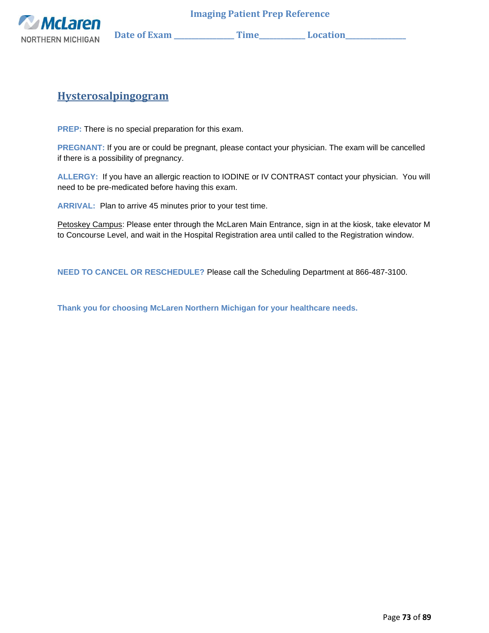

### **Hysterosalpingogram**

**PREP:** There is no special preparation for this exam.

**PREGNANT:** If you are or could be pregnant, please contact your physician. The exam will be cancelled if there is a possibility of pregnancy.

**ALLERGY:** If you have an allergic reaction to IODINE or IV CONTRAST contact your physician. You will need to be pre-medicated before having this exam.

**ARRIVAL:** Plan to arrive 45 minutes prior to your test time.

Petoskey Campus: Please enter through the McLaren Main Entrance, sign in at the kiosk, take elevator M to Concourse Level, and wait in the Hospital Registration area until called to the Registration window.

**NEED TO CANCEL OR RESCHEDULE?** Please call the Scheduling Department at 866-487-3100.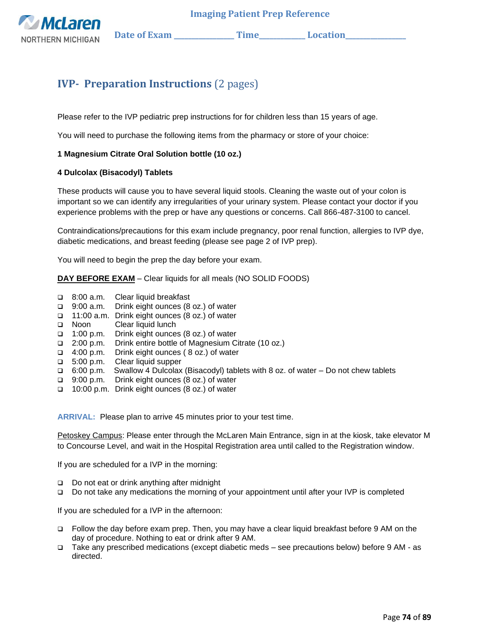

**Wellaren Date of Exam \_\_\_\_\_\_\_\_\_\_\_\_\_\_\_\_\_ Time\_\_\_\_\_\_\_\_\_\_\_\_\_ Location\_\_\_\_\_\_\_\_\_\_\_\_\_\_\_\_\_** 

## **IVP- Preparation Instructions** (2 pages)

Please refer to the IVP pediatric prep instructions for for children less than 15 years of age.

You will need to purchase the following items from the pharmacy or store of your choice:

#### **1 Magnesium Citrate Oral Solution bottle (10 oz.)**

#### **4 Dulcolax (Bisacodyl) Tablets**

These products will cause you to have several liquid stools. Cleaning the waste out of your colon is important so we can identify any irregularities of your urinary system. Please contact your doctor if you experience problems with the prep or have any questions or concerns. Call 866-487-3100 to cancel.

Contraindications/precautions for this exam include pregnancy, poor renal function, allergies to IVP dye, diabetic medications, and breast feeding (please see page 2 of IVP prep).

You will need to begin the prep the day before your exam.

**DAY BEFORE EXAM** – Clear liquids for all meals (NO SOLID FOODS)

- ❑ 8:00 a.m. Clear liquid breakfast
- ❑ 9:00 a.m. Drink eight ounces (8 oz.) of water
- ❑ 11:00 a.m. Drink eight ounces (8 oz.) of water
- ❑ Noon Clear liquid lunch
- ❑ 1:00 p.m. Drink eight ounces (8 oz.) of water
- ❑ 2:00 p.m. Drink entire bottle of Magnesium Citrate (10 oz.)
- ❑ 4:00 p.m. Drink eight ounces ( 8 oz.) of water
- ❑ 5:00 p.m. Clear liquid supper
- ❑ 6:00 p.m. Swallow 4 Dulcolax (Bisacodyl) tablets with 8 oz. of water Do not chew tablets
- ❑ 9:00 p.m. Drink eight ounces (8 oz.) of water
- ❑ 10:00 p.m. Drink eight ounces (8 oz.) of water

**ARRIVAL:** Please plan to arrive 45 minutes prior to your test time.

Petoskey Campus: Please enter through the McLaren Main Entrance, sign in at the kiosk, take elevator M to Concourse Level, and wait in the Hospital Registration area until called to the Registration window.

If you are scheduled for a IVP in the morning:

- ❑ Do not eat or drink anything after midnight
- ❑ Do not take any medications the morning of your appointment until after your IVP is completed

If you are scheduled for a IVP in the afternoon:

- ❑ Follow the day before exam prep. Then, you may have a clear liquid breakfast before 9 AM on the day of procedure. Nothing to eat or drink after 9 AM.
- ❑ Take any prescribed medications (except diabetic meds see precautions below) before 9 AM as directed.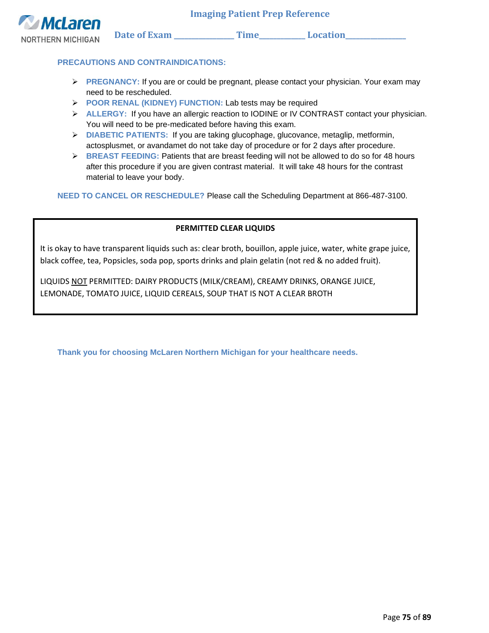

### **PRECAUTIONS AND CONTRAINDICATIONS:**

- ➢ **PREGNANCY:** If you are or could be pregnant, please contact your physician. Your exam may need to be rescheduled.
- ➢ **POOR RENAL (KIDNEY) FUNCTION:** Lab tests may be required
- ➢ **ALLERGY:** If you have an allergic reaction to IODINE or IV CONTRAST contact your physician. You will need to be pre-medicated before having this exam.
- ➢ **DIABETIC PATIENTS:** If you are taking glucophage, glucovance, metaglip, metformin, actosplusmet, or avandamet do not take day of procedure or for 2 days after procedure.
- ➢ **BREAST FEEDING:** Patients that are breast feeding will not be allowed to do so for 48 hours after this procedure if you are given contrast material. It will take 48 hours for the contrast material to leave your body.

**NEED TO CANCEL OR RESCHEDULE?** Please call the Scheduling Department at 866-487-3100.

### **PERMITTED CLEAR LIQUIDS**

It is okay to have transparent liquids such as: clear broth, bouillon, apple juice, water, white grape juice, black coffee, tea, Popsicles, soda pop, sports drinks and plain gelatin (not red & no added fruit).

LIQUIDS NOT PERMITTED: DAIRY PRODUCTS (MILK/CREAM), CREAMY DRINKS, ORANGE JUICE, LEMONADE, TOMATO JUICE, LIQUID CEREALS, SOUP THAT IS NOT A CLEAR BROTH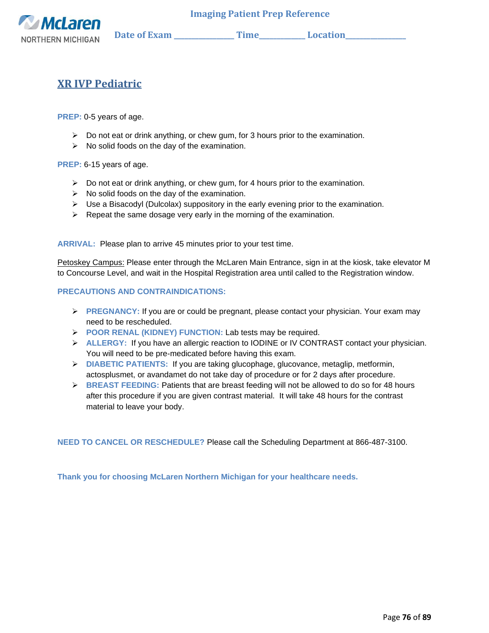

### **XR IVP Pediatric**

**PREP:** 0-5 years of age.

- ➢ Do not eat or drink anything, or chew gum, for 3 hours prior to the examination.
- $\triangleright$  No solid foods on the day of the examination.

**PREP:** 6-15 years of age.

- $\triangleright$  Do not eat or drink anything, or chew gum, for 4 hours prior to the examination.
- ➢ No solid foods on the day of the examination.
- $\triangleright$  Use a Bisacodyl (Dulcolax) suppository in the early evening prior to the examination.
- $\triangleright$  Repeat the same dosage very early in the morning of the examination.

**ARRIVAL:** Please plan to arrive 45 minutes prior to your test time.

Petoskey Campus: Please enter through the McLaren Main Entrance, sign in at the kiosk, take elevator M to Concourse Level, and wait in the Hospital Registration area until called to the Registration window.

#### **PRECAUTIONS AND CONTRAINDICATIONS:**

- ➢ **PREGNANCY:** If you are or could be pregnant, please contact your physician. Your exam may need to be rescheduled.
- ➢ **POOR RENAL (KIDNEY) FUNCTION:** Lab tests may be required.
- ➢ **ALLERGY:** If you have an allergic reaction to IODINE or IV CONTRAST contact your physician. You will need to be pre-medicated before having this exam.
- ➢ **DIABETIC PATIENTS:** If you are taking glucophage, glucovance, metaglip, metformin, actosplusmet, or avandamet do not take day of procedure or for 2 days after procedure.
- ➢ **BREAST FEEDING:** Patients that are breast feeding will not be allowed to do so for 48 hours after this procedure if you are given contrast material. It will take 48 hours for the contrast material to leave your body.

**NEED TO CANCEL OR RESCHEDULE?** Please call the Scheduling Department at 866-487-3100.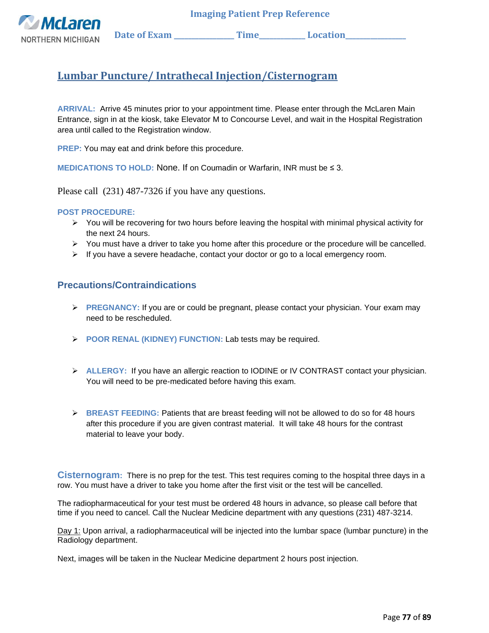**McLaren** NORTHERN MICHIGAN Date of Exam \_\_\_\_\_\_\_\_\_\_\_\_\_\_\_\_\_\_\_\_Time\_\_\_\_\_\_\_\_\_\_\_\_\_\_Location\_\_\_\_

# **Lumbar Puncture/ Intrathecal Injection/Cisternogram**

**ARRIVAL:** Arrive 45 minutes prior to your appointment time. Please enter through the McLaren Main Entrance, sign in at the kiosk, take Elevator M to Concourse Level, and wait in the Hospital Registration area until called to the Registration window.

**PREP:** You may eat and drink before this procedure.

**MEDICATIONS TO HOLD:** None. If on Coumadin or Warfarin, INR must be ≤ 3.

Please call (231) 487-7326 if you have any questions.

#### **POST PROCEDURE:**

- $\triangleright$  You will be recovering for two hours before leaving the hospital with minimal physical activity for the next 24 hours.
- ➢ You must have a driver to take you home after this procedure or the procedure will be cancelled.
- $\triangleright$  If you have a severe headache, contact your doctor or go to a local emergency room.

### **Precautions/Contraindications**

- ➢ **PREGNANCY:** If you are or could be pregnant, please contact your physician. Your exam may need to be rescheduled.
- ➢ **POOR RENAL (KIDNEY) FUNCTION:** Lab tests may be required.
- ➢ **ALLERGY:** If you have an allergic reaction to IODINE or IV CONTRAST contact your physician. You will need to be pre-medicated before having this exam.
- ➢ **BREAST FEEDING:** Patients that are breast feeding will not be allowed to do so for 48 hours after this procedure if you are given contrast material. It will take 48 hours for the contrast material to leave your body.

**Cisternogram:** There is no prep for the test. This test requires coming to the hospital three days in a row. You must have a driver to take you home after the first visit or the test will be cancelled.

The radiopharmaceutical for your test must be ordered 48 hours in advance, so please call before that time if you need to cancel. Call the Nuclear Medicine department with any questions (231) 487-3214.

Day 1: Upon arrival, a radiopharmaceutical will be injected into the lumbar space (lumbar puncture) in the Radiology department.

Next, images will be taken in the Nuclear Medicine department 2 hours post injection.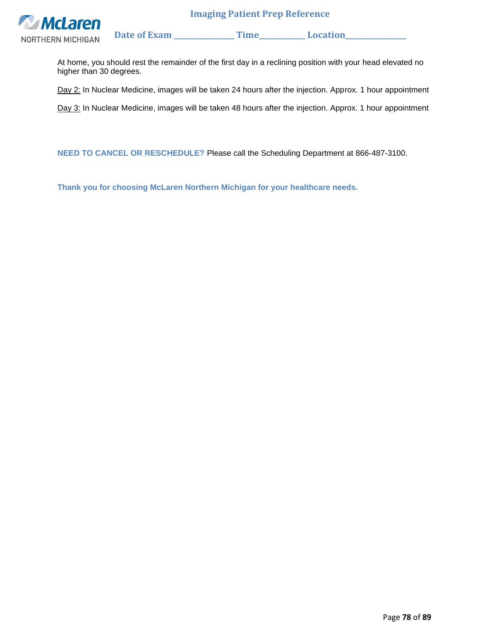

At home, you should rest the remainder of the first day in a reclining position with your head elevated no higher than 30 degrees.

Day 2: In Nuclear Medicine, images will be taken 24 hours after the injection. Approx. 1 hour appointment

Day 3: In Nuclear Medicine, images will be taken 48 hours after the injection. Approx. 1 hour appointment

**NEED TO CANCEL OR RESCHEDULE?** Please call the Scheduling Department at 866-487-3100.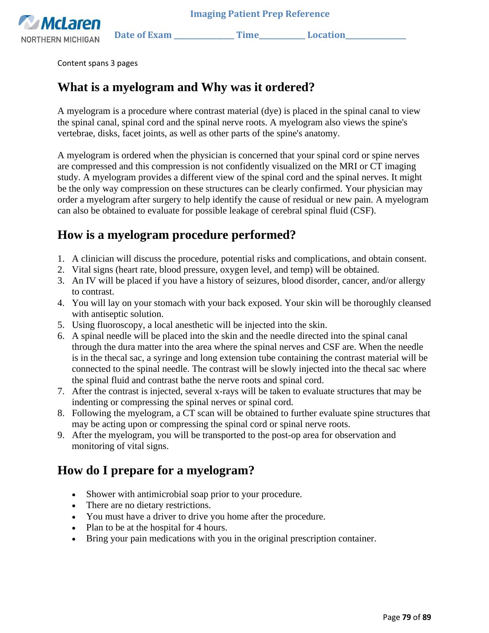

Content spans 3 pages

# **What is a myelogram and Why was it ordered?**

A myelogram is a procedure where contrast material (dye) is placed in the spinal canal to view the spinal canal, spinal cord and the spinal nerve roots. A myelogram also views the spine's vertebrae, disks, facet joints, as well as other parts of the spine's anatomy.

A myelogram is ordered when the physician is concerned that your spinal cord or spine nerves are compressed and this compression is not confidently visualized on the MRI or CT imaging study. A myelogram provides a different view of the spinal cord and the spinal nerves. It might be the only way compression on these structures can be clearly confirmed. Your physician may order a myelogram after surgery to help identify the cause of residual or new pain. A myelogram can also be obtained to evaluate for possible leakage of cerebral spinal fluid (CSF).

# **How is a myelogram procedure performed?**

- 1. A clinician will discuss the procedure, potential risks and complications, and obtain consent.
- 2. Vital signs (heart rate, blood pressure, oxygen level, and temp) will be obtained.
- 3. An IV will be placed if you have a history of seizures, blood disorder, cancer, and/or allergy to contrast.
- 4. You will lay on your stomach with your back exposed. Your skin will be thoroughly cleansed with antiseptic solution.
- 5. Using fluoroscopy, a local anesthetic will be injected into the skin.
- 6. A spinal needle will be placed into the skin and the needle directed into the spinal canal through the dura matter into the area where the spinal nerves and CSF are. When the needle is in the thecal sac, a syringe and long extension tube containing the contrast material will be connected to the spinal needle. The contrast will be slowly injected into the thecal sac where the spinal fluid and contrast bathe the nerve roots and spinal cord.
- 7. After the contrast is injected, several x-rays will be taken to evaluate structures that may be indenting or compressing the spinal nerves or spinal cord.
- 8. Following the myelogram, a CT scan will be obtained to further evaluate spine structures that may be acting upon or compressing the spinal cord or spinal nerve roots.
- 9. After the myelogram, you will be transported to the post-op area for observation and monitoring of vital signs.

# **How do I prepare for a myelogram?**

- Shower with antimicrobial soap prior to your procedure.
- There are no dietary restrictions.
- You must have a driver to drive you home after the procedure.
- Plan to be at the hospital for 4 hours.
- Bring your pain medications with you in the original prescription container.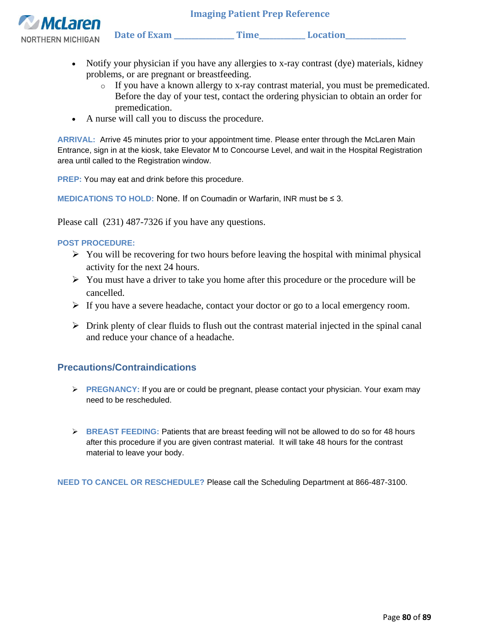NORTHERN MICHIGAN Date of Exam \_\_\_\_\_\_\_\_\_\_\_\_\_\_\_\_Time\_\_\_\_\_\_\_\_\_\_\_\_\_Location\_\_\_\_\_\_\_\_\_



- Notify your physician if you have any allergies to x-ray contrast (dye) materials, kidney problems, or are pregnant or breastfeeding.
	- o If you have a known allergy to x-ray contrast material, you must be premedicated. Before the day of your test, contact the ordering physician to obtain an order for premedication.
- A nurse will call you to discuss the procedure.

**ARRIVAL:** Arrive 45 minutes prior to your appointment time. Please enter through the McLaren Main Entrance, sign in at the kiosk, take Elevator M to Concourse Level, and wait in the Hospital Registration area until called to the Registration window.

**PREP:** You may eat and drink before this procedure.

**MEDICATIONS TO HOLD:** None. If on Coumadin or Warfarin, INR must be ≤ 3.

Please call (231) 487-7326 if you have any questions.

### **POST PROCEDURE:**

- $\triangleright$  You will be recovering for two hours before leaving the hospital with minimal physical activity for the next 24 hours.
- $\triangleright$  You must have a driver to take you home after this procedure or the procedure will be cancelled.
- $\triangleright$  If you have a severe headache, contact your doctor or go to a local emergency room.
- $\triangleright$  Drink plenty of clear fluids to flush out the contrast material injected in the spinal canal and reduce your chance of a headache.

### **Precautions/Contraindications**

- ➢ **PREGNANCY:** If you are or could be pregnant, please contact your physician. Your exam may need to be rescheduled.
- ➢ **BREAST FEEDING:** Patients that are breast feeding will not be allowed to do so for 48 hours after this procedure if you are given contrast material. It will take 48 hours for the contrast material to leave your body.

**NEED TO CANCEL OR RESCHEDULE?** Please call the Scheduling Department at 866-487-3100.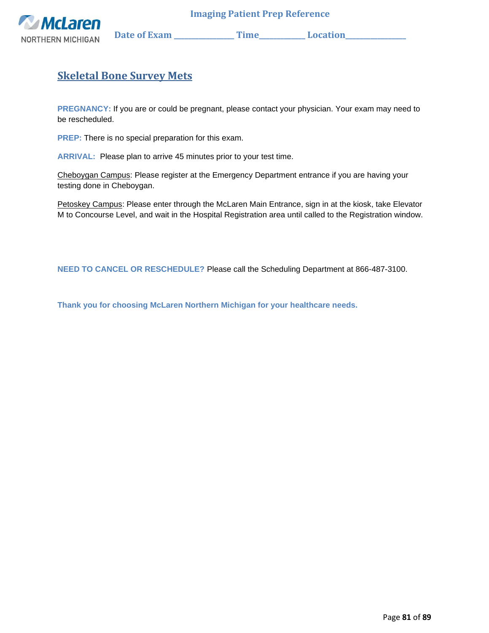

NORTHERN MICHIGAN Date of Exam \_\_\_\_\_\_\_\_\_\_\_\_\_\_\_\_ Time\_\_\_\_\_\_\_\_\_\_\_\_ Location\_\_\_\_\_\_\_\_\_

# **Skeletal Bone Survey Mets**

**PREGNANCY:** If you are or could be pregnant, please contact your physician. Your exam may need to be rescheduled.

**PREP:** There is no special preparation for this exam.

**ARRIVAL:** Please plan to arrive 45 minutes prior to your test time.

Cheboygan Campus: Please register at the Emergency Department entrance if you are having your testing done in Cheboygan.

Petoskey Campus: Please enter through the McLaren Main Entrance, sign in at the kiosk, take Elevator M to Concourse Level, and wait in the Hospital Registration area until called to the Registration window.

**NEED TO CANCEL OR RESCHEDULE?** Please call the Scheduling Department at 866-487-3100.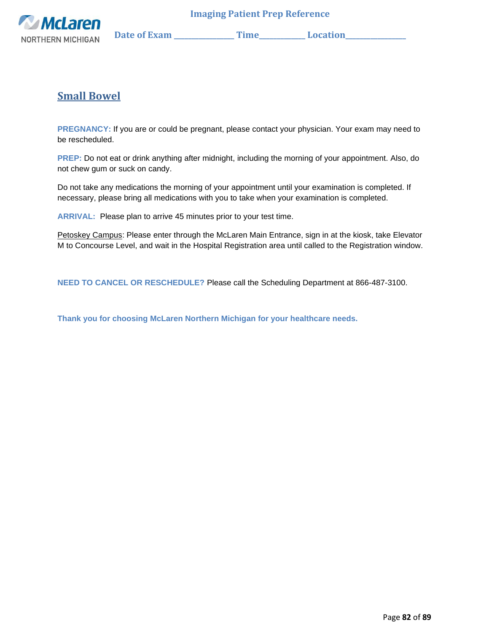

## **Small Bowel**

**PREGNANCY:** If you are or could be pregnant, please contact your physician. Your exam may need to be rescheduled.

**PREP:** Do not eat or drink anything after midnight, including the morning of your appointment. Also, do not chew gum or suck on candy.

Do not take any medications the morning of your appointment until your examination is completed. If necessary, please bring all medications with you to take when your examination is completed.

**ARRIVAL:** Please plan to arrive 45 minutes prior to your test time.

Petoskey Campus: Please enter through the McLaren Main Entrance, sign in at the kiosk, take Elevator M to Concourse Level, and wait in the Hospital Registration area until called to the Registration window.

**NEED TO CANCEL OR RESCHEDULE?** Please call the Scheduling Department at 866-487-3100.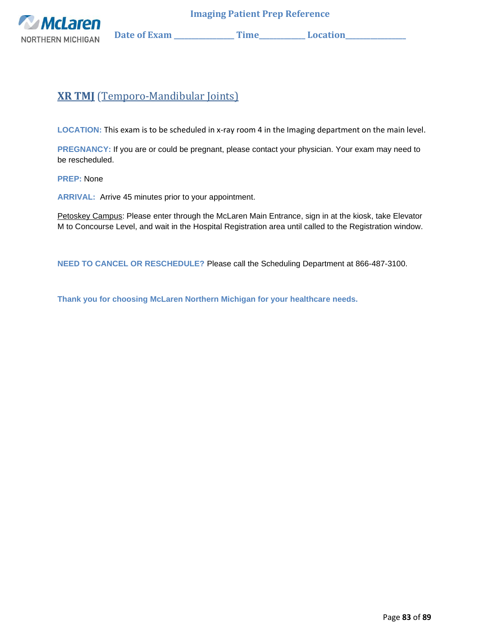

# **XR TMJ** (Temporo-Mandibular Joints)

**LOCATION:** This exam is to be scheduled in x-ray room 4 in the Imaging department on the main level.

**PREGNANCY:** If you are or could be pregnant, please contact your physician. Your exam may need to be rescheduled.

**PREP:** None

**ARRIVAL:** Arrive 45 minutes prior to your appointment.

Petoskey Campus: Please enter through the McLaren Main Entrance, sign in at the kiosk, take Elevator M to Concourse Level, and wait in the Hospital Registration area until called to the Registration window.

**NEED TO CANCEL OR RESCHEDULE?** Please call the Scheduling Department at 866-487-3100.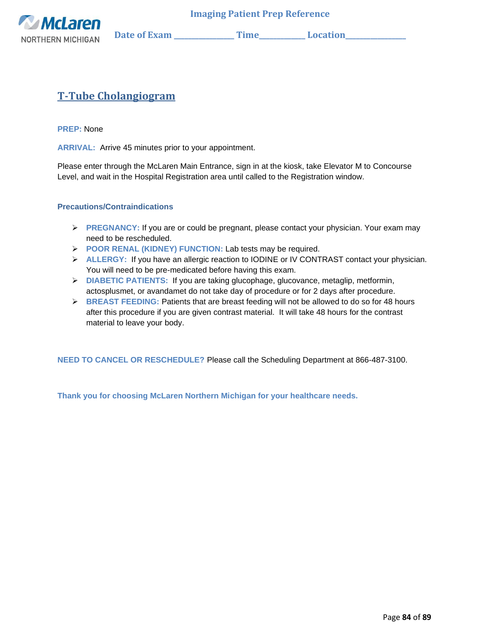

# **T-Tube Cholangiogram**

**PREP:** None

**ARRIVAL:** Arrive 45 minutes prior to your appointment.

Please enter through the McLaren Main Entrance, sign in at the kiosk, take Elevator M to Concourse Level, and wait in the Hospital Registration area until called to the Registration window.

#### **Precautions/Contraindications**

- ➢ **PREGNANCY:** If you are or could be pregnant, please contact your physician. Your exam may need to be rescheduled.
- ➢ **POOR RENAL (KIDNEY) FUNCTION:** Lab tests may be required.
- ➢ **ALLERGY:** If you have an allergic reaction to IODINE or IV CONTRAST contact your physician. You will need to be pre-medicated before having this exam.
- ➢ **DIABETIC PATIENTS:** If you are taking glucophage, glucovance, metaglip, metformin, actosplusmet, or avandamet do not take day of procedure or for 2 days after procedure.
- ➢ **BREAST FEEDING:** Patients that are breast feeding will not be allowed to do so for 48 hours after this procedure if you are given contrast material. It will take 48 hours for the contrast material to leave your body.

**NEED TO CANCEL OR RESCHEDULE?** Please call the Scheduling Department at 866-487-3100.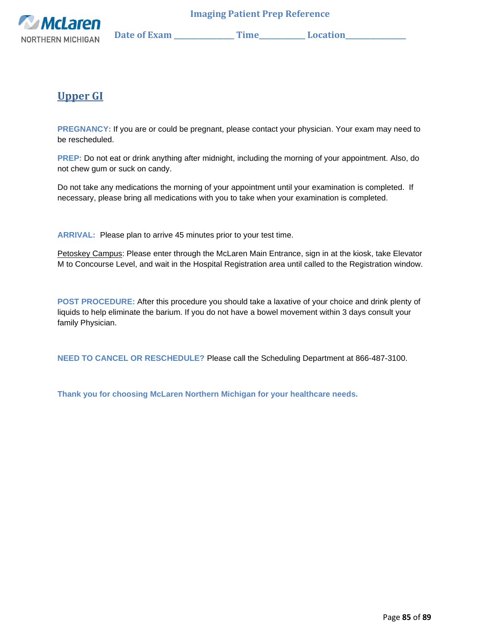

# **Upper GI**

**PREGNANCY:** If you are or could be pregnant, please contact your physician. Your exam may need to be rescheduled.

**PREP:** Do not eat or drink anything after midnight, including the morning of your appointment. Also, do not chew gum or suck on candy.

Do not take any medications the morning of your appointment until your examination is completed. If necessary, please bring all medications with you to take when your examination is completed.

**ARRIVAL:** Please plan to arrive 45 minutes prior to your test time.

Petoskey Campus: Please enter through the McLaren Main Entrance, sign in at the kiosk, take Elevator M to Concourse Level, and wait in the Hospital Registration area until called to the Registration window.

**POST PROCEDURE:** After this procedure you should take a laxative of your choice and drink plenty of liquids to help eliminate the barium. If you do not have a bowel movement within 3 days consult your family Physician.

**NEED TO CANCEL OR RESCHEDULE?** Please call the Scheduling Department at 866-487-3100.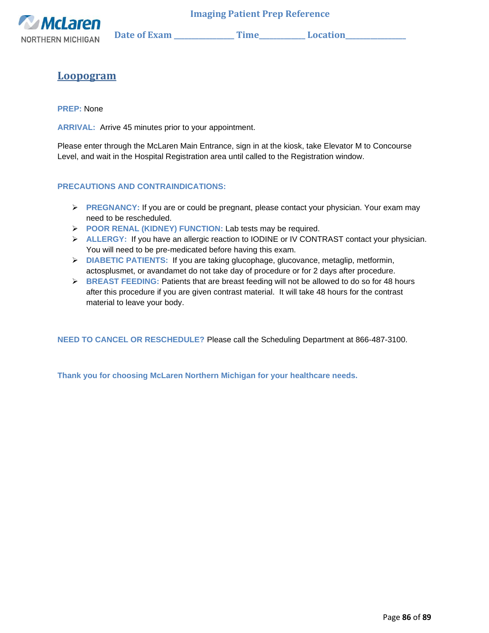

## **Loopogram**

**PREP:** None

**ARRIVAL:** Arrive 45 minutes prior to your appointment.

Please enter through the McLaren Main Entrance, sign in at the kiosk, take Elevator M to Concourse Level, and wait in the Hospital Registration area until called to the Registration window.

### **PRECAUTIONS AND CONTRAINDICATIONS:**

- ➢ **PREGNANCY:** If you are or could be pregnant, please contact your physician. Your exam may need to be rescheduled.
- ➢ **POOR RENAL (KIDNEY) FUNCTION:** Lab tests may be required.
- ➢ **ALLERGY:** If you have an allergic reaction to IODINE or IV CONTRAST contact your physician. You will need to be pre-medicated before having this exam.
- ➢ **DIABETIC PATIENTS:** If you are taking glucophage, glucovance, metaglip, metformin, actosplusmet, or avandamet do not take day of procedure or for 2 days after procedure.
- ➢ **BREAST FEEDING:** Patients that are breast feeding will not be allowed to do so for 48 hours after this procedure if you are given contrast material. It will take 48 hours for the contrast material to leave your body.

**NEED TO CANCEL OR RESCHEDULE?** Please call the Scheduling Department at 866-487-3100.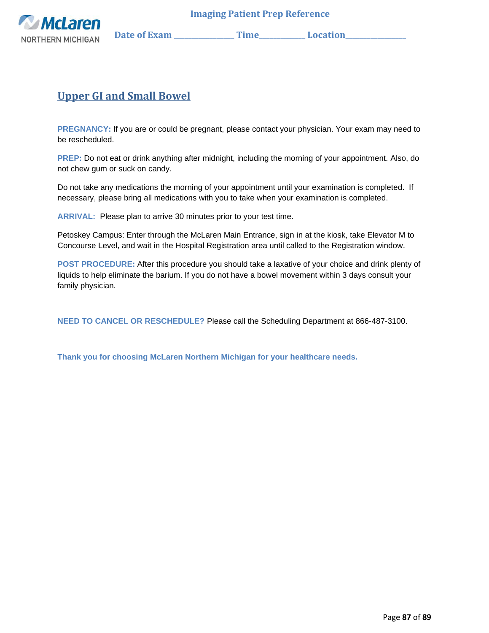

## **Upper GI and Small Bowel**

**PREGNANCY:** If you are or could be pregnant, please contact your physician. Your exam may need to be rescheduled.

**PREP:** Do not eat or drink anything after midnight, including the morning of your appointment. Also, do not chew gum or suck on candy.

Do not take any medications the morning of your appointment until your examination is completed. If necessary, please bring all medications with you to take when your examination is completed.

**ARRIVAL:** Please plan to arrive 30 minutes prior to your test time.

Petoskey Campus: Enter through the McLaren Main Entrance, sign in at the kiosk, take Elevator M to Concourse Level, and wait in the Hospital Registration area until called to the Registration window.

**POST PROCEDURE:** After this procedure you should take a laxative of your choice and drink plenty of liquids to help eliminate the barium. If you do not have a bowel movement within 3 days consult your family physician.

**NEED TO CANCEL OR RESCHEDULE?** Please call the Scheduling Department at 866-487-3100.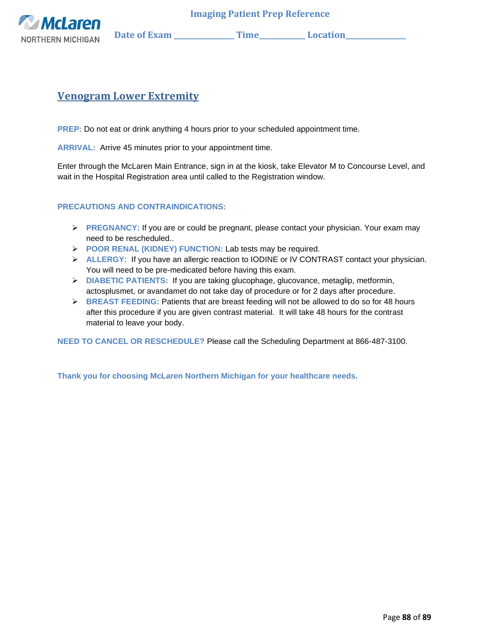

### **Venogram Lower Extremity**

**PREP:** Do not eat or drink anything 4 hours prior to your scheduled appointment time.

**ARRIVAL:** Arrive 45 minutes prior to your appointment time.

Enter through the McLaren Main Entrance, sign in at the kiosk, take Elevator M to Concourse Level, and wait in the Hospital Registration area until called to the Registration window.

#### **PRECAUTIONS AND CONTRAINDICATIONS:**

- ➢ **PREGNANCY:** If you are or could be pregnant, please contact your physician. Your exam may need to be rescheduled..
- ➢ **POOR RENAL (KIDNEY) FUNCTION:** Lab tests may be required.
- ➢ **ALLERGY:** If you have an allergic reaction to IODINE or IV CONTRAST contact your physician. You will need to be pre-medicated before having this exam.
- ➢ **DIABETIC PATIENTS:** If you are taking glucophage, glucovance, metaglip, metformin, actosplusmet, or avandamet do not take day of procedure or for 2 days after procedure.
- ➢ **BREAST FEEDING:** Patients that are breast feeding will not be allowed to do so for 48 hours after this procedure if you are given contrast material. It will take 48 hours for the contrast material to leave your body.

**NEED TO CANCEL OR RESCHEDULE?** Please call the Scheduling Department at 866-487-3100.